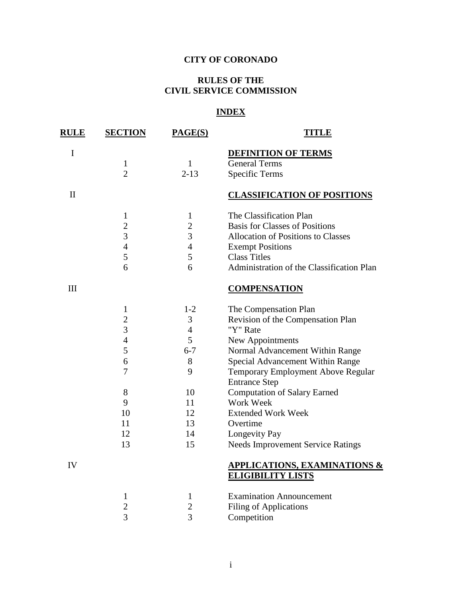# **CITY OF CORONADO**

### **RULES OF THE CIVIL SERVICE COMMISSION**

# **INDEX**

| <u>RULE</u>  | <b>SECTION</b>                                                                                         | PAGE(S)                                                                                      | <b>TITLE</b>                                                                                                                                                                                                                                                                                                                                                                              |
|--------------|--------------------------------------------------------------------------------------------------------|----------------------------------------------------------------------------------------------|-------------------------------------------------------------------------------------------------------------------------------------------------------------------------------------------------------------------------------------------------------------------------------------------------------------------------------------------------------------------------------------------|
| $\bf I$      | $\mathbf{1}$<br>$\overline{2}$                                                                         | $\mathbf{1}$<br>$2 - 13$                                                                     | <b>DEFINITION OF TERMS</b><br><b>General Terms</b><br><b>Specific Terms</b>                                                                                                                                                                                                                                                                                                               |
| $\mathbf{I}$ |                                                                                                        |                                                                                              | <b>CLASSIFICATION OF POSITIONS</b>                                                                                                                                                                                                                                                                                                                                                        |
|              | $\mathbf{1}$<br>$\overline{c}$<br>3<br>$\overline{4}$<br>5<br>6                                        | $\mathbf{1}$<br>$\overline{c}$<br>$\overline{3}$<br>$\overline{4}$<br>5<br>6                 | The Classification Plan<br><b>Basis for Classes of Positions</b><br><b>Allocation of Positions to Classes</b><br><b>Exempt Positions</b><br><b>Class Titles</b><br>Administration of the Classification Plan                                                                                                                                                                              |
| III          |                                                                                                        |                                                                                              | <b>COMPENSATION</b>                                                                                                                                                                                                                                                                                                                                                                       |
|              | $\mathbf{1}$<br>$\overline{2}$<br>3<br>$\overline{4}$<br>5<br>6<br>7<br>8<br>9<br>10<br>11<br>12<br>13 | $1 - 2$<br>3<br>$\overline{4}$<br>5<br>$6 - 7$<br>8<br>9<br>10<br>11<br>12<br>13<br>14<br>15 | The Compensation Plan<br>Revision of the Compensation Plan<br>"Y" Rate<br>New Appointments<br>Normal Advancement Within Range<br>Special Advancement Within Range<br>Temporary Employment Above Regular<br><b>Entrance Step</b><br><b>Computation of Salary Earned</b><br>Work Week<br><b>Extended Work Week</b><br>Overtime<br>Longevity Pay<br><b>Needs Improvement Service Ratings</b> |
| IV           |                                                                                                        |                                                                                              | <u>APPLICATIONS, EXAMINATIONS &amp;</u><br><b>ELIGIBILITY LISTS</b>                                                                                                                                                                                                                                                                                                                       |
|              | $\mathbf{1}$<br>$\overline{c}$<br>$\overline{3}$                                                       | 1<br>$\overline{c}$<br>$\overline{3}$                                                        | <b>Examination Announcement</b><br><b>Filing of Applications</b><br>Competition                                                                                                                                                                                                                                                                                                           |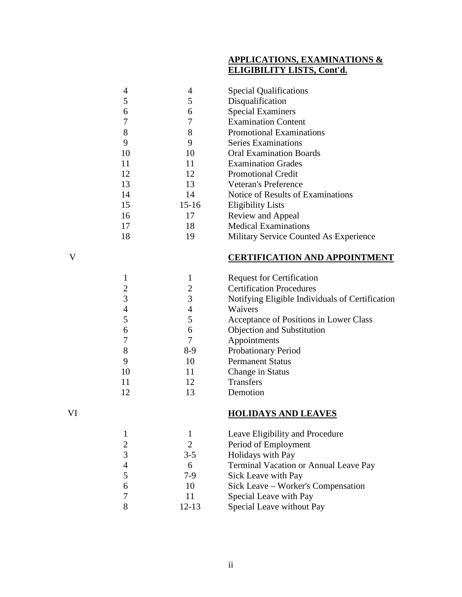#### **APPLICATIONS, EXAMINATIONS & ELIGIBILITY LISTS, Cont'd.**

|    | 4              | 4              | <b>Special Qualifications</b>                   |
|----|----------------|----------------|-------------------------------------------------|
|    | 5              | 5              | Disqualification                                |
|    | 6              | 6              | <b>Special Examiners</b>                        |
|    | 7              | 7              | <b>Examination Content</b>                      |
|    | 8              | 8              | <b>Promotional Examinations</b>                 |
|    | 9              | 9              | <b>Series Examinations</b>                      |
|    | 10             | 10             | <b>Oral Examination Boards</b>                  |
|    | 11             | 11             | <b>Examination Grades</b>                       |
|    | 12             | 12             | <b>Promotional Credit</b>                       |
|    | 13             | 13             | <b>Veteran's Preference</b>                     |
|    | 14             | 14             | Notice of Results of Examinations               |
|    | 15             | $15 - 16$      | <b>Eligibility Lists</b>                        |
|    | 16             | 17             | Review and Appeal                               |
|    | 17             | 18             | <b>Medical Examinations</b>                     |
|    | 18             | 19             | Military Service Counted As Experience          |
| V  |                |                | <b>CERTIFICATION AND APPOINTMENT</b>            |
|    | $\mathbf{1}$   | 1              | <b>Request for Certification</b>                |
|    | $\overline{c}$ | $\mathbf{2}$   | <b>Certification Procedures</b>                 |
|    | 3              | 3              | Notifying Eligible Individuals of Certification |
|    | $\overline{4}$ | $\overline{4}$ | Waivers                                         |
|    | 5              | 5              | Acceptance of Positions in Lower Class          |
|    | 6              | 6              | Objection and Substitution                      |
|    | $\overline{7}$ | 7              | Appointments                                    |
|    | 8              | $8-9$          | <b>Probationary Period</b>                      |
|    | 9              | 10             | <b>Permanent Status</b>                         |
|    | 10             | 11             | Change in Status                                |
|    | 11             | 12             | Transfers                                       |
|    | 12             | 13             | Demotion                                        |
| VI |                |                | <b>HOLIDAYS AND LEAVES</b>                      |
|    | 1              | 1              | Leave Eligibility and Procedure                 |
|    | $\overline{c}$ | $\overline{2}$ | Period of Employment                            |
|    | 3              | $3 - 5$        | Holidays with Pay                               |
|    | $\overline{4}$ | 6              | Terminal Vacation or Annual Leave Pay           |
|    | 5              | $7-9$          | Sick Leave with Pay                             |
|    | 6              | 10             | Sick Leave - Worker's Compensation              |
|    |                |                |                                                 |

- 11 Special Leave with Pay
- 12-13 Special Leave without Pay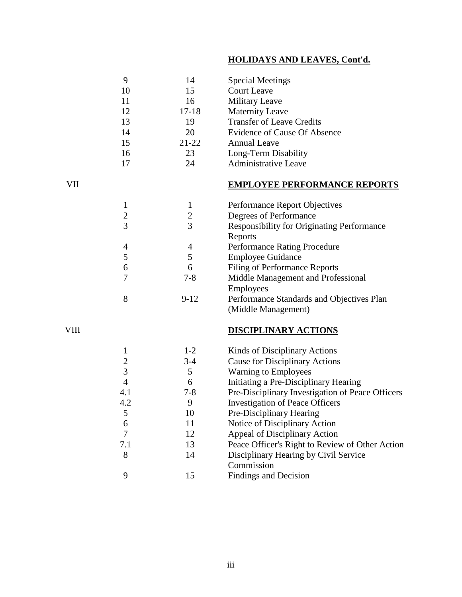# **HOLIDAYS AND LEAVES, Cont'd.**

| 9  | 14        | Special Meetings                 |
|----|-----------|----------------------------------|
| 10 | 15        | <b>Court Leave</b>               |
| 11 | 16        | <b>Military Leave</b>            |
| 12 | $17 - 18$ | <b>Maternity Leave</b>           |
| 13 | 19        | <b>Transfer of Leave Credits</b> |
| 14 | 20        | Evidence of Cause Of Absence     |
| 15 | $21 - 22$ | Annual Leave                     |
| 16 | 23        | Long-Term Disability             |
| 17 | 24        | <b>Administrative Leave</b>      |
|    |           |                                  |

# VII **EMPLOYEE PERFORMANCE REPORTS**

|                |        | <b>Performance Report Objectives</b>              |
|----------------|--------|---------------------------------------------------|
| $\overline{2}$ |        | Degrees of Performance                            |
| 3              | 3      | <b>Responsibility for Originating Performance</b> |
|                |        | Reports                                           |
| 4              | 4      | <b>Performance Rating Procedure</b>               |
| 5              | 5      | <b>Employee Guidance</b>                          |
| 6              | 6      | <b>Filing of Performance Reports</b>              |
|                | 7-8    | Middle Management and Professional                |
|                |        | <b>Employees</b>                                  |
| 8              | $9-12$ | Performance Standards and Objectives Plan         |
|                |        | (Middle Management)                               |
|                |        |                                                   |

# VIII **DISCIPLINARY ACTIONS**

|     | $1 - 2$ | Kinds of Disciplinary Actions                    |
|-----|---------|--------------------------------------------------|
| റ   | $3-4$   | <b>Cause for Disciplinary Actions</b>            |
| 3   | 5       | <b>Warning to Employees</b>                      |
| 4   | 6       | Initiating a Pre-Disciplinary Hearing            |
| 4.1 | $7 - 8$ | Pre-Disciplinary Investigation of Peace Officers |
| 4.2 | 9       | <b>Investigation of Peace Officers</b>           |
| 5   | 10      | Pre-Disciplinary Hearing                         |
| 6   | 11      | Notice of Disciplinary Action                    |
| 7   | 12      | Appeal of Disciplinary Action                    |
| 7.1 | 13      | Peace Officer's Right to Review of Other Action  |
| 8   | 14      | Disciplinary Hearing by Civil Service            |
|     |         | Commission                                       |
| 9   | 15      | <b>Findings and Decision</b>                     |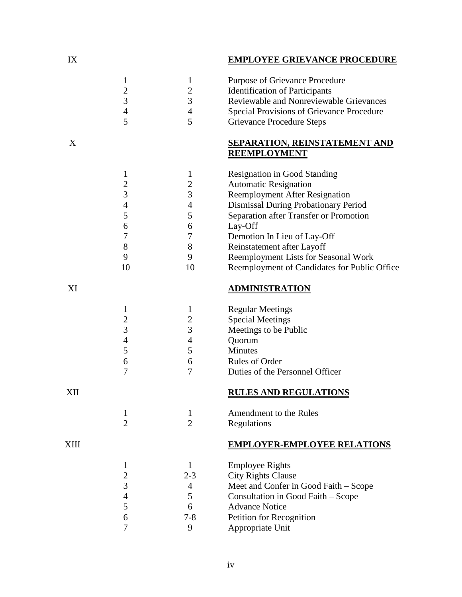# IX **EMPLOYEE GRIEVANCE PROCEDURE**

|      | $\mathbf{1}$   | 1              | Purpose of Grievance Procedure                              |
|------|----------------|----------------|-------------------------------------------------------------|
|      | $\overline{c}$ | $\overline{c}$ | <b>Identification of Participants</b>                       |
|      | 3              | $\overline{3}$ | Reviewable and Nonreviewable Grievances                     |
|      | $\overline{4}$ | $\overline{4}$ | Special Provisions of Grievance Procedure                   |
|      | 5              | 5              | <b>Grievance Procedure Steps</b>                            |
| X    |                |                | <b>SEPARATION, REINSTATEMENT AND</b><br><b>REEMPLOYMENT</b> |
|      | $\mathbf{1}$   | 1              | <b>Resignation in Good Standing</b>                         |
|      | $\overline{c}$ | $\overline{2}$ | <b>Automatic Resignation</b>                                |
|      | 3              | 3              | <b>Reemployment After Resignation</b>                       |
|      | $\overline{4}$ | $\overline{4}$ | Dismissal During Probationary Period                        |
|      | 5              | 5              | Separation after Transfer or Promotion                      |
|      | 6              | 6              | Lay-Off                                                     |
|      | 7              | 7              | Demotion In Lieu of Lay-Off                                 |
|      | 8              | 8              | Reinstatement after Layoff                                  |
|      | 9              | 9              | Reemployment Lists for Seasonal Work                        |
|      | 10             | 10             | Reemployment of Candidates for Public Office                |
| XI   |                |                | <b>ADMINISTRATION</b>                                       |
|      | $\mathbf{1}$   | 1              | <b>Regular Meetings</b>                                     |
|      | $\overline{2}$ | $\overline{c}$ | <b>Special Meetings</b>                                     |
|      | 3              | 3              | Meetings to be Public                                       |
|      | $\overline{4}$ | $\overline{4}$ | Quorum                                                      |
|      | 5              | 5              | <b>Minutes</b>                                              |
|      | 6              | 6              | Rules of Order                                              |
|      | 7              | 7              | Duties of the Personnel Officer                             |
| XII  |                |                | <b>RULES AND REGULATIONS</b>                                |
|      | 1              | $\mathbf{I}$   | <b>Amendment to the Rules</b>                               |
|      | $\overline{2}$ | $\overline{2}$ | Regulations                                                 |
| XIII |                |                | <b>EMPLOYER-EMPLOYEE RELATIONS</b>                          |
|      | $\mathbf{1}$   | $\mathbf{1}$   | <b>Employee Rights</b>                                      |
|      | $\overline{c}$ | $2 - 3$        | <b>City Rights Clause</b>                                   |
|      | 3              | $\overline{4}$ | Meet and Confer in Good Faith - Scope                       |
|      | 4              | 5              | Consultation in Good Faith - Scope                          |
|      | 5              | 6              | <b>Advance Notice</b>                                       |
|      | 6              | $7 - 8$        | <b>Petition for Recognition</b>                             |
|      | 7              | 9              | Appropriate Unit                                            |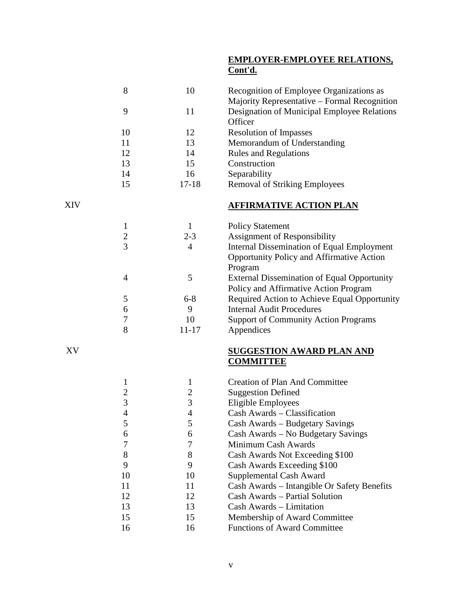# **EMPLOYER-EMPLOYEE RELATIONS, Cont'd.**

| 8  | 10        | Recognition of Employee Organizations as     |
|----|-----------|----------------------------------------------|
|    |           | Majority Representative – Formal Recognition |
| 9  | 11        | Designation of Municipal Employee Relations  |
|    |           | Officer                                      |
| 10 | 12        | <b>Resolution of Impasses</b>                |
| 11 | 13        | Memorandum of Understanding                  |
| 12 | 14        | <b>Rules and Regulations</b>                 |
| 13 | 15        | Construction                                 |
| 14 | 16        | Separability                                 |
| 15 | $17 - 18$ | <b>Removal of Striking Employees</b>         |
|    |           |                                              |

# XIV **AFFIRMATIVE ACTION PLAN**

|                |         | <b>Policy Statement</b>                            |
|----------------|---------|----------------------------------------------------|
|                |         |                                                    |
| $\overline{2}$ | $2 - 3$ | <b>Assignment of Responsibility</b>                |
|                | 4       | Internal Dissemination of Equal Employment         |
|                |         | Opportunity Policy and Affirmative Action          |
|                |         | Program                                            |
| $\overline{A}$ |         | <b>External Dissemination of Equal Opportunity</b> |
|                |         | Policy and Affirmative Action Program              |
| 5              | $6 - 8$ | Required Action to Achieve Equal Opportunity       |
| 6              | 9       | <b>Internal Audit Procedures</b>                   |
|                | 10      | <b>Support of Community Action Programs</b>        |
| 8              | 11-17   | Appendices                                         |
|                |         |                                                    |

# XV **SUGGESTION AWARD PLAN AND COMMITTEE**

|    |    | <b>Creation of Plan And Committee</b>       |
|----|----|---------------------------------------------|
|    |    | <b>Suggestion Defined</b>                   |
| 3  | 3  | Eligible Employees                          |
| 4  |    | Cash Awards - Classification                |
| 5  | 5  | Cash Awards – Budgetary Savings             |
| 6  | 6  | Cash Awards – No Budgetary Savings          |
|    |    | Minimum Cash Awards                         |
| 8  | 8  | Cash Awards Not Exceeding \$100             |
| 9  | 9  | Cash Awards Exceeding \$100                 |
| 10 | 10 | Supplemental Cash Award                     |
| 11 | 11 | Cash Awards – Intangible Or Safety Benefits |
| 12 | 12 | Cash Awards - Partial Solution              |
| 13 | 13 | Cash Awards – Limitation                    |
| 15 | 15 | Membership of Award Committee               |
| 16 | 16 | <b>Functions of Award Committee</b>         |
|    |    |                                             |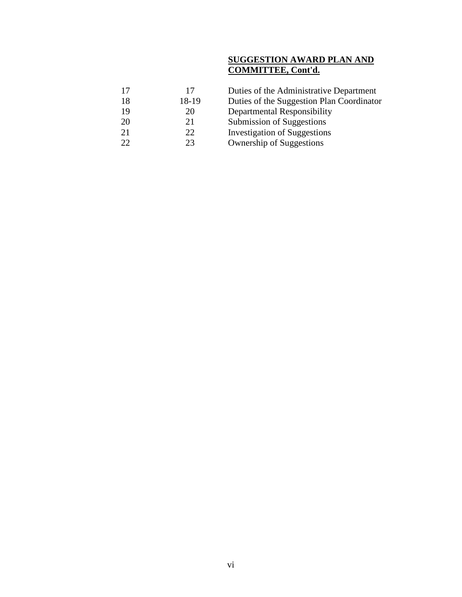# **SUGGESTION AWARD PLAN AND COMMITTEE, Cont'd.**

| 17 | 17    | Duties of the Administrative Department   |
|----|-------|-------------------------------------------|
| 18 | 18-19 | Duties of the Suggestion Plan Coordinator |
| 19 | 20    | Departmental Responsibility               |
| 20 | 21    | Submission of Suggestions                 |
| 21 | 22    | <b>Investigation of Suggestions</b>       |
| つつ | 23    | <b>Ownership of Suggestions</b>           |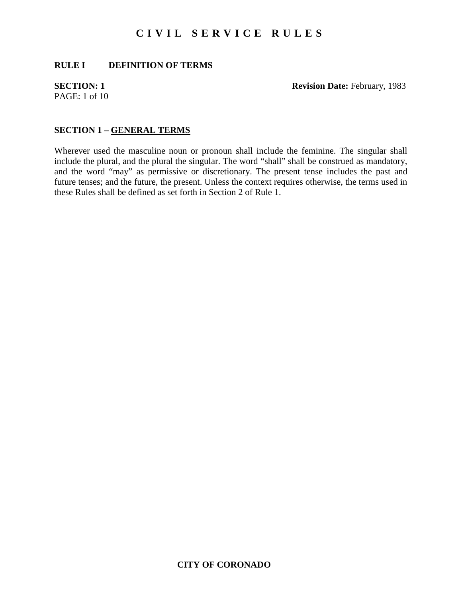#### **RULE I DEFINITION OF TERMS**

PAGE: 1 of 10

**SECTION: 1 Revision Date: February, 1983** 

#### **SECTION 1 – GENERAL TERMS**

Wherever used the masculine noun or pronoun shall include the feminine. The singular shall include the plural, and the plural the singular. The word "shall" shall be construed as mandatory, and the word "may" as permissive or discretionary. The present tense includes the past and future tenses; and the future, the present. Unless the context requires otherwise, the terms used in these Rules shall be defined as set forth in Section 2 of Rule 1.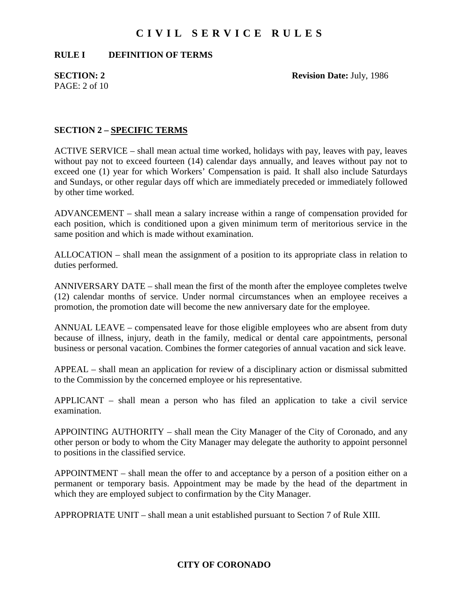#### **RULE I DEFINITION OF TERMS**

PAGE: 2 of 10

**SECTION: 2 Revision Date: July, 1986** 

#### **SECTION 2 – SPECIFIC TERMS**

ACTIVE SERVICE – shall mean actual time worked, holidays with pay, leaves with pay, leaves without pay not to exceed fourteen (14) calendar days annually, and leaves without pay not to exceed one (1) year for which Workers' Compensation is paid. It shall also include Saturdays and Sundays, or other regular days off which are immediately preceded or immediately followed by other time worked.

ADVANCEMENT – shall mean a salary increase within a range of compensation provided for each position, which is conditioned upon a given minimum term of meritorious service in the same position and which is made without examination.

ALLOCATION – shall mean the assignment of a position to its appropriate class in relation to duties performed.

ANNIVERSARY DATE – shall mean the first of the month after the employee completes twelve (12) calendar months of service. Under normal circumstances when an employee receives a promotion, the promotion date will become the new anniversary date for the employee.

ANNUAL LEAVE – compensated leave for those eligible employees who are absent from duty because of illness, injury, death in the family, medical or dental care appointments, personal business or personal vacation. Combines the former categories of annual vacation and sick leave.

APPEAL – shall mean an application for review of a disciplinary action or dismissal submitted to the Commission by the concerned employee or his representative.

APPLICANT – shall mean a person who has filed an application to take a civil service examination.

APPOINTING AUTHORITY – shall mean the City Manager of the City of Coronado, and any other person or body to whom the City Manager may delegate the authority to appoint personnel to positions in the classified service.

APPOINTMENT – shall mean the offer to and acceptance by a person of a position either on a permanent or temporary basis. Appointment may be made by the head of the department in which they are employed subject to confirmation by the City Manager.

APPROPRIATE UNIT – shall mean a unit established pursuant to Section 7 of Rule XIII.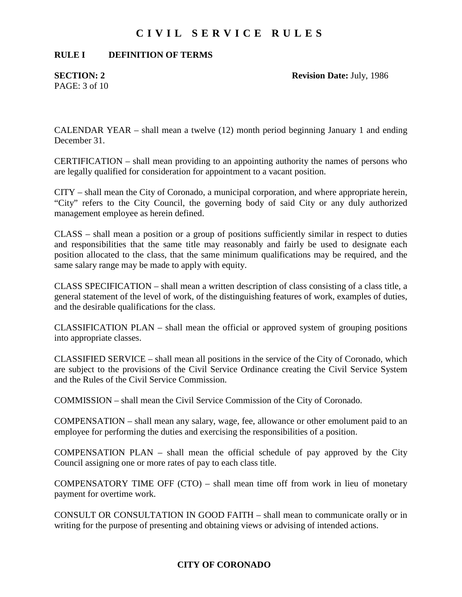#### **RULE I DEFINITION OF TERMS**

 $PAGE: 3 of 10$ 

**SECTION: 2 Revision Date: July, 1986** 

CALENDAR YEAR – shall mean a twelve (12) month period beginning January 1 and ending December 31.

CERTIFICATION – shall mean providing to an appointing authority the names of persons who are legally qualified for consideration for appointment to a vacant position.

CITY – shall mean the City of Coronado, a municipal corporation, and where appropriate herein, "City" refers to the City Council, the governing body of said City or any duly authorized management employee as herein defined.

CLASS – shall mean a position or a group of positions sufficiently similar in respect to duties and responsibilities that the same title may reasonably and fairly be used to designate each position allocated to the class, that the same minimum qualifications may be required, and the same salary range may be made to apply with equity.

CLASS SPECIFICATION – shall mean a written description of class consisting of a class title, a general statement of the level of work, of the distinguishing features of work, examples of duties, and the desirable qualifications for the class.

CLASSIFICATION PLAN – shall mean the official or approved system of grouping positions into appropriate classes.

CLASSIFIED SERVICE – shall mean all positions in the service of the City of Coronado, which are subject to the provisions of the Civil Service Ordinance creating the Civil Service System and the Rules of the Civil Service Commission.

COMMISSION – shall mean the Civil Service Commission of the City of Coronado.

COMPENSATION – shall mean any salary, wage, fee, allowance or other emolument paid to an employee for performing the duties and exercising the responsibilities of a position.

COMPENSATION PLAN – shall mean the official schedule of pay approved by the City Council assigning one or more rates of pay to each class title.

COMPENSATORY TIME OFF (CTO) – shall mean time off from work in lieu of monetary payment for overtime work.

CONSULT OR CONSULTATION IN GOOD FAITH – shall mean to communicate orally or in writing for the purpose of presenting and obtaining views or advising of intended actions.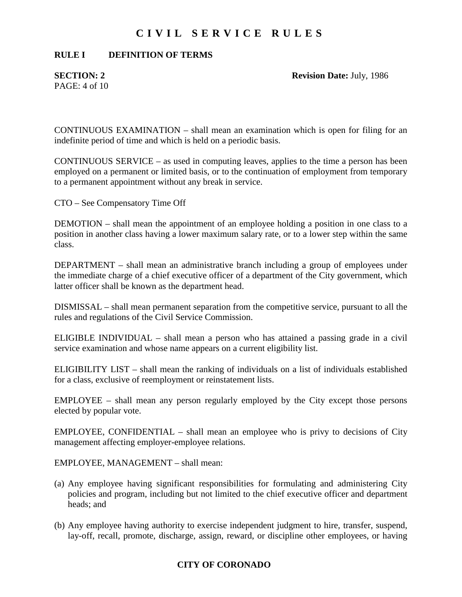#### **RULE I DEFINITION OF TERMS**

 $PAGE: 4 of 10$ 

**SECTION: 2 Revision Date: July, 1986** 

CONTINUOUS EXAMINATION – shall mean an examination which is open for filing for an indefinite period of time and which is held on a periodic basis.

CONTINUOUS SERVICE – as used in computing leaves, applies to the time a person has been employed on a permanent or limited basis, or to the continuation of employment from temporary to a permanent appointment without any break in service.

CTO – See Compensatory Time Off

DEMOTION – shall mean the appointment of an employee holding a position in one class to a position in another class having a lower maximum salary rate, or to a lower step within the same class.

DEPARTMENT – shall mean an administrative branch including a group of employees under the immediate charge of a chief executive officer of a department of the City government, which latter officer shall be known as the department head.

DISMISSAL – shall mean permanent separation from the competitive service, pursuant to all the rules and regulations of the Civil Service Commission.

ELIGIBLE INDIVIDUAL – shall mean a person who has attained a passing grade in a civil service examination and whose name appears on a current eligibility list.

ELIGIBILITY LIST – shall mean the ranking of individuals on a list of individuals established for a class, exclusive of reemployment or reinstatement lists.

EMPLOYEE – shall mean any person regularly employed by the City except those persons elected by popular vote.

EMPLOYEE, CONFIDENTIAL – shall mean an employee who is privy to decisions of City management affecting employer-employee relations.

EMPLOYEE, MANAGEMENT – shall mean:

- (a) Any employee having significant responsibilities for formulating and administering City policies and program, including but not limited to the chief executive officer and department heads; and
- (b) Any employee having authority to exercise independent judgment to hire, transfer, suspend, lay-off, recall, promote, discharge, assign, reward, or discipline other employees, or having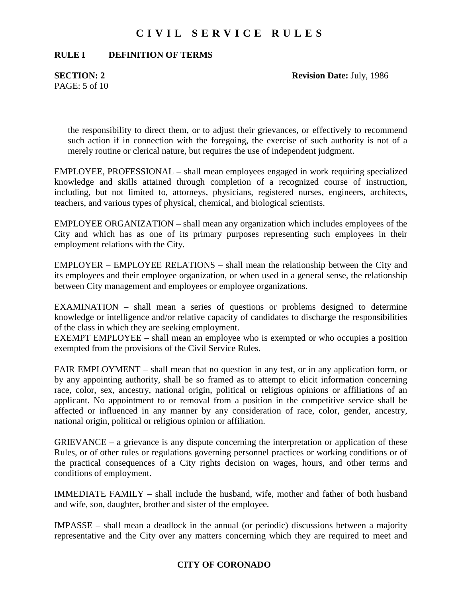#### **RULE I DEFINITION OF TERMS**

 $PAGE: 5 of 10$ 

**SECTION: 2 Revision Date: July, 1986** 

the responsibility to direct them, or to adjust their grievances, or effectively to recommend such action if in connection with the foregoing, the exercise of such authority is not of a merely routine or clerical nature, but requires the use of independent judgment.

EMPLOYEE, PROFESSIONAL – shall mean employees engaged in work requiring specialized knowledge and skills attained through completion of a recognized course of instruction, including, but not limited to, attorneys, physicians, registered nurses, engineers, architects, teachers, and various types of physical, chemical, and biological scientists.

EMPLOYEE ORGANIZATION – shall mean any organization which includes employees of the City and which has as one of its primary purposes representing such employees in their employment relations with the City.

EMPLOYER – EMPLOYEE RELATIONS – shall mean the relationship between the City and its employees and their employee organization, or when used in a general sense, the relationship between City management and employees or employee organizations.

EXAMINATION – shall mean a series of questions or problems designed to determine knowledge or intelligence and/or relative capacity of candidates to discharge the responsibilities of the class in which they are seeking employment.

EXEMPT EMPLOYEE – shall mean an employee who is exempted or who occupies a position exempted from the provisions of the Civil Service Rules.

FAIR EMPLOYMENT – shall mean that no question in any test, or in any application form, or by any appointing authority, shall be so framed as to attempt to elicit information concerning race, color, sex, ancestry, national origin, political or religious opinions or affiliations of an applicant. No appointment to or removal from a position in the competitive service shall be affected or influenced in any manner by any consideration of race, color, gender, ancestry, national origin, political or religious opinion or affiliation.

GRIEVANCE – a grievance is any dispute concerning the interpretation or application of these Rules, or of other rules or regulations governing personnel practices or working conditions or of the practical consequences of a City rights decision on wages, hours, and other terms and conditions of employment.

IMMEDIATE FAMILY – shall include the husband, wife, mother and father of both husband and wife, son, daughter, brother and sister of the employee.

IMPASSE – shall mean a deadlock in the annual (or periodic) discussions between a majority representative and the City over any matters concerning which they are required to meet and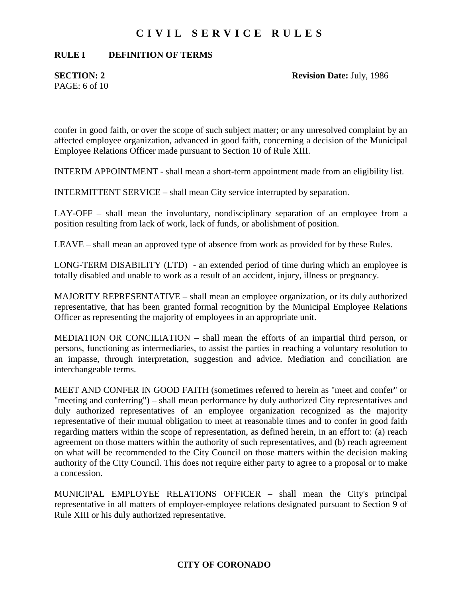#### **RULE I DEFINITION OF TERMS**

PAGE: 6 of 10

**SECTION: 2 Revision Date: July, 1986** 

confer in good faith, or over the scope of such subject matter; or any unresolved complaint by an affected employee organization, advanced in good faith, concerning a decision of the Municipal Employee Relations Officer made pursuant to Section 10 of Rule XIII.

INTERIM APPOINTMENT - shall mean a short-term appointment made from an eligibility list.

INTERMITTENT SERVICE – shall mean City service interrupted by separation.

LAY-OFF – shall mean the involuntary, nondisciplinary separation of an employee from a position resulting from lack of work, lack of funds, or abolishment of position.

LEAVE – shall mean an approved type of absence from work as provided for by these Rules.

LONG-TERM DISABILITY (LTD) - an extended period of time during which an employee is totally disabled and unable to work as a result of an accident, injury, illness or pregnancy.

MAJORITY REPRESENTATIVE – shall mean an employee organization, or its duly authorized representative, that has been granted formal recognition by the Municipal Employee Relations Officer as representing the majority of employees in an appropriate unit.

MEDIATION OR CONCILIATION – shall mean the efforts of an impartial third person, or persons, functioning as intermediaries, to assist the parties in reaching a voluntary resolution to an impasse, through interpretation, suggestion and advice. Mediation and conciliation are interchangeable terms.

MEET AND CONFER IN GOOD FAITH (sometimes referred to herein as "meet and confer" or "meeting and conferring") – shall mean performance by duly authorized City representatives and duly authorized representatives of an employee organization recognized as the majority representative of their mutual obligation to meet at reasonable times and to confer in good faith regarding matters within the scope of representation, as defined herein, in an effort to: (a) reach agreement on those matters within the authority of such representatives, and (b) reach agreement on what will be recommended to the City Council on those matters within the decision making authority of the City Council. This does not require either party to agree to a proposal or to make a concession.

MUNICIPAL EMPLOYEE RELATIONS OFFICER – shall mean the City's principal representative in all matters of employer-employee relations designated pursuant to Section 9 of Rule XIII or his duly authorized representative.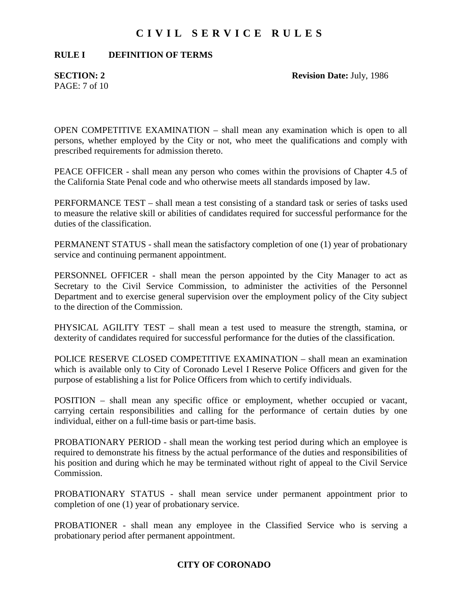#### **RULE I DEFINITION OF TERMS**

PAGE: 7 of 10

**SECTION: 2 Revision Date: July, 1986** 

OPEN COMPETITIVE EXAMINATION – shall mean any examination which is open to all persons, whether employed by the City or not, who meet the qualifications and comply with prescribed requirements for admission thereto.

PEACE OFFICER - shall mean any person who comes within the provisions of Chapter 4.5 of the California State Penal code and who otherwise meets all standards imposed by law.

PERFORMANCE TEST – shall mean a test consisting of a standard task or series of tasks used to measure the relative skill or abilities of candidates required for successful performance for the duties of the classification.

PERMANENT STATUS - shall mean the satisfactory completion of one (1) year of probationary service and continuing permanent appointment.

PERSONNEL OFFICER - shall mean the person appointed by the City Manager to act as Secretary to the Civil Service Commission, to administer the activities of the Personnel Department and to exercise general supervision over the employment policy of the City subject to the direction of the Commission.

PHYSICAL AGILITY TEST – shall mean a test used to measure the strength, stamina, or dexterity of candidates required for successful performance for the duties of the classification.

POLICE RESERVE CLOSED COMPETITIVE EXAMINATION – shall mean an examination which is available only to City of Coronado Level I Reserve Police Officers and given for the purpose of establishing a list for Police Officers from which to certify individuals.

POSITION – shall mean any specific office or employment, whether occupied or vacant, carrying certain responsibilities and calling for the performance of certain duties by one individual, either on a full-time basis or part-time basis.

PROBATIONARY PERIOD - shall mean the working test period during which an employee is required to demonstrate his fitness by the actual performance of the duties and responsibilities of his position and during which he may be terminated without right of appeal to the Civil Service Commission.

PROBATIONARY STATUS - shall mean service under permanent appointment prior to completion of one (1) year of probationary service.

PROBATIONER - shall mean any employee in the Classified Service who is serving a probationary period after permanent appointment.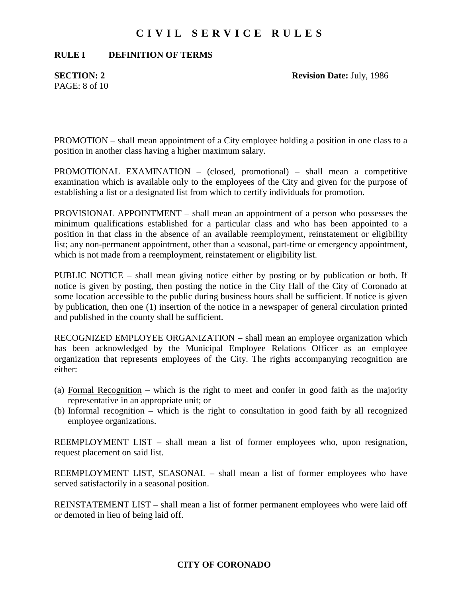#### **RULE I DEFINITION OF TERMS**

 $PAGE: 8 of 10$ 

**SECTION: 2 Revision Date: July, 1986** 

PROMOTION – shall mean appointment of a City employee holding a position in one class to a position in another class having a higher maximum salary.

PROMOTIONAL EXAMINATION – (closed, promotional) – shall mean a competitive examination which is available only to the employees of the City and given for the purpose of establishing a list or a designated list from which to certify individuals for promotion.

PROVISIONAL APPOINTMENT – shall mean an appointment of a person who possesses the minimum qualifications established for a particular class and who has been appointed to a position in that class in the absence of an available reemployment, reinstatement or eligibility list; any non-permanent appointment, other than a seasonal, part-time or emergency appointment, which is not made from a reemployment, reinstatement or eligibility list.

PUBLIC NOTICE – shall mean giving notice either by posting or by publication or both. If notice is given by posting, then posting the notice in the City Hall of the City of Coronado at some location accessible to the public during business hours shall be sufficient. If notice is given by publication, then one (1) insertion of the notice in a newspaper of general circulation printed and published in the county shall be sufficient.

RECOGNIZED EMPLOYEE ORGANIZATION – shall mean an employee organization which has been acknowledged by the Municipal Employee Relations Officer as an employee organization that represents employees of the City. The rights accompanying recognition are either:

- (a) Formal Recognition which is the right to meet and confer in good faith as the majority representative in an appropriate unit; or
- (b) Informal recognition which is the right to consultation in good faith by all recognized employee organizations.

REEMPLOYMENT LIST – shall mean a list of former employees who, upon resignation, request placement on said list.

REEMPLOYMENT LIST, SEASONAL – shall mean a list of former employees who have served satisfactorily in a seasonal position.

REINSTATEMENT LIST – shall mean a list of former permanent employees who were laid off or demoted in lieu of being laid off.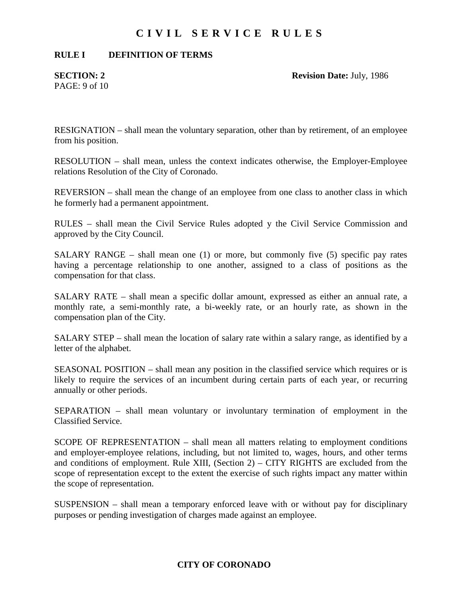#### **RULE I DEFINITION OF TERMS**

PAGE: 9 of 10

**SECTION: 2 Revision Date: July, 1986** 

RESIGNATION – shall mean the voluntary separation, other than by retirement, of an employee from his position.

RESOLUTION – shall mean, unless the context indicates otherwise, the Employer-Employee relations Resolution of the City of Coronado.

REVERSION – shall mean the change of an employee from one class to another class in which he formerly had a permanent appointment.

RULES – shall mean the Civil Service Rules adopted y the Civil Service Commission and approved by the City Council.

SALARY RANGE – shall mean one (1) or more, but commonly five (5) specific pay rates having a percentage relationship to one another, assigned to a class of positions as the compensation for that class.

SALARY RATE – shall mean a specific dollar amount, expressed as either an annual rate, a monthly rate, a semi-monthly rate, a bi-weekly rate, or an hourly rate, as shown in the compensation plan of the City.

SALARY STEP – shall mean the location of salary rate within a salary range, as identified by a letter of the alphabet.

SEASONAL POSITION – shall mean any position in the classified service which requires or is likely to require the services of an incumbent during certain parts of each year, or recurring annually or other periods.

SEPARATION – shall mean voluntary or involuntary termination of employment in the Classified Service.

SCOPE OF REPRESENTATION – shall mean all matters relating to employment conditions and employer-employee relations, including, but not limited to, wages, hours, and other terms and conditions of employment. Rule XIII, (Section 2) – CITY RIGHTS are excluded from the scope of representation except to the extent the exercise of such rights impact any matter within the scope of representation.

SUSPENSION – shall mean a temporary enforced leave with or without pay for disciplinary purposes or pending investigation of charges made against an employee.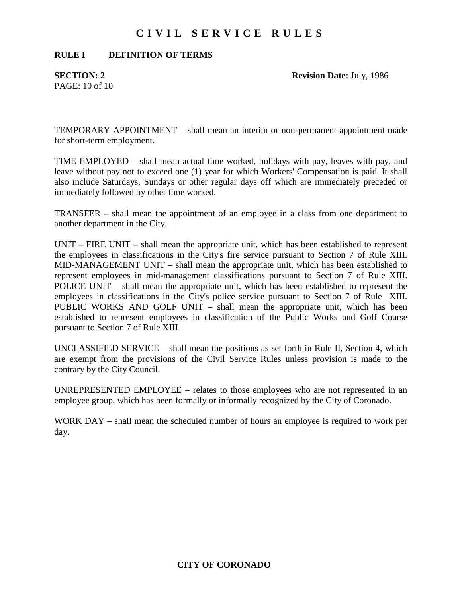#### **RULE I DEFINITION OF TERMS**

PAGE: 10 of 10

**SECTION: 2 Revision Date: July, 1986** 

TEMPORARY APPOINTMENT – shall mean an interim or non-permanent appointment made for short-term employment.

TIME EMPLOYED – shall mean actual time worked, holidays with pay, leaves with pay, and leave without pay not to exceed one (1) year for which Workers' Compensation is paid. It shall also include Saturdays, Sundays or other regular days off which are immediately preceded or immediately followed by other time worked.

TRANSFER – shall mean the appointment of an employee in a class from one department to another department in the City.

UNIT – FIRE UNIT – shall mean the appropriate unit, which has been established to represent the employees in classifications in the City's fire service pursuant to Section 7 of Rule XIII. MID-MANAGEMENT UNIT – shall mean the appropriate unit, which has been established to represent employees in mid-management classifications pursuant to Section 7 of Rule XIII. POLICE UNIT – shall mean the appropriate unit, which has been established to represent the employees in classifications in the City's police service pursuant to Section 7 of Rule XIII. PUBLIC WORKS AND GOLF UNIT – shall mean the appropriate unit, which has been established to represent employees in classification of the Public Works and Golf Course pursuant to Section 7 of Rule XIII.

UNCLASSIFIED SERVICE – shall mean the positions as set forth in Rule II, Section 4, which are exempt from the provisions of the Civil Service Rules unless provision is made to the contrary by the City Council.

UNREPRESENTED EMPLOYEE – relates to those employees who are not represented in an employee group, which has been formally or informally recognized by the City of Coronado.

WORK DAY – shall mean the scheduled number of hours an employee is required to work per day.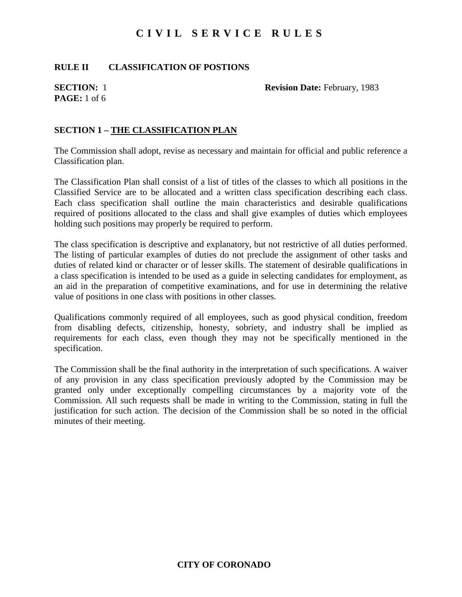### **RULE II CLASSIFICATION OF POSTIONS**

# **PAGE:** 1 of 6

**SECTION:** 1 **Revision Date: February, 1983** 

### **SECTION 1 – THE CLASSIFICATION PLAN**

The Commission shall adopt, revise as necessary and maintain for official and public reference a Classification plan.

The Classification Plan shall consist of a list of titles of the classes to which all positions in the Classified Service are to be allocated and a written class specification describing each class. Each class specification shall outline the main characteristics and desirable qualifications required of positions allocated to the class and shall give examples of duties which employees holding such positions may properly be required to perform.

The class specification is descriptive and explanatory, but not restrictive of all duties performed. The listing of particular examples of duties do not preclude the assignment of other tasks and duties of related kind or character or of lesser skills. The statement of desirable qualifications in a class specification is intended to be used as a guide in selecting candidates for employment, as an aid in the preparation of competitive examinations, and for use in determining the relative value of positions in one class with positions in other classes.

Qualifications commonly required of all employees, such as good physical condition, freedom from disabling defects, citizenship, honesty, sobriety, and industry shall be implied as requirements for each class, even though they may not be specifically mentioned in the specification.

The Commission shall be the final authority in the interpretation of such specifications. A waiver of any provision in any class specification previously adopted by the Commission may be granted only under exceptionally compelling circumstances by a majority vote of the Commission. All such requests shall be made in writing to the Commission, stating in full the justification for such action. The decision of the Commission shall be so noted in the official minutes of their meeting.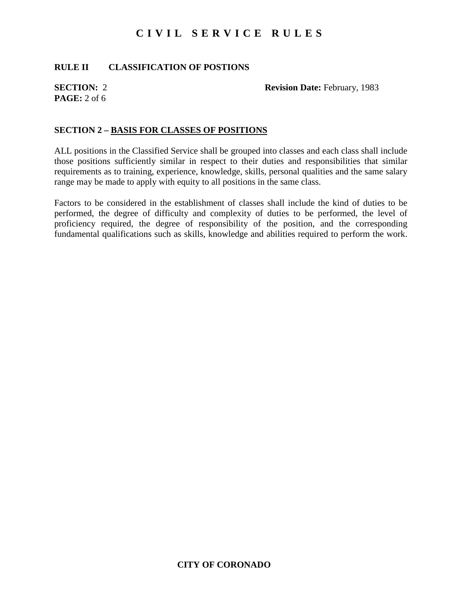### **RULE II CLASSIFICATION OF POSTIONS**

# **PAGE:** 2 of 6

**SECTION:** 2 **Revision Date: February, 1983** 

#### **SECTION 2 – BASIS FOR CLASSES OF POSITIONS**

ALL positions in the Classified Service shall be grouped into classes and each class shall include those positions sufficiently similar in respect to their duties and responsibilities that similar requirements as to training, experience, knowledge, skills, personal qualities and the same salary range may be made to apply with equity to all positions in the same class.

Factors to be considered in the establishment of classes shall include the kind of duties to be performed, the degree of difficulty and complexity of duties to be performed, the level of proficiency required, the degree of responsibility of the position, and the corresponding fundamental qualifications such as skills, knowledge and abilities required to perform the work.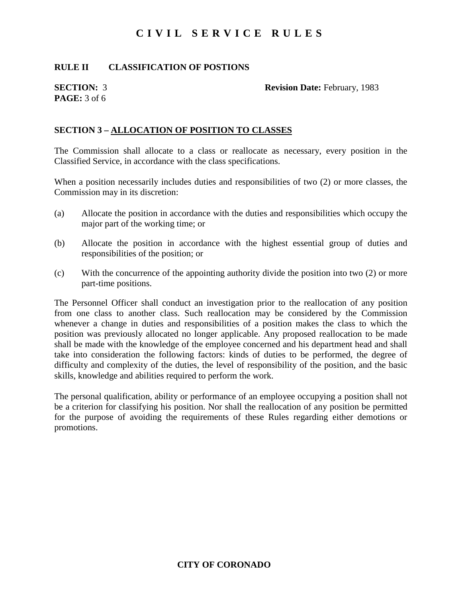#### **RULE II CLASSIFICATION OF POSTIONS**

# **PAGE:** 3 of 6

**SECTION:** 3 **Revision Date: February, 1983** 

#### **SECTION 3 – ALLOCATION OF POSITION TO CLASSES**

The Commission shall allocate to a class or reallocate as necessary, every position in the Classified Service, in accordance with the class specifications.

When a position necessarily includes duties and responsibilities of two (2) or more classes, the Commission may in its discretion:

- (a) Allocate the position in accordance with the duties and responsibilities which occupy the major part of the working time; or
- (b) Allocate the position in accordance with the highest essential group of duties and responsibilities of the position; or
- (c) With the concurrence of the appointing authority divide the position into two (2) or more part-time positions.

The Personnel Officer shall conduct an investigation prior to the reallocation of any position from one class to another class. Such reallocation may be considered by the Commission whenever a change in duties and responsibilities of a position makes the class to which the position was previously allocated no longer applicable. Any proposed reallocation to be made shall be made with the knowledge of the employee concerned and his department head and shall take into consideration the following factors: kinds of duties to be performed, the degree of difficulty and complexity of the duties, the level of responsibility of the position, and the basic skills, knowledge and abilities required to perform the work.

The personal qualification, ability or performance of an employee occupying a position shall not be a criterion for classifying his position. Nor shall the reallocation of any position be permitted for the purpose of avoiding the requirements of these Rules regarding either demotions or promotions.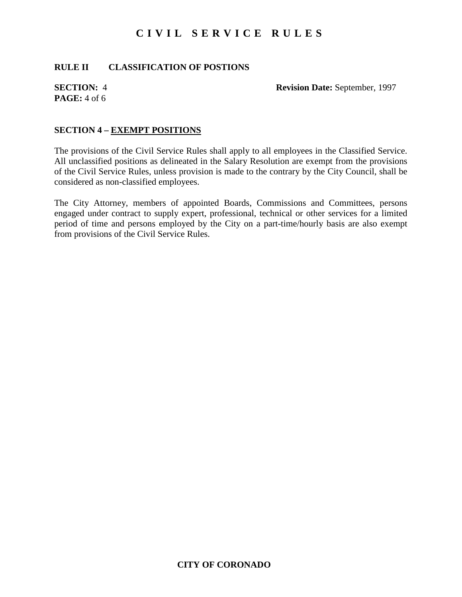### **RULE II CLASSIFICATION OF POSTIONS**

# **PAGE:** 4 of 6

**SECTION:** 4 **Revision Date:** September, 1997

#### **SECTION 4 – EXEMPT POSITIONS**

The provisions of the Civil Service Rules shall apply to all employees in the Classified Service. All unclassified positions as delineated in the Salary Resolution are exempt from the provisions of the Civil Service Rules, unless provision is made to the contrary by the City Council, shall be considered as non-classified employees.

The City Attorney, members of appointed Boards, Commissions and Committees, persons engaged under contract to supply expert, professional, technical or other services for a limited period of time and persons employed by the City on a part-time/hourly basis are also exempt from provisions of the Civil Service Rules.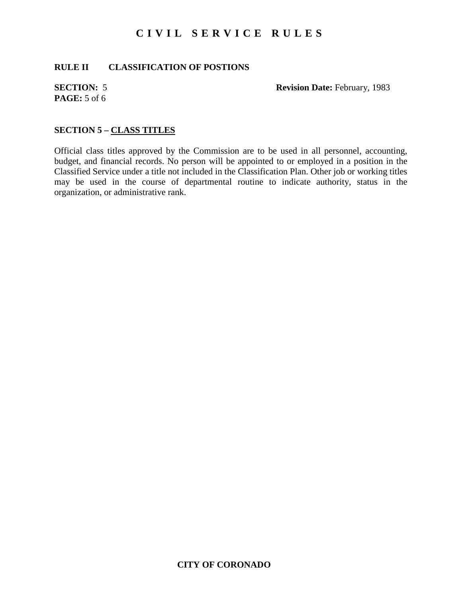### **RULE II CLASSIFICATION OF POSTIONS**

**PAGE:** 5 of 6

**SECTION:** 5 **Revision Date: February, 1983** 

### **SECTION 5 – CLASS TITLES**

Official class titles approved by the Commission are to be used in all personnel, accounting, budget, and financial records. No person will be appointed to or employed in a position in the Classified Service under a title not included in the Classification Plan. Other job or working titles may be used in the course of departmental routine to indicate authority, status in the organization, or administrative rank.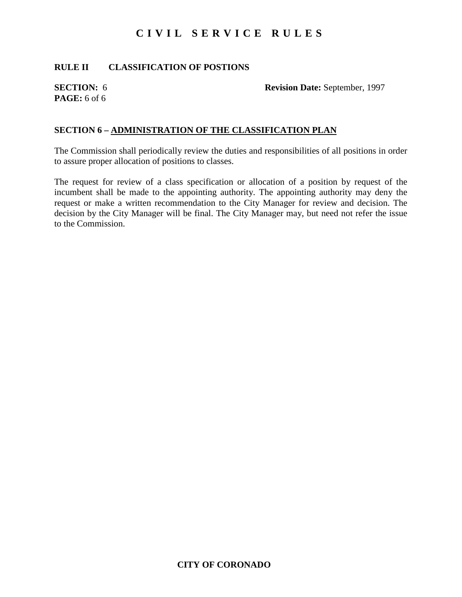### **RULE II CLASSIFICATION OF POSTIONS**

# **PAGE:** 6 of 6

**SECTION:** 6 **Revision Date:** September, 1997

#### **SECTION 6 – ADMINISTRATION OF THE CLASSIFICATION PLAN**

The Commission shall periodically review the duties and responsibilities of all positions in order to assure proper allocation of positions to classes.

The request for review of a class specification or allocation of a position by request of the incumbent shall be made to the appointing authority. The appointing authority may deny the request or make a written recommendation to the City Manager for review and decision. The decision by the City Manager will be final. The City Manager may, but need not refer the issue to the Commission.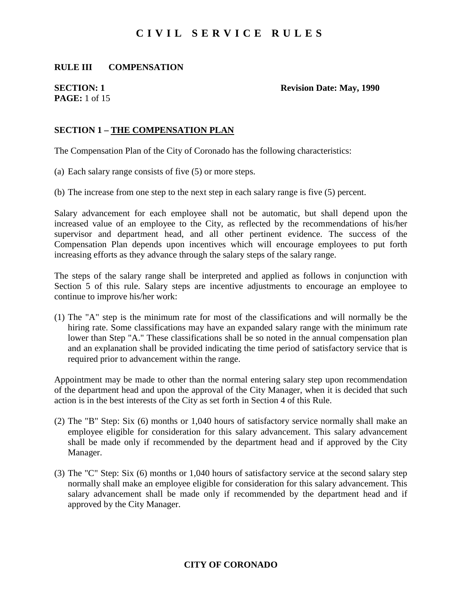#### **RULE III COMPENSATION**

# **PAGE:** 1 of 15

**SECTION: 1** Revision Date: May, 1990

#### **SECTION 1 – THE COMPENSATION PLAN**

The Compensation Plan of the City of Coronado has the following characteristics:

- (a) Each salary range consists of five (5) or more steps.
- (b) The increase from one step to the next step in each salary range is five (5) percent.

Salary advancement for each employee shall not be automatic, but shall depend upon the increased value of an employee to the City, as reflected by the recommendations of his/her supervisor and department head, and all other pertinent evidence. The success of the Compensation Plan depends upon incentives which will encourage employees to put forth increasing efforts as they advance through the salary steps of the salary range.

The steps of the salary range shall be interpreted and applied as follows in conjunction with Section 5 of this rule. Salary steps are incentive adjustments to encourage an employee to continue to improve his/her work:

(1) The "A" step is the minimum rate for most of the classifications and will normally be the hiring rate. Some classifications may have an expanded salary range with the minimum rate lower than Step "A." These classifications shall be so noted in the annual compensation plan and an explanation shall be provided indicating the time period of satisfactory service that is required prior to advancement within the range.

Appointment may be made to other than the normal entering salary step upon recommendation of the department head and upon the approval of the City Manager, when it is decided that such action is in the best interests of the City as set forth in Section 4 of this Rule.

- (2) The "B" Step: Six (6) months or 1,040 hours of satisfactory service normally shall make an employee eligible for consideration for this salary advancement. This salary advancement shall be made only if recommended by the department head and if approved by the City Manager.
- (3) The "C" Step: Six (6) months or 1,040 hours of satisfactory service at the second salary step normally shall make an employee eligible for consideration for this salary advancement. This salary advancement shall be made only if recommended by the department head and if approved by the City Manager.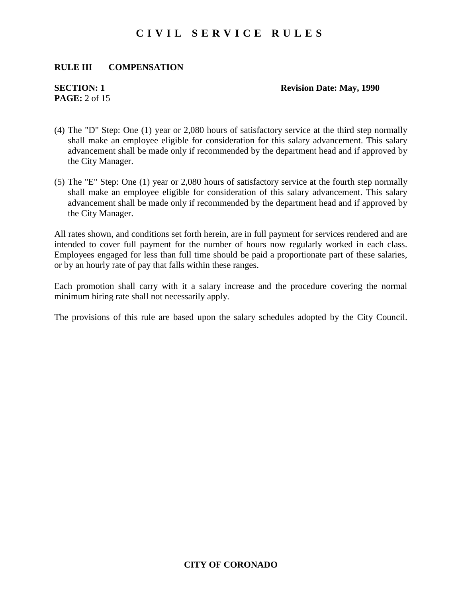#### **RULE III COMPENSATION**

# **PAGE:** 2 of 15

#### **SECTION: 1** Revision Date: May, 1990

- (4) The "D" Step: One (1) year or 2,080 hours of satisfactory service at the third step normally shall make an employee eligible for consideration for this salary advancement. This salary advancement shall be made only if recommended by the department head and if approved by the City Manager.
- (5) The "E" Step: One (1) year or 2,080 hours of satisfactory service at the fourth step normally shall make an employee eligible for consideration of this salary advancement. This salary advancement shall be made only if recommended by the department head and if approved by the City Manager.

All rates shown, and conditions set forth herein, are in full payment for services rendered and are intended to cover full payment for the number of hours now regularly worked in each class. Employees engaged for less than full time should be paid a proportionate part of these salaries, or by an hourly rate of pay that falls within these ranges.

Each promotion shall carry with it a salary increase and the procedure covering the normal minimum hiring rate shall not necessarily apply.

The provisions of this rule are based upon the salary schedules adopted by the City Council.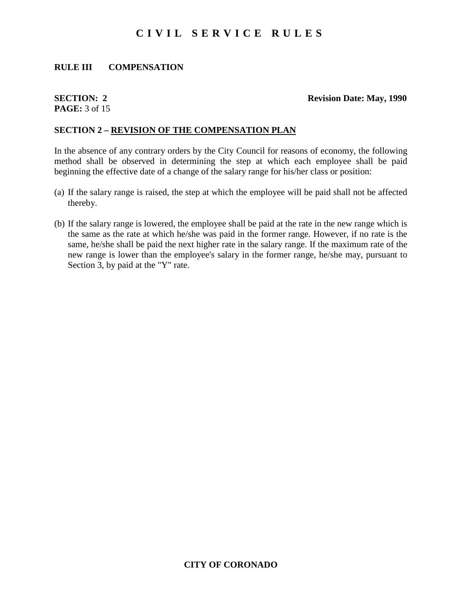#### **RULE III COMPENSATION**

# **PAGE:** 3 of 15

#### **SECTION:** 2 **Revision Date: May, 1990**

#### **SECTION 2 – REVISION OF THE COMPENSATION PLAN**

In the absence of any contrary orders by the City Council for reasons of economy, the following method shall be observed in determining the step at which each employee shall be paid beginning the effective date of a change of the salary range for his/her class or position:

- (a) If the salary range is raised, the step at which the employee will be paid shall not be affected thereby.
- (b) If the salary range is lowered, the employee shall be paid at the rate in the new range which is the same as the rate at which he/she was paid in the former range. However, if no rate is the same, he/she shall be paid the next higher rate in the salary range. If the maximum rate of the new range is lower than the employee's salary in the former range, he/she may, pursuant to Section 3, by paid at the "Y" rate.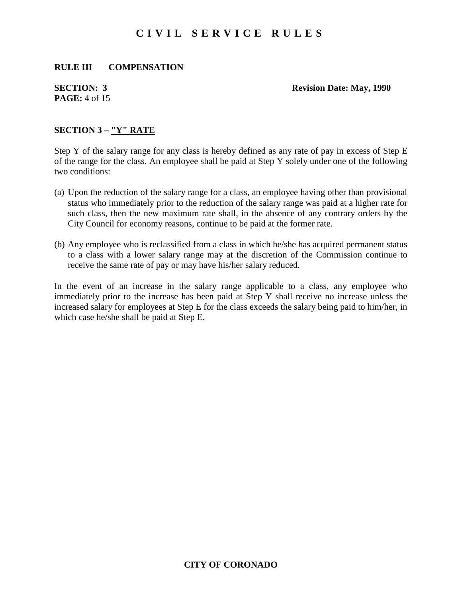#### **RULE III COMPENSATION**

# **PAGE:** 4 of 15

#### **SECTION: 3** Revision Date: May, 1990

#### **SECTION 3 – "Y" RATE**

Step Y of the salary range for any class is hereby defined as any rate of pay in excess of Step E of the range for the class. An employee shall be paid at Step Y solely under one of the following two conditions:

- (a) Upon the reduction of the salary range for a class, an employee having other than provisional status who immediately prior to the reduction of the salary range was paid at a higher rate for such class, then the new maximum rate shall, in the absence of any contrary orders by the City Council for economy reasons, continue to be paid at the former rate.
- (b) Any employee who is reclassified from a class in which he/she has acquired permanent status to a class with a lower salary range may at the discretion of the Commission continue to receive the same rate of pay or may have his/her salary reduced.

In the event of an increase in the salary range applicable to a class, any employee who immediately prior to the increase has been paid at Step Y shall receive no increase unless the increased salary for employees at Step E for the class exceeds the salary being paid to him/her, in which case he/she shall be paid at Step E.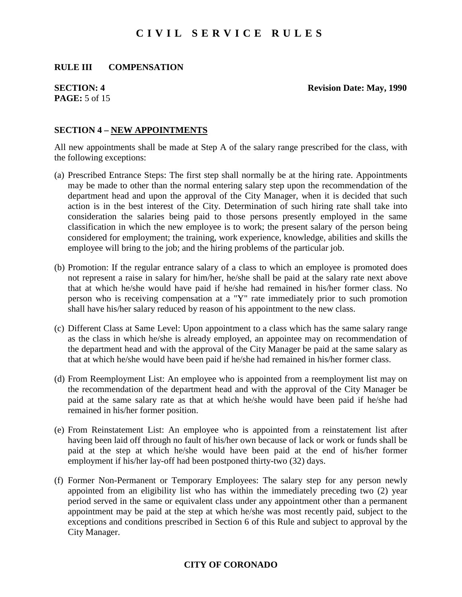#### **RULE III COMPENSATION**

# **PAGE:** 5 of 15

#### **SECTION: 4** Revision Date: May, 1990

#### **SECTION 4 – NEW APPOINTMENTS**

All new appointments shall be made at Step A of the salary range prescribed for the class, with the following exceptions:

- (a) Prescribed Entrance Steps: The first step shall normally be at the hiring rate. Appointments may be made to other than the normal entering salary step upon the recommendation of the department head and upon the approval of the City Manager, when it is decided that such action is in the best interest of the City. Determination of such hiring rate shall take into consideration the salaries being paid to those persons presently employed in the same classification in which the new employee is to work; the present salary of the person being considered for employment; the training, work experience, knowledge, abilities and skills the employee will bring to the job; and the hiring problems of the particular job.
- (b) Promotion: If the regular entrance salary of a class to which an employee is promoted does not represent a raise in salary for him/her, he/she shall be paid at the salary rate next above that at which he/she would have paid if he/she had remained in his/her former class. No person who is receiving compensation at a "Y" rate immediately prior to such promotion shall have his/her salary reduced by reason of his appointment to the new class.
- (c) Different Class at Same Level: Upon appointment to a class which has the same salary range as the class in which he/she is already employed, an appointee may on recommendation of the department head and with the approval of the City Manager be paid at the same salary as that at which he/she would have been paid if he/she had remained in his/her former class.
- (d) From Reemployment List: An employee who is appointed from a reemployment list may on the recommendation of the department head and with the approval of the City Manager be paid at the same salary rate as that at which he/she would have been paid if he/she had remained in his/her former position.
- (e) From Reinstatement List: An employee who is appointed from a reinstatement list after having been laid off through no fault of his/her own because of lack or work or funds shall be paid at the step at which he/she would have been paid at the end of his/her former employment if his/her lay-off had been postponed thirty-two (32) days.
- (f) Former Non-Permanent or Temporary Employees: The salary step for any person newly appointed from an eligibility list who has within the immediately preceding two (2) year period served in the same or equivalent class under any appointment other than a permanent appointment may be paid at the step at which he/she was most recently paid, subject to the exceptions and conditions prescribed in Section 6 of this Rule and subject to approval by the City Manager.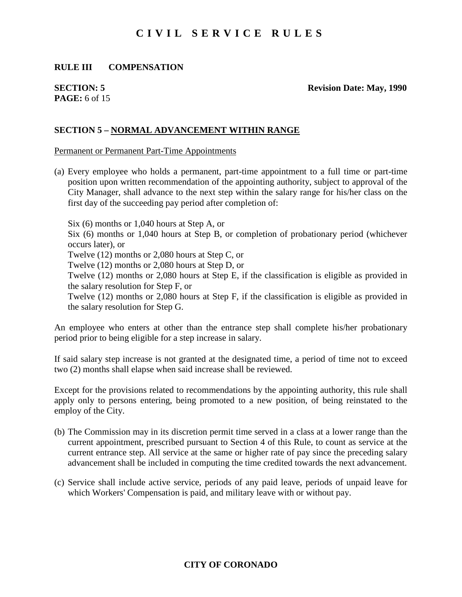#### **RULE III COMPENSATION**

# **PAGE:** 6 of 15

**SECTION: 5** Revision Date: May, 1990

#### **SECTION 5 – NORMAL ADVANCEMENT WITHIN RANGE**

#### Permanent or Permanent Part-Time Appointments

(a) Every employee who holds a permanent, part-time appointment to a full time or part-time position upon written recommendation of the appointing authority, subject to approval of the City Manager, shall advance to the next step within the salary range for his/her class on the first day of the succeeding pay period after completion of:

Six (6) months or 1,040 hours at Step A, or

Six (6) months or 1,040 hours at Step B, or completion of probationary period (whichever occurs later), or

Twelve (12) months or 2,080 hours at Step C, or

Twelve (12) months or 2,080 hours at Step D, or

Twelve (12) months or 2,080 hours at Step E, if the classification is eligible as provided in the salary resolution for Step F, or

Twelve (12) months or 2,080 hours at Step F, if the classification is eligible as provided in the salary resolution for Step G.

An employee who enters at other than the entrance step shall complete his/her probationary period prior to being eligible for a step increase in salary.

If said salary step increase is not granted at the designated time, a period of time not to exceed two (2) months shall elapse when said increase shall be reviewed.

Except for the provisions related to recommendations by the appointing authority, this rule shall apply only to persons entering, being promoted to a new position, of being reinstated to the employ of the City.

- (b) The Commission may in its discretion permit time served in a class at a lower range than the current appointment, prescribed pursuant to Section 4 of this Rule, to count as service at the current entrance step. All service at the same or higher rate of pay since the preceding salary advancement shall be included in computing the time credited towards the next advancement.
- (c) Service shall include active service, periods of any paid leave, periods of unpaid leave for which Workers' Compensation is paid, and military leave with or without pay.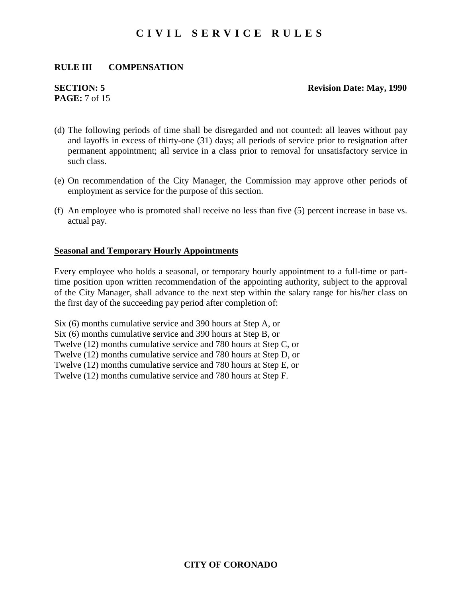#### **RULE III COMPENSATION**

# **PAGE:** 7 of 15

#### **SECTION: 5** Revision Date: May, 1990

- (d) The following periods of time shall be disregarded and not counted: all leaves without pay and layoffs in excess of thirty-one (31) days; all periods of service prior to resignation after permanent appointment; all service in a class prior to removal for unsatisfactory service in such class.
- (e) On recommendation of the City Manager, the Commission may approve other periods of employment as service for the purpose of this section.
- (f) An employee who is promoted shall receive no less than five (5) percent increase in base vs. actual pay.

#### **Seasonal and Temporary Hourly Appointments**

Every employee who holds a seasonal, or temporary hourly appointment to a full-time or parttime position upon written recommendation of the appointing authority, subject to the approval of the City Manager, shall advance to the next step within the salary range for his/her class on the first day of the succeeding pay period after completion of:

Six (6) months cumulative service and 390 hours at Step A, or Six (6) months cumulative service and 390 hours at Step B, or Twelve (12) months cumulative service and 780 hours at Step C, or Twelve (12) months cumulative service and 780 hours at Step D, or Twelve (12) months cumulative service and 780 hours at Step E, or Twelve (12) months cumulative service and 780 hours at Step F.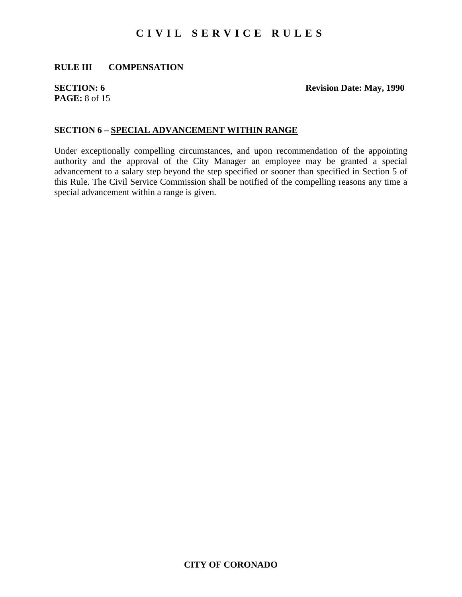#### **RULE III COMPENSATION**

# **PAGE:** 8 of 15

#### **SECTION: 6** Revision Date: May, 1990

#### **SECTION 6 – SPECIAL ADVANCEMENT WITHIN RANGE**

Under exceptionally compelling circumstances, and upon recommendation of the appointing authority and the approval of the City Manager an employee may be granted a special advancement to a salary step beyond the step specified or sooner than specified in Section 5 of this Rule. The Civil Service Commission shall be notified of the compelling reasons any time a special advancement within a range is given.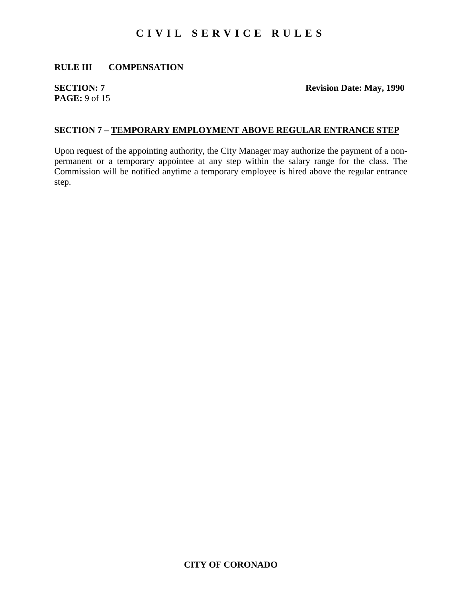#### **RULE III COMPENSATION**

# **PAGE:** 9 of 15

**SECTION: 7** Revision Date: May, 1990

#### **SECTION 7 – TEMPORARY EMPLOYMENT ABOVE REGULAR ENTRANCE STEP**

Upon request of the appointing authority, the City Manager may authorize the payment of a nonpermanent or a temporary appointee at any step within the salary range for the class. The Commission will be notified anytime a temporary employee is hired above the regular entrance step.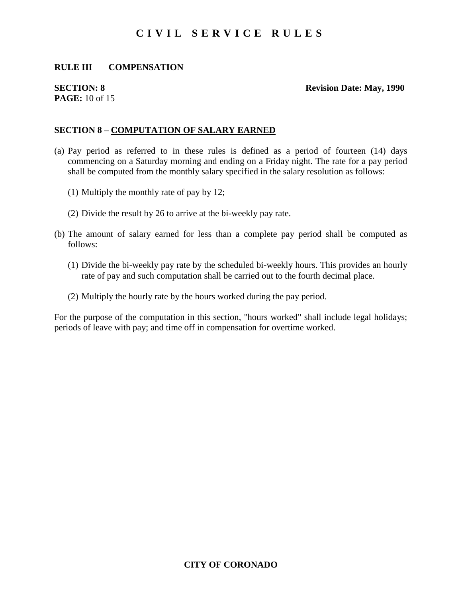#### **RULE III COMPENSATION**

# **PAGE:** 10 of 15

#### **SECTION: 8** Revision Date: May, 1990

#### **SECTION 8** – **COMPUTATION OF SALARY EARNED**

- (a) Pay period as referred to in these rules is defined as a period of fourteen (14) days commencing on a Saturday morning and ending on a Friday night. The rate for a pay period shall be computed from the monthly salary specified in the salary resolution as follows:
	- (1) Multiply the monthly rate of pay by 12;
	- (2) Divide the result by 26 to arrive at the bi-weekly pay rate.
- (b) The amount of salary earned for less than a complete pay period shall be computed as follows:
	- (1) Divide the bi-weekly pay rate by the scheduled bi-weekly hours. This provides an hourly rate of pay and such computation shall be carried out to the fourth decimal place.
	- (2) Multiply the hourly rate by the hours worked during the pay period.

For the purpose of the computation in this section, "hours worked" shall include legal holidays; periods of leave with pay; and time off in compensation for overtime worked.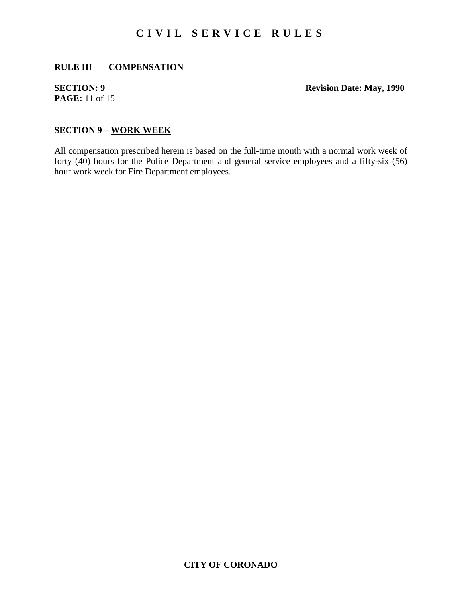#### **RULE III COMPENSATION**

# **PAGE:** 11 of 15

**SECTION: 9** Revision Date: May, 1990

### **SECTION 9 – WORK WEEK**

All compensation prescribed herein is based on the full-time month with a normal work week of forty (40) hours for the Police Department and general service employees and a fifty-six (56) hour work week for Fire Department employees.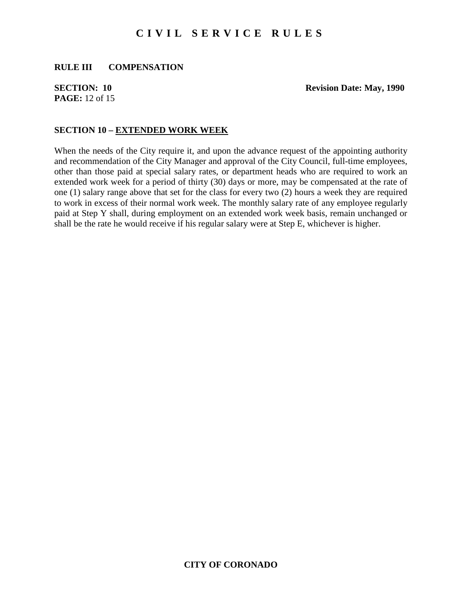#### **RULE III COMPENSATION**

# **PAGE:** 12 of 15

**SECTION:** 10 **Revision Date: May, 1990** 

#### **SECTION 10 – EXTENDED WORK WEEK**

When the needs of the City require it, and upon the advance request of the appointing authority and recommendation of the City Manager and approval of the City Council, full-time employees, other than those paid at special salary rates, or department heads who are required to work an extended work week for a period of thirty (30) days or more, may be compensated at the rate of one (1) salary range above that set for the class for every two (2) hours a week they are required to work in excess of their normal work week. The monthly salary rate of any employee regularly paid at Step Y shall, during employment on an extended work week basis, remain unchanged or shall be the rate he would receive if his regular salary were at Step E, whichever is higher.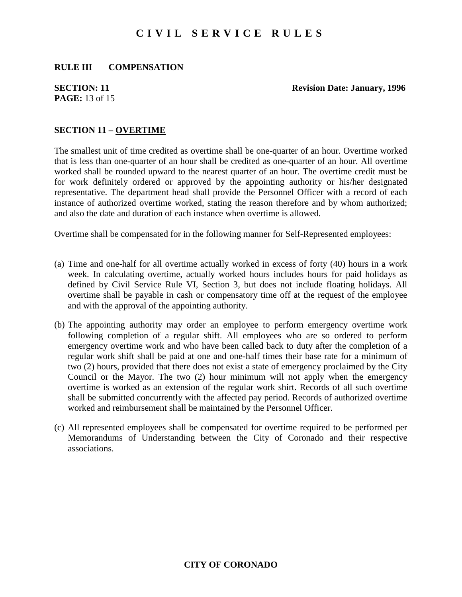#### **RULE III COMPENSATION**

# **PAGE:** 13 of 15

**SECTION:** 11 **Revision Date: January, 1996** 

#### **SECTION 11 – OVERTIME**

The smallest unit of time credited as overtime shall be one-quarter of an hour. Overtime worked that is less than one-quarter of an hour shall be credited as one-quarter of an hour. All overtime worked shall be rounded upward to the nearest quarter of an hour. The overtime credit must be for work definitely ordered or approved by the appointing authority or his/her designated representative. The department head shall provide the Personnel Officer with a record of each instance of authorized overtime worked, stating the reason therefore and by whom authorized; and also the date and duration of each instance when overtime is allowed.

Overtime shall be compensated for in the following manner for Self-Represented employees:

- (a) Time and one-half for all overtime actually worked in excess of forty (40) hours in a work week. In calculating overtime, actually worked hours includes hours for paid holidays as defined by Civil Service Rule VI, Section 3, but does not include floating holidays. All overtime shall be payable in cash or compensatory time off at the request of the employee and with the approval of the appointing authority.
- (b) The appointing authority may order an employee to perform emergency overtime work following completion of a regular shift. All employees who are so ordered to perform emergency overtime work and who have been called back to duty after the completion of a regular work shift shall be paid at one and one-half times their base rate for a minimum of two (2) hours, provided that there does not exist a state of emergency proclaimed by the City Council or the Mayor. The two (2) hour minimum will not apply when the emergency overtime is worked as an extension of the regular work shirt. Records of all such overtime shall be submitted concurrently with the affected pay period. Records of authorized overtime worked and reimbursement shall be maintained by the Personnel Officer.
- (c) All represented employees shall be compensated for overtime required to be performed per Memorandums of Understanding between the City of Coronado and their respective associations.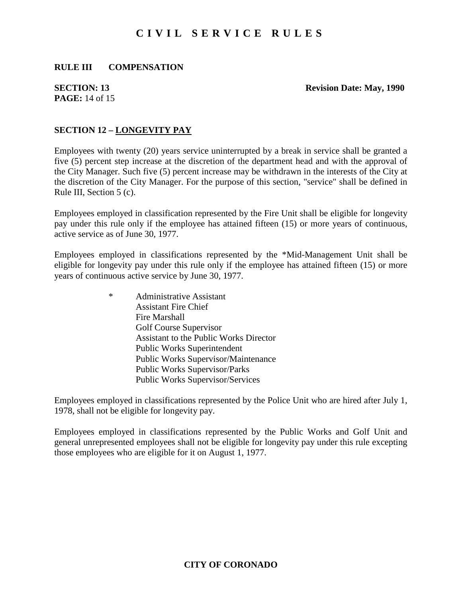#### **RULE III COMPENSATION**

# **PAGE:** 14 of 15

**SECTION:** 13 **Revision Date: May, 1990** 

#### **SECTION 12 – LONGEVITY PAY**

Employees with twenty (20) years service uninterrupted by a break in service shall be granted a five (5) percent step increase at the discretion of the department head and with the approval of the City Manager. Such five (5) percent increase may be withdrawn in the interests of the City at the discretion of the City Manager. For the purpose of this section, "service" shall be defined in Rule III, Section 5 (c).

Employees employed in classification represented by the Fire Unit shall be eligible for longevity pay under this rule only if the employee has attained fifteen (15) or more years of continuous, active service as of June 30, 1977.

Employees employed in classifications represented by the \*Mid-Management Unit shall be eligible for longevity pay under this rule only if the employee has attained fifteen (15) or more years of continuous active service by June 30, 1977.

> \* Administrative Assistant Assistant Fire Chief Fire Marshall Golf Course Supervisor Assistant to the Public Works Director Public Works Superintendent Public Works Supervisor/Maintenance Public Works Supervisor/Parks Public Works Supervisor/Services

Employees employed in classifications represented by the Police Unit who are hired after July 1, 1978, shall not be eligible for longevity pay.

Employees employed in classifications represented by the Public Works and Golf Unit and general unrepresented employees shall not be eligible for longevity pay under this rule excepting those employees who are eligible for it on August 1, 1977.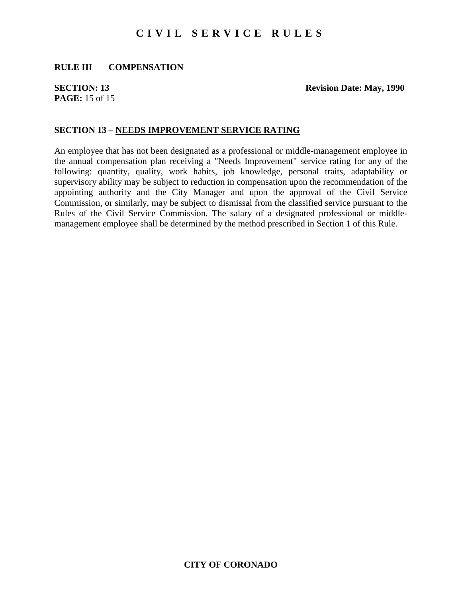#### **RULE III COMPENSATION**

# **PAGE:** 15 of 15

**SECTION:** 13 **Revision Date: May, 1990** 

#### **SECTION 13 – NEEDS IMPROVEMENT SERVICE RATING**

An employee that has not been designated as a professional or middle-management employee in the annual compensation plan receiving a "Needs Improvement" service rating for any of the following: quantity, quality, work habits, job knowledge, personal traits, adaptability or supervisory ability may be subject to reduction in compensation upon the recommendation of the appointing authority and the City Manager and upon the approval of the Civil Service Commission, or similarly, may be subject to dismissal from the classified service pursuant to the Rules of the Civil Service Commission. The salary of a designated professional or middlemanagement employee shall be determined by the method prescribed in Section 1 of this Rule.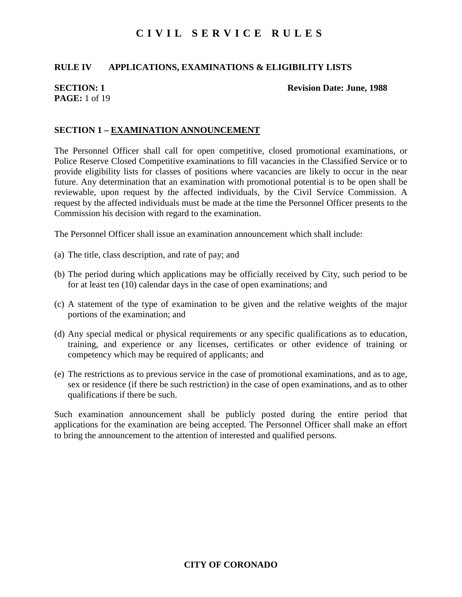## **RULE IV APPLICATIONS, EXAMINATIONS & ELIGIBILITY LISTS**

# **PAGE:** 1 of 19

#### **SECTION: 1** Revision Date: June, 1988

### **SECTION 1 – EXAMINATION ANNOUNCEMENT**

The Personnel Officer shall call for open competitive, closed promotional examinations, or Police Reserve Closed Competitive examinations to fill vacancies in the Classified Service or to provide eligibility lists for classes of positions where vacancies are likely to occur in the near future. Any determination that an examination with promotional potential is to be open shall be reviewable, upon request by the affected individuals, by the Civil Service Commission. A request by the affected individuals must be made at the time the Personnel Officer presents to the Commission his decision with regard to the examination.

The Personnel Officer shall issue an examination announcement which shall include:

- (a) The title, class description, and rate of pay; and
- (b) The period during which applications may be officially received by City, such period to be for at least ten (10) calendar days in the case of open examinations; and
- (c) A statement of the type of examination to be given and the relative weights of the major portions of the examination; and
- (d) Any special medical or physical requirements or any specific qualifications as to education, training, and experience or any licenses, certificates or other evidence of training or competency which may be required of applicants; and
- (e) The restrictions as to previous service in the case of promotional examinations, and as to age, sex or residence (if there be such restriction) in the case of open examinations, and as to other qualifications if there be such.

Such examination announcement shall be publicly posted during the entire period that applications for the examination are being accepted. The Personnel Officer shall make an effort to bring the announcement to the attention of interested and qualified persons.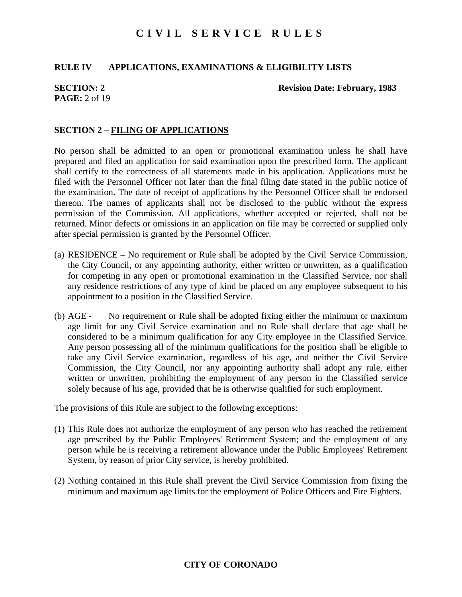## **RULE IV APPLICATIONS, EXAMINATIONS & ELIGIBILITY LISTS**

# **PAGE:** 2 of 19

**SECTION: 2** Revision Date: February, 1983

### **SECTION 2 – FILING OF APPLICATIONS**

No person shall be admitted to an open or promotional examination unless he shall have prepared and filed an application for said examination upon the prescribed form. The applicant shall certify to the correctness of all statements made in his application. Applications must be filed with the Personnel Officer not later than the final filing date stated in the public notice of the examination. The date of receipt of applications by the Personnel Officer shall be endorsed thereon. The names of applicants shall not be disclosed to the public without the express permission of the Commission. All applications, whether accepted or rejected, shall not be returned. Minor defects or omissions in an application on file may be corrected or supplied only after special permission is granted by the Personnel Officer.

- (a) RESIDENCE No requirement or Rule shall be adopted by the Civil Service Commission, the City Council, or any appointing authority, either written or unwritten, as a qualification for competing in any open or promotional examination in the Classified Service, nor shall any residence restrictions of any type of kind be placed on any employee subsequent to his appointment to a position in the Classified Service.
- (b) AGE No requirement or Rule shall be adopted fixing either the minimum or maximum age limit for any Civil Service examination and no Rule shall declare that age shall be considered to be a minimum qualification for any City employee in the Classified Service. Any person possessing all of the minimum qualifications for the position shall be eligible to take any Civil Service examination, regardless of his age, and neither the Civil Service Commission, the City Council, nor any appointing authority shall adopt any rule, either written or unwritten, prohibiting the employment of any person in the Classified service solely because of his age, provided that he is otherwise qualified for such employment.

The provisions of this Rule are subject to the following exceptions:

- (1) This Rule does not authorize the employment of any person who has reached the retirement age prescribed by the Public Employees' Retirement System; and the employment of any person while he is receiving a retirement allowance under the Public Employees' Retirement System, by reason of prior City service, is hereby prohibited.
- (2) Nothing contained in this Rule shall prevent the Civil Service Commission from fixing the minimum and maximum age limits for the employment of Police Officers and Fire Fighters.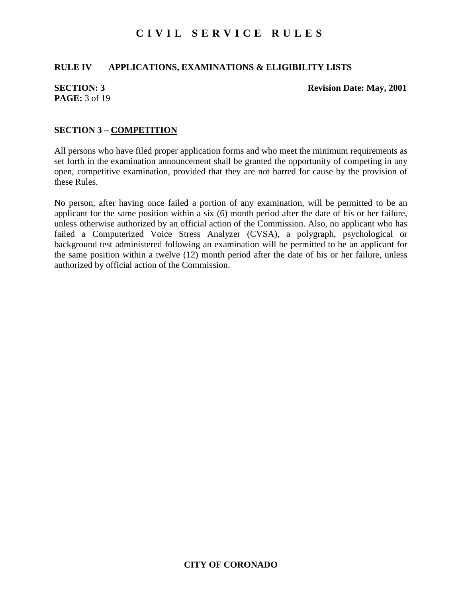## **RULE IV APPLICATIONS, EXAMINATIONS & ELIGIBILITY LISTS**

**PAGE:** 3 of 19

**SECTION: 3** Revision Date: May, 2001

### **SECTION 3 – COMPETITION**

All persons who have filed proper application forms and who meet the minimum requirements as set forth in the examination announcement shall be granted the opportunity of competing in any open, competitive examination, provided that they are not barred for cause by the provision of these Rules.

No person, after having once failed a portion of any examination, will be permitted to be an applicant for the same position within a six (6) month period after the date of his or her failure, unless otherwise authorized by an official action of the Commission. Also, no applicant who has failed a Computerized Voice Stress Analyzer (CVSA), a polygraph, psychological or background test administered following an examination will be permitted to be an applicant for the same position within a twelve (12) month period after the date of his or her failure, unless authorized by official action of the Commission.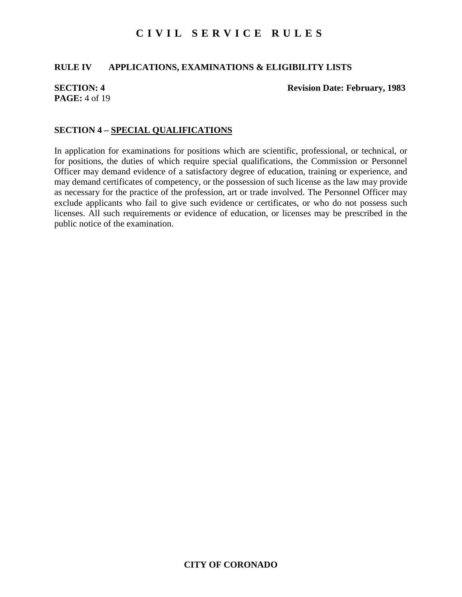### **RULE IV APPLICATIONS, EXAMINATIONS & ELIGIBILITY LISTS**

# **PAGE:** 4 of 19

**SECTION: 4** Revision Date: February, 1983

## **SECTION 4 – SPECIAL QUALIFICATIONS**

In application for examinations for positions which are scientific, professional, or technical, or for positions, the duties of which require special qualifications, the Commission or Personnel Officer may demand evidence of a satisfactory degree of education, training or experience, and may demand certificates of competency, or the possession of such license as the law may provide as necessary for the practice of the profession, art or trade involved. The Personnel Officer may exclude applicants who fail to give such evidence or certificates, or who do not possess such licenses. All such requirements or evidence of education, or licenses may be prescribed in the public notice of the examination.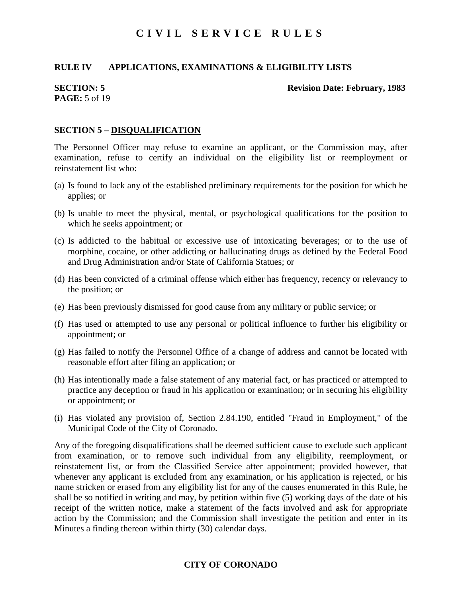### **RULE IV APPLICATIONS, EXAMINATIONS & ELIGIBILITY LISTS**

# **PAGE:** 5 of 19

#### **SECTION: 5** Revision Date: February, 1983

#### **SECTION 5 – DISQUALIFICATION**

The Personnel Officer may refuse to examine an applicant, or the Commission may, after examination, refuse to certify an individual on the eligibility list or reemployment or reinstatement list who:

- (a) Is found to lack any of the established preliminary requirements for the position for which he applies; or
- (b) Is unable to meet the physical, mental, or psychological qualifications for the position to which he seeks appointment; or
- (c) Is addicted to the habitual or excessive use of intoxicating beverages; or to the use of morphine, cocaine, or other addicting or hallucinating drugs as defined by the Federal Food and Drug Administration and/or State of California Statues; or
- (d) Has been convicted of a criminal offense which either has frequency, recency or relevancy to the position; or
- (e) Has been previously dismissed for good cause from any military or public service; or
- (f) Has used or attempted to use any personal or political influence to further his eligibility or appointment; or
- (g) Has failed to notify the Personnel Office of a change of address and cannot be located with reasonable effort after filing an application; or
- (h) Has intentionally made a false statement of any material fact, or has practiced or attempted to practice any deception or fraud in his application or examination; or in securing his eligibility or appointment; or
- (i) Has violated any provision of, Section 2.84.190, entitled "Fraud in Employment," of the Municipal Code of the City of Coronado.

Any of the foregoing disqualifications shall be deemed sufficient cause to exclude such applicant from examination, or to remove such individual from any eligibility, reemployment, or reinstatement list, or from the Classified Service after appointment; provided however, that whenever any applicant is excluded from any examination, or his application is rejected, or his name stricken or erased from any eligibility list for any of the causes enumerated in this Rule, he shall be so notified in writing and may, by petition within five (5) working days of the date of his receipt of the written notice, make a statement of the facts involved and ask for appropriate action by the Commission; and the Commission shall investigate the petition and enter in its Minutes a finding thereon within thirty (30) calendar days.

### **CITY OF CORONADO**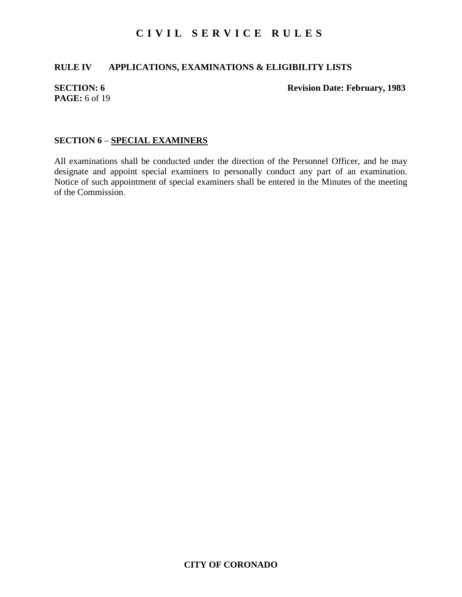## **RULE IV APPLICATIONS, EXAMINATIONS & ELIGIBILITY LISTS**

# **PAGE:** 6 of 19

**SECTION: 6** Revision Date: February, 1983

### **SECTION 6** – **SPECIAL EXAMINERS**

All examinations shall be conducted under the direction of the Personnel Officer, and he may designate and appoint special examiners to personally conduct any part of an examination. Notice of such appointment of special examiners shall be entered in the Minutes of the meeting of the Commission.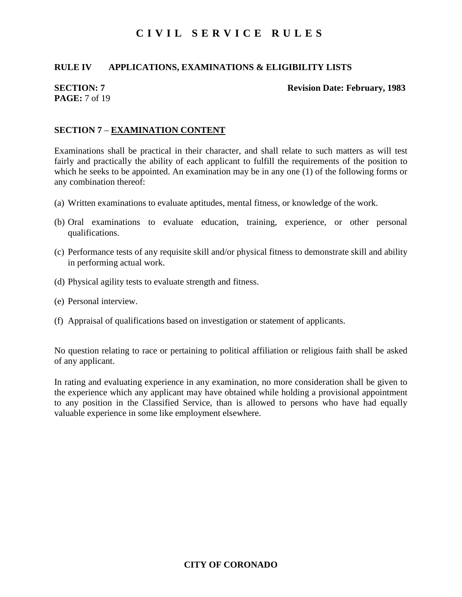## **RULE IV APPLICATIONS, EXAMINATIONS & ELIGIBILITY LISTS**

# **PAGE:** 7 of 19

#### **SECTION: 7** Revision Date: February, 1983

### **SECTION 7** – **EXAMINATION CONTENT**

Examinations shall be practical in their character, and shall relate to such matters as will test fairly and practically the ability of each applicant to fulfill the requirements of the position to which he seeks to be appointed. An examination may be in any one (1) of the following forms or any combination thereof:

- (a) Written examinations to evaluate aptitudes, mental fitness, or knowledge of the work.
- (b) Oral examinations to evaluate education, training, experience, or other personal qualifications.
- (c) Performance tests of any requisite skill and/or physical fitness to demonstrate skill and ability in performing actual work.
- (d) Physical agility tests to evaluate strength and fitness.
- (e) Personal interview.
- (f) Appraisal of qualifications based on investigation or statement of applicants.

No question relating to race or pertaining to political affiliation or religious faith shall be asked of any applicant.

In rating and evaluating experience in any examination, no more consideration shall be given to the experience which any applicant may have obtained while holding a provisional appointment to any position in the Classified Service, than is allowed to persons who have had equally valuable experience in some like employment elsewhere.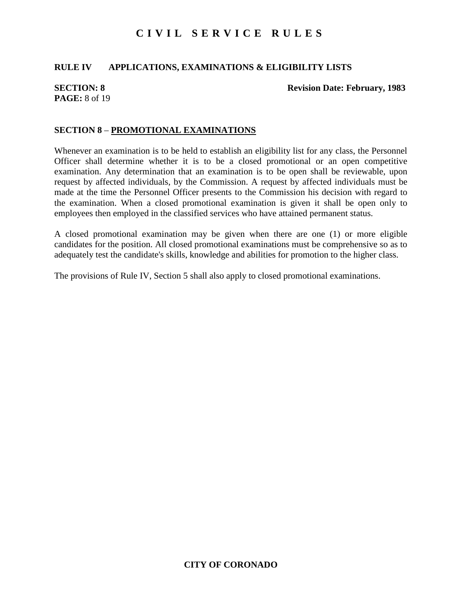## **RULE IV APPLICATIONS, EXAMINATIONS & ELIGIBILITY LISTS**

# **PAGE:** 8 of 19

#### **SECTION: 8** Revision Date: February, 1983

### **SECTION 8** – **PROMOTIONAL EXAMINATIONS**

Whenever an examination is to be held to establish an eligibility list for any class, the Personnel Officer shall determine whether it is to be a closed promotional or an open competitive examination. Any determination that an examination is to be open shall be reviewable, upon request by affected individuals, by the Commission. A request by affected individuals must be made at the time the Personnel Officer presents to the Commission his decision with regard to the examination. When a closed promotional examination is given it shall be open only to employees then employed in the classified services who have attained permanent status.

A closed promotional examination may be given when there are one (1) or more eligible candidates for the position. All closed promotional examinations must be comprehensive so as to adequately test the candidate's skills, knowledge and abilities for promotion to the higher class.

The provisions of Rule IV, Section 5 shall also apply to closed promotional examinations.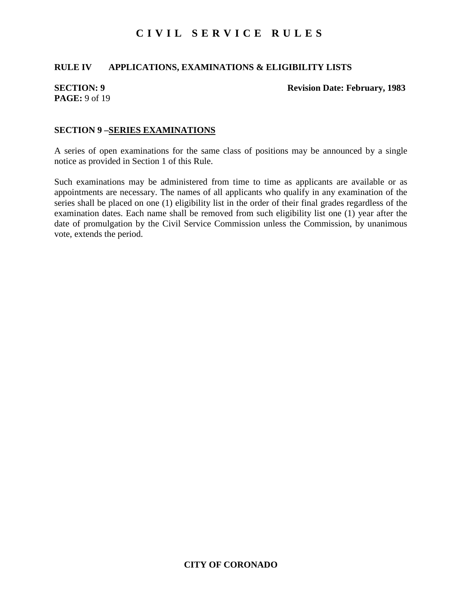## **RULE IV APPLICATIONS, EXAMINATIONS & ELIGIBILITY LISTS**

# **PAGE:** 9 of 19

#### **SECTION: 9** Revision Date: February, 1983

### **SECTION 9 –SERIES EXAMINATIONS**

A series of open examinations for the same class of positions may be announced by a single notice as provided in Section 1 of this Rule.

Such examinations may be administered from time to time as applicants are available or as appointments are necessary. The names of all applicants who qualify in any examination of the series shall be placed on one (1) eligibility list in the order of their final grades regardless of the examination dates. Each name shall be removed from such eligibility list one (1) year after the date of promulgation by the Civil Service Commission unless the Commission, by unanimous vote, extends the period.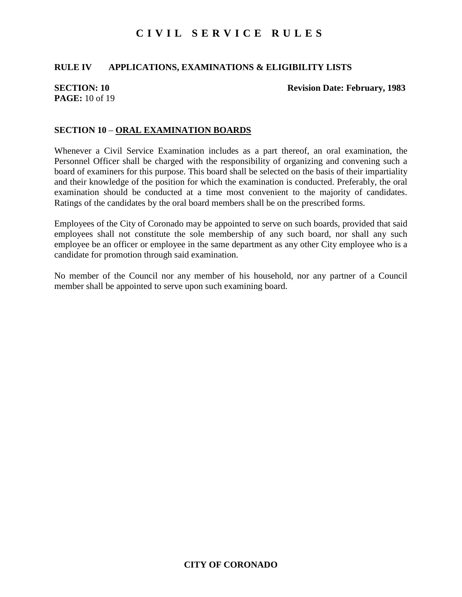## **RULE IV APPLICATIONS, EXAMINATIONS & ELIGIBILITY LISTS**

# **PAGE:** 10 of 19

**SECTION: 10** Revision Date: February, 1983

### **SECTION 10** – **ORAL EXAMINATION BOARDS**

Whenever a Civil Service Examination includes as a part thereof, an oral examination, the Personnel Officer shall be charged with the responsibility of organizing and convening such a board of examiners for this purpose. This board shall be selected on the basis of their impartiality and their knowledge of the position for which the examination is conducted. Preferably, the oral examination should be conducted at a time most convenient to the majority of candidates. Ratings of the candidates by the oral board members shall be on the prescribed forms.

Employees of the City of Coronado may be appointed to serve on such boards, provided that said employees shall not constitute the sole membership of any such board, nor shall any such employee be an officer or employee in the same department as any other City employee who is a candidate for promotion through said examination.

No member of the Council nor any member of his household, nor any partner of a Council member shall be appointed to serve upon such examining board.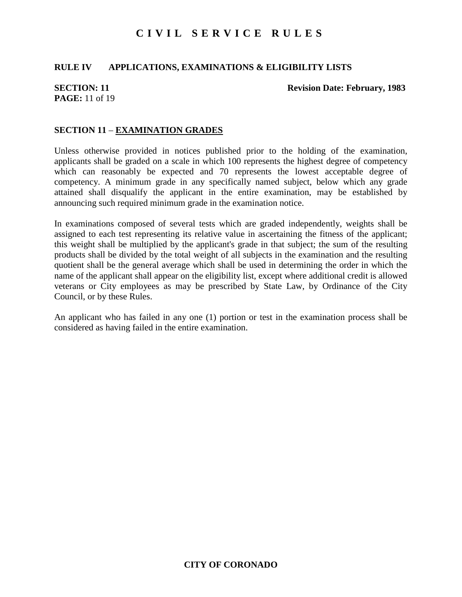## **RULE IV APPLICATIONS, EXAMINATIONS & ELIGIBILITY LISTS**

# **PAGE:** 11 of 19

**SECTION: 11** Revision Date: February, 1983

### **SECTION 11** – **EXAMINATION GRADES**

Unless otherwise provided in notices published prior to the holding of the examination, applicants shall be graded on a scale in which 100 represents the highest degree of competency which can reasonably be expected and 70 represents the lowest acceptable degree of competency. A minimum grade in any specifically named subject, below which any grade attained shall disqualify the applicant in the entire examination, may be established by announcing such required minimum grade in the examination notice.

In examinations composed of several tests which are graded independently, weights shall be assigned to each test representing its relative value in ascertaining the fitness of the applicant; this weight shall be multiplied by the applicant's grade in that subject; the sum of the resulting products shall be divided by the total weight of all subjects in the examination and the resulting quotient shall be the general average which shall be used in determining the order in which the name of the applicant shall appear on the eligibility list, except where additional credit is allowed veterans or City employees as may be prescribed by State Law, by Ordinance of the City Council, or by these Rules.

An applicant who has failed in any one (1) portion or test in the examination process shall be considered as having failed in the entire examination.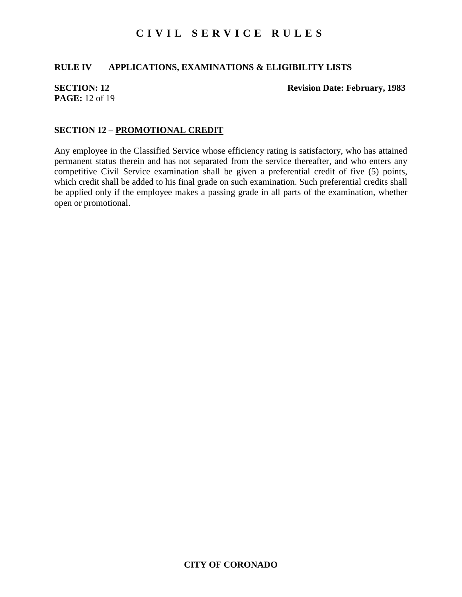## **RULE IV APPLICATIONS, EXAMINATIONS & ELIGIBILITY LISTS**

# **PAGE:** 12 of 19

#### **SECTION: 12** Revision Date: February, 1983

#### **SECTION 12** – **PROMOTIONAL CREDIT**

Any employee in the Classified Service whose efficiency rating is satisfactory, who has attained permanent status therein and has not separated from the service thereafter, and who enters any competitive Civil Service examination shall be given a preferential credit of five (5) points, which credit shall be added to his final grade on such examination. Such preferential credits shall be applied only if the employee makes a passing grade in all parts of the examination, whether open or promotional.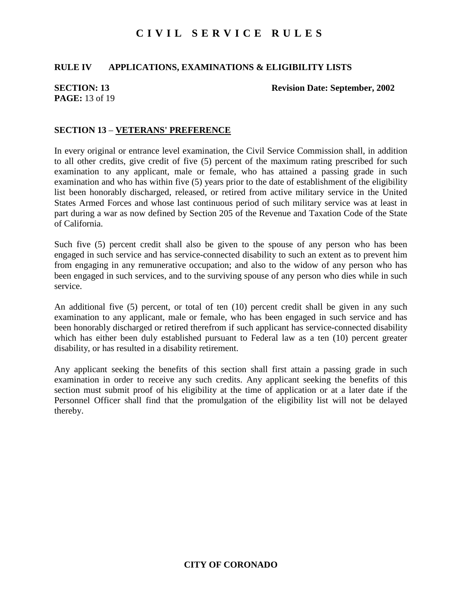## **RULE IV APPLICATIONS, EXAMINATIONS & ELIGIBILITY LISTS**

# **PAGE:** 13 of 19

**SECTION: 13 Revision Date: September, 2002**

### **SECTION 13** – **VETERANS' PREFERENCE**

In every original or entrance level examination, the Civil Service Commission shall, in addition to all other credits, give credit of five (5) percent of the maximum rating prescribed for such examination to any applicant, male or female, who has attained a passing grade in such examination and who has within five (5) years prior to the date of establishment of the eligibility list been honorably discharged, released, or retired from active military service in the United States Armed Forces and whose last continuous period of such military service was at least in part during a war as now defined by Section 205 of the Revenue and Taxation Code of the State of California.

Such five (5) percent credit shall also be given to the spouse of any person who has been engaged in such service and has service-connected disability to such an extent as to prevent him from engaging in any remunerative occupation; and also to the widow of any person who has been engaged in such services, and to the surviving spouse of any person who dies while in such service.

An additional five (5) percent, or total of ten (10) percent credit shall be given in any such examination to any applicant, male or female, who has been engaged in such service and has been honorably discharged or retired therefrom if such applicant has service-connected disability which has either been duly established pursuant to Federal law as a ten (10) percent greater disability, or has resulted in a disability retirement.

Any applicant seeking the benefits of this section shall first attain a passing grade in such examination in order to receive any such credits. Any applicant seeking the benefits of this section must submit proof of his eligibility at the time of application or at a later date if the Personnel Officer shall find that the promulgation of the eligibility list will not be delayed thereby.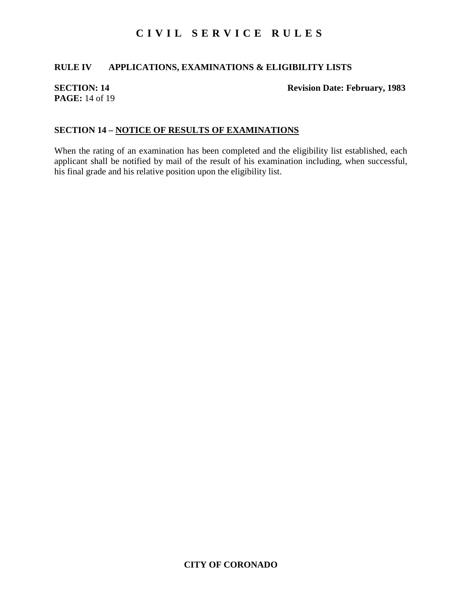## **RULE IV APPLICATIONS, EXAMINATIONS & ELIGIBILITY LISTS**

# **PAGE:** 14 of 19

### **SECTION: 14** Revision Date: February, 1983

## **SECTION 14 – NOTICE OF RESULTS OF EXAMINATIONS**

When the rating of an examination has been completed and the eligibility list established, each applicant shall be notified by mail of the result of his examination including, when successful, his final grade and his relative position upon the eligibility list.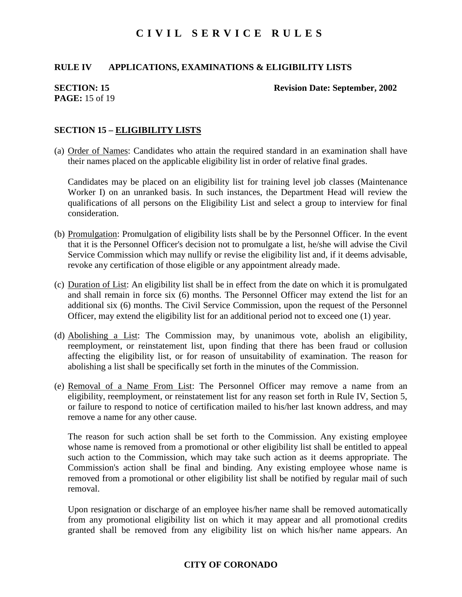## **RULE IV APPLICATIONS, EXAMINATIONS & ELIGIBILITY LISTS**

# **PAGE:** 15 of 19

#### **SECTION: 15 Revision Date: September, 2002**

#### **SECTION 15 – ELIGIBILITY LISTS**

(a) Order of Names: Candidates who attain the required standard in an examination shall have their names placed on the applicable eligibility list in order of relative final grades.

Candidates may be placed on an eligibility list for training level job classes (Maintenance Worker I) on an unranked basis. In such instances, the Department Head will review the qualifications of all persons on the Eligibility List and select a group to interview for final consideration.

- (b) Promulgation: Promulgation of eligibility lists shall be by the Personnel Officer. In the event that it is the Personnel Officer's decision not to promulgate a list, he/she will advise the Civil Service Commission which may nullify or revise the eligibility list and, if it deems advisable, revoke any certification of those eligible or any appointment already made.
- (c) Duration of List: An eligibility list shall be in effect from the date on which it is promulgated and shall remain in force six (6) months. The Personnel Officer may extend the list for an additional six (6) months. The Civil Service Commission, upon the request of the Personnel Officer, may extend the eligibility list for an additional period not to exceed one (1) year.
- (d) Abolishing a List: The Commission may, by unanimous vote, abolish an eligibility, reemployment, or reinstatement list, upon finding that there has been fraud or collusion affecting the eligibility list, or for reason of unsuitability of examination. The reason for abolishing a list shall be specifically set forth in the minutes of the Commission.
- (e) Removal of a Name From List: The Personnel Officer may remove a name from an eligibility, reemployment, or reinstatement list for any reason set forth in Rule IV, Section 5, or failure to respond to notice of certification mailed to his/her last known address, and may remove a name for any other cause.

The reason for such action shall be set forth to the Commission. Any existing employee whose name is removed from a promotional or other eligibility list shall be entitled to appeal such action to the Commission, which may take such action as it deems appropriate. The Commission's action shall be final and binding. Any existing employee whose name is removed from a promotional or other eligibility list shall be notified by regular mail of such removal.

Upon resignation or discharge of an employee his/her name shall be removed automatically from any promotional eligibility list on which it may appear and all promotional credits granted shall be removed from any eligibility list on which his/her name appears. An

## **CITY OF CORONADO**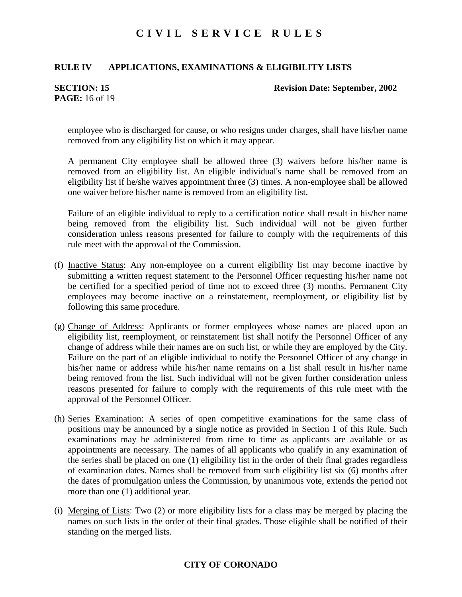## **RULE IV APPLICATIONS, EXAMINATIONS & ELIGIBILITY LISTS**

# **PAGE:** 16 of 19

#### **SECTION: 15 Revision Date: September, 2002**

employee who is discharged for cause, or who resigns under charges, shall have his/her name removed from any eligibility list on which it may appear.

A permanent City employee shall be allowed three (3) waivers before his/her name is removed from an eligibility list. An eligible individual's name shall be removed from an eligibility list if he/she waives appointment three (3) times. A non-employee shall be allowed one waiver before his/her name is removed from an eligibility list.

Failure of an eligible individual to reply to a certification notice shall result in his/her name being removed from the eligibility list. Such individual will not be given further consideration unless reasons presented for failure to comply with the requirements of this rule meet with the approval of the Commission.

- (f) Inactive Status: Any non-employee on a current eligibility list may become inactive by submitting a written request statement to the Personnel Officer requesting his/her name not be certified for a specified period of time not to exceed three (3) months. Permanent City employees may become inactive on a reinstatement, reemployment, or eligibility list by following this same procedure.
- (g) Change of Address: Applicants or former employees whose names are placed upon an eligibility list, reemployment, or reinstatement list shall notify the Personnel Officer of any change of address while their names are on such list, or while they are employed by the City. Failure on the part of an eligible individual to notify the Personnel Officer of any change in his/her name or address while his/her name remains on a list shall result in his/her name being removed from the list. Such individual will not be given further consideration unless reasons presented for failure to comply with the requirements of this rule meet with the approval of the Personnel Officer.
- (h) Series Examination: A series of open competitive examinations for the same class of positions may be announced by a single notice as provided in Section 1 of this Rule. Such examinations may be administered from time to time as applicants are available or as appointments are necessary. The names of all applicants who qualify in any examination of the series shall be placed on one (1) eligibility list in the order of their final grades regardless of examination dates. Names shall be removed from such eligibility list six (6) months after the dates of promulgation unless the Commission, by unanimous vote, extends the period not more than one (1) additional year.
- (i) Merging of Lists: Two (2) or more eligibility lists for a class may be merged by placing the names on such lists in the order of their final grades. Those eligible shall be notified of their standing on the merged lists.

## **CITY OF CORONADO**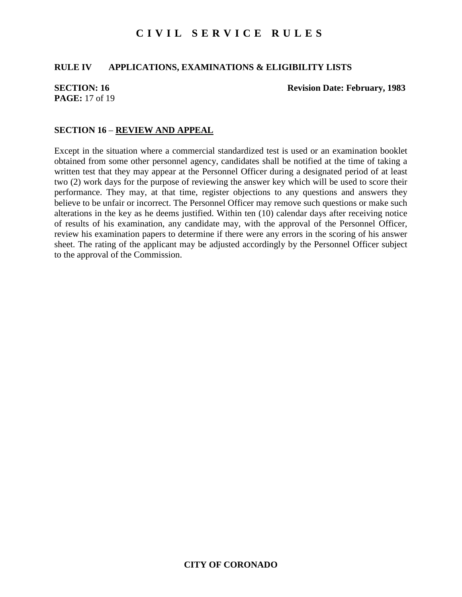### **RULE IV APPLICATIONS, EXAMINATIONS & ELIGIBILITY LISTS**

# **PAGE:** 17 of 19

**SECTION:** 16 **Revision Date: February, 1983** 

#### **SECTION 16** – **REVIEW AND APPEAL**

Except in the situation where a commercial standardized test is used or an examination booklet obtained from some other personnel agency, candidates shall be notified at the time of taking a written test that they may appear at the Personnel Officer during a designated period of at least two (2) work days for the purpose of reviewing the answer key which will be used to score their performance. They may, at that time, register objections to any questions and answers they believe to be unfair or incorrect. The Personnel Officer may remove such questions or make such alterations in the key as he deems justified. Within ten (10) calendar days after receiving notice of results of his examination, any candidate may, with the approval of the Personnel Officer, review his examination papers to determine if there were any errors in the scoring of his answer sheet. The rating of the applicant may be adjusted accordingly by the Personnel Officer subject to the approval of the Commission.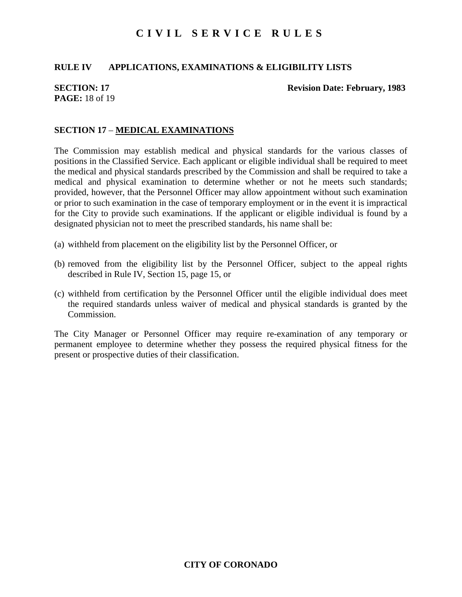## **RULE IV APPLICATIONS, EXAMINATIONS & ELIGIBILITY LISTS**

# **PAGE:** 18 of 19

**SECTION: 17** Revision Date: February, 1983

### **SECTION 17** – **MEDICAL EXAMINATIONS**

The Commission may establish medical and physical standards for the various classes of positions in the Classified Service. Each applicant or eligible individual shall be required to meet the medical and physical standards prescribed by the Commission and shall be required to take a medical and physical examination to determine whether or not he meets such standards; provided, however, that the Personnel Officer may allow appointment without such examination or prior to such examination in the case of temporary employment or in the event it is impractical for the City to provide such examinations. If the applicant or eligible individual is found by a designated physician not to meet the prescribed standards, his name shall be:

- (a) withheld from placement on the eligibility list by the Personnel Officer, or
- (b) removed from the eligibility list by the Personnel Officer, subject to the appeal rights described in Rule IV, Section 15, page 15, or
- (c) withheld from certification by the Personnel Officer until the eligible individual does meet the required standards unless waiver of medical and physical standards is granted by the Commission.

The City Manager or Personnel Officer may require re-examination of any temporary or permanent employee to determine whether they possess the required physical fitness for the present or prospective duties of their classification.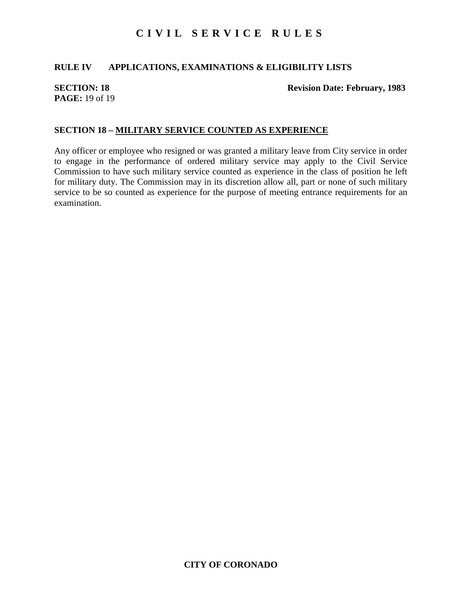## **RULE IV APPLICATIONS, EXAMINATIONS & ELIGIBILITY LISTS**

# **PAGE:** 19 of 19

#### **SECTION: 18** Revision Date: February, 1983

### **SECTION 18 – MILITARY SERVICE COUNTED AS EXPERIENCE**

Any officer or employee who resigned or was granted a military leave from City service in order to engage in the performance of ordered military service may apply to the Civil Service Commission to have such military service counted as experience in the class of position he left for military duty. The Commission may in its discretion allow all, part or none of such military service to be so counted as experience for the purpose of meeting entrance requirements for an examination.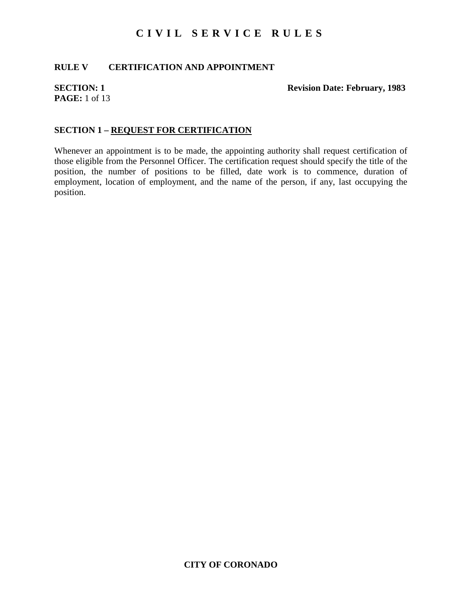## **RULE V CERTIFICATION AND APPOINTMENT**

# **PAGE:** 1 of 13

#### **SECTION: 1** Revision Date: February, 1983

#### **SECTION 1 – REQUEST FOR CERTIFICATION**

Whenever an appointment is to be made, the appointing authority shall request certification of those eligible from the Personnel Officer. The certification request should specify the title of the position, the number of positions to be filled, date work is to commence, duration of employment, location of employment, and the name of the person, if any, last occupying the position.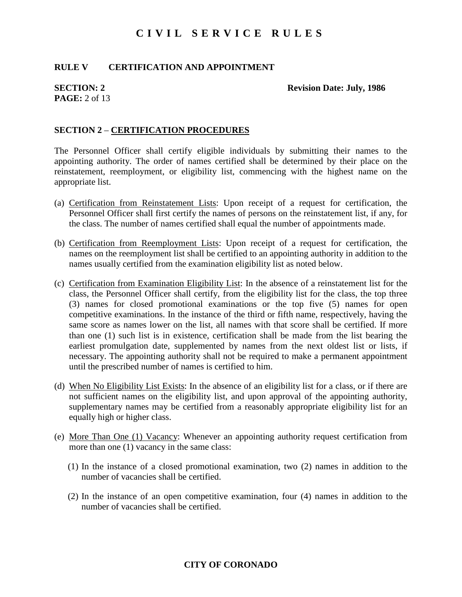### **RULE V CERTIFICATION AND APPOINTMENT**

# **PAGE:** 2 of 13

#### **SECTION: 2** Revision Date: July, 1986

### **SECTION 2** – **CERTIFICATION PROCEDURES**

The Personnel Officer shall certify eligible individuals by submitting their names to the appointing authority. The order of names certified shall be determined by their place on the reinstatement, reemployment, or eligibility list, commencing with the highest name on the appropriate list.

- (a) Certification from Reinstatement Lists: Upon receipt of a request for certification, the Personnel Officer shall first certify the names of persons on the reinstatement list, if any, for the class. The number of names certified shall equal the number of appointments made.
- (b) Certification from Reemployment Lists: Upon receipt of a request for certification, the names on the reemployment list shall be certified to an appointing authority in addition to the names usually certified from the examination eligibility list as noted below.
- (c) Certification from Examination Eligibility List: In the absence of a reinstatement list for the class, the Personnel Officer shall certify, from the eligibility list for the class, the top three (3) names for closed promotional examinations or the top five (5) names for open competitive examinations. In the instance of the third or fifth name, respectively, having the same score as names lower on the list, all names with that score shall be certified. If more than one (1) such list is in existence, certification shall be made from the list bearing the earliest promulgation date, supplemented by names from the next oldest list or lists, if necessary. The appointing authority shall not be required to make a permanent appointment until the prescribed number of names is certified to him.
- (d) When No Eligibility List Exists: In the absence of an eligibility list for a class, or if there are not sufficient names on the eligibility list, and upon approval of the appointing authority, supplementary names may be certified from a reasonably appropriate eligibility list for an equally high or higher class.
- (e) More Than One (1) Vacancy: Whenever an appointing authority request certification from more than one (1) vacancy in the same class:
	- (1) In the instance of a closed promotional examination, two (2) names in addition to the number of vacancies shall be certified.
	- (2) In the instance of an open competitive examination, four (4) names in addition to the number of vacancies shall be certified.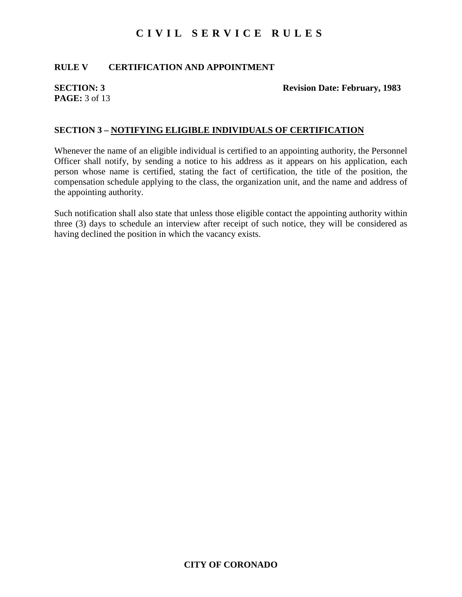## **RULE V CERTIFICATION AND APPOINTMENT**

# **PAGE:** 3 of 13

#### **SECTION: 3** Revision Date: February, 1983

### **SECTION 3 – NOTIFYING ELIGIBLE INDIVIDUALS OF CERTIFICATION**

Whenever the name of an eligible individual is certified to an appointing authority, the Personnel Officer shall notify, by sending a notice to his address as it appears on his application, each person whose name is certified, stating the fact of certification, the title of the position, the compensation schedule applying to the class, the organization unit, and the name and address of the appointing authority.

Such notification shall also state that unless those eligible contact the appointing authority within three (3) days to schedule an interview after receipt of such notice, they will be considered as having declined the position in which the vacancy exists.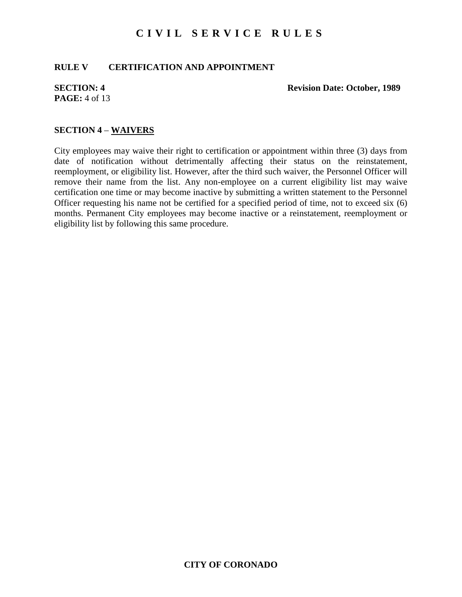## **RULE V CERTIFICATION AND APPOINTMENT**

# **PAGE:** 4 of 13

**SECTION: 4** Revision Date: October, 1989

#### **SECTION 4** – **WAIVERS**

City employees may waive their right to certification or appointment within three (3) days from date of notification without detrimentally affecting their status on the reinstatement, reemployment, or eligibility list. However, after the third such waiver, the Personnel Officer will remove their name from the list. Any non-employee on a current eligibility list may waive certification one time or may become inactive by submitting a written statement to the Personnel Officer requesting his name not be certified for a specified period of time, not to exceed six (6) months. Permanent City employees may become inactive or a reinstatement, reemployment or eligibility list by following this same procedure.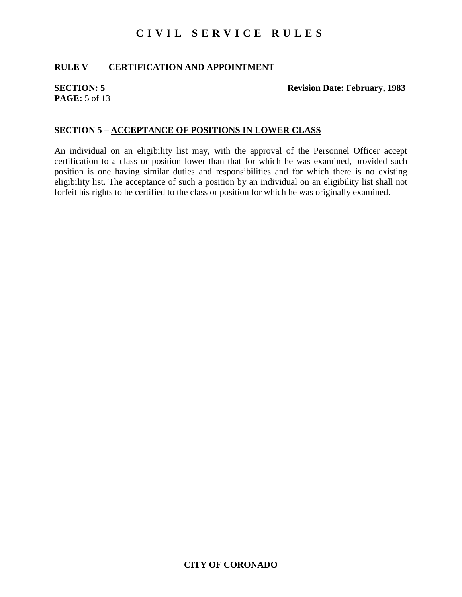## **RULE V CERTIFICATION AND APPOINTMENT**

# **PAGE:** 5 of 13

**SECTION: 5** Revision Date: February, 1983

### **SECTION 5 – ACCEPTANCE OF POSITIONS IN LOWER CLASS**

An individual on an eligibility list may, with the approval of the Personnel Officer accept certification to a class or position lower than that for which he was examined, provided such position is one having similar duties and responsibilities and for which there is no existing eligibility list. The acceptance of such a position by an individual on an eligibility list shall not forfeit his rights to be certified to the class or position for which he was originally examined.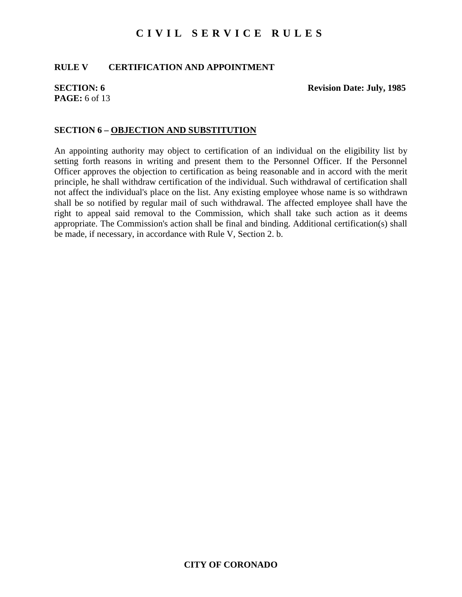#### **RULE V CERTIFICATION AND APPOINTMENT**

# **PAGE:** 6 of 13

**SECTION: 6** Revision Date: July, 1985

#### **SECTION 6 – OBJECTION AND SUBSTITUTION**

An appointing authority may object to certification of an individual on the eligibility list by setting forth reasons in writing and present them to the Personnel Officer. If the Personnel Officer approves the objection to certification as being reasonable and in accord with the merit principle, he shall withdraw certification of the individual. Such withdrawal of certification shall not affect the individual's place on the list. Any existing employee whose name is so withdrawn shall be so notified by regular mail of such withdrawal. The affected employee shall have the right to appeal said removal to the Commission, which shall take such action as it deems appropriate. The Commission's action shall be final and binding. Additional certification(s) shall be made, if necessary, in accordance with Rule V, Section 2. b.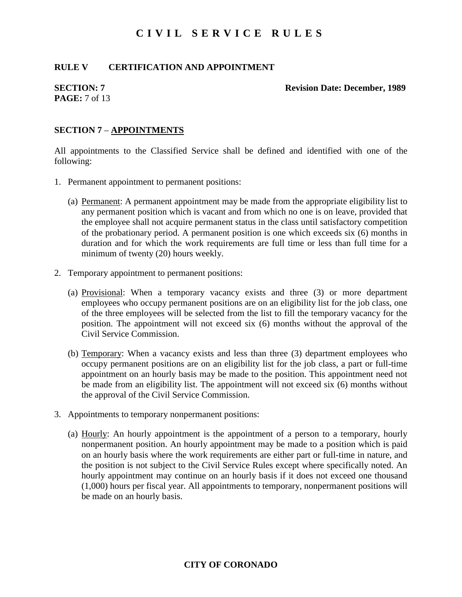## **RULE V CERTIFICATION AND APPOINTMENT**

# **PAGE:** 7 of 13

#### **SECTION: 7** Revision Date: December, 1989

### **SECTION 7** – **APPOINTMENTS**

All appointments to the Classified Service shall be defined and identified with one of the following:

- 1. Permanent appointment to permanent positions:
	- (a) Permanent: A permanent appointment may be made from the appropriate eligibility list to any permanent position which is vacant and from which no one is on leave, provided that the employee shall not acquire permanent status in the class until satisfactory competition of the probationary period. A permanent position is one which exceeds six (6) months in duration and for which the work requirements are full time or less than full time for a minimum of twenty (20) hours weekly.
- 2. Temporary appointment to permanent positions:
	- (a) Provisional: When a temporary vacancy exists and three (3) or more department employees who occupy permanent positions are on an eligibility list for the job class, one of the three employees will be selected from the list to fill the temporary vacancy for the position. The appointment will not exceed six (6) months without the approval of the Civil Service Commission.
	- (b) Temporary: When a vacancy exists and less than three (3) department employees who occupy permanent positions are on an eligibility list for the job class, a part or full-time appointment on an hourly basis may be made to the position. This appointment need not be made from an eligibility list. The appointment will not exceed six (6) months without the approval of the Civil Service Commission.
- 3. Appointments to temporary nonpermanent positions:
	- (a) Hourly: An hourly appointment is the appointment of a person to a temporary, hourly nonpermanent position. An hourly appointment may be made to a position which is paid on an hourly basis where the work requirements are either part or full-time in nature, and the position is not subject to the Civil Service Rules except where specifically noted. An hourly appointment may continue on an hourly basis if it does not exceed one thousand (1,000) hours per fiscal year. All appointments to temporary, nonpermanent positions will be made on an hourly basis.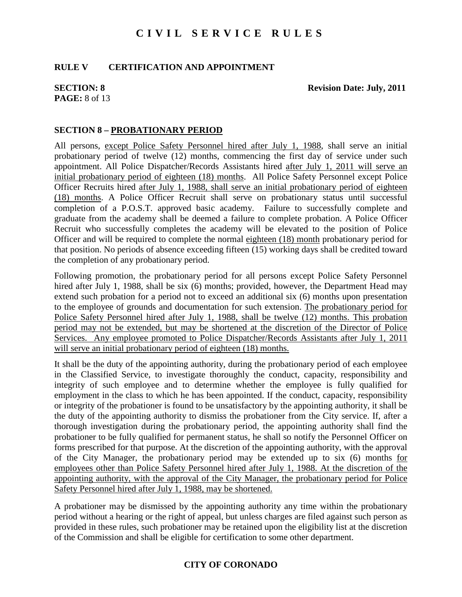#### **RULE V CERTIFICATION AND APPOINTMENT**

# **PAGE:** 8 of 13

**SECTION: 8** Revision Date: July, 2011

#### **SECTION 8 – PROBATIONARY PERIOD**

All persons, except Police Safety Personnel hired after July 1, 1988, shall serve an initial probationary period of twelve (12) months, commencing the first day of service under such appointment. All Police Dispatcher/Records Assistants hired after July 1, 2011 will serve an initial probationary period of eighteen (18) months. All Police Safety Personnel except Police Officer Recruits hired after July 1, 1988, shall serve an initial probationary period of eighteen (18) months. A Police Officer Recruit shall serve on probationary status until successful completion of a P.O.S.T. approved basic academy. Failure to successfully complete and graduate from the academy shall be deemed a failure to complete probation. A Police Officer Recruit who successfully completes the academy will be elevated to the position of Police Officer and will be required to complete the normal eighteen (18) month probationary period for that position. No periods of absence exceeding fifteen (15) working days shall be credited toward the completion of any probationary period.

Following promotion, the probationary period for all persons except Police Safety Personnel hired after July 1, 1988, shall be six (6) months; provided, however, the Department Head may extend such probation for a period not to exceed an additional six (6) months upon presentation to the employee of grounds and documentation for such extension. The probationary period for Police Safety Personnel hired after July 1, 1988, shall be twelve (12) months. This probation period may not be extended, but may be shortened at the discretion of the Director of Police Services. Any employee promoted to Police Dispatcher/Records Assistants after July 1, 2011 will serve an initial probationary period of eighteen (18) months.

It shall be the duty of the appointing authority, during the probationary period of each employee in the Classified Service, to investigate thoroughly the conduct, capacity, responsibility and integrity of such employee and to determine whether the employee is fully qualified for employment in the class to which he has been appointed. If the conduct, capacity, responsibility or integrity of the probationer is found to be unsatisfactory by the appointing authority, it shall be the duty of the appointing authority to dismiss the probationer from the City service. If, after a thorough investigation during the probationary period, the appointing authority shall find the probationer to be fully qualified for permanent status, he shall so notify the Personnel Officer on forms prescribed for that purpose. At the discretion of the appointing authority, with the approval of the City Manager, the probationary period may be extended up to six (6) months for employees other than Police Safety Personnel hired after July 1, 1988. At the discretion of the appointing authority, with the approval of the City Manager, the probationary period for Police Safety Personnel hired after July 1, 1988, may be shortened.

A probationer may be dismissed by the appointing authority any time within the probationary period without a hearing or the right of appeal, but unless charges are filed against such person as provided in these rules, such probationer may be retained upon the eligibility list at the discretion of the Commission and shall be eligible for certification to some other department.

## **CITY OF CORONADO**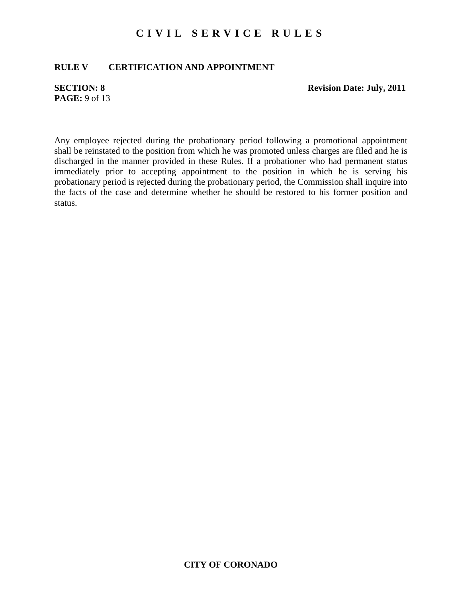## **RULE V CERTIFICATION AND APPOINTMENT**

# **PAGE:** 9 of 13

**SECTION: 8** Revision Date: July, 2011

Any employee rejected during the probationary period following a promotional appointment shall be reinstated to the position from which he was promoted unless charges are filed and he is discharged in the manner provided in these Rules. If a probationer who had permanent status immediately prior to accepting appointment to the position in which he is serving his probationary period is rejected during the probationary period, the Commission shall inquire into the facts of the case and determine whether he should be restored to his former position and status.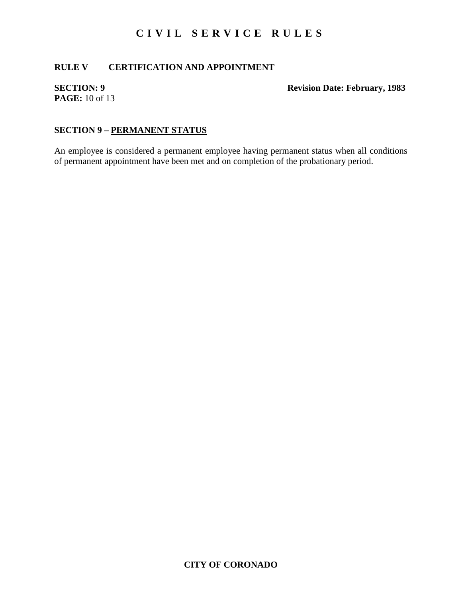## **RULE V CERTIFICATION AND APPOINTMENT**

# **PAGE:** 10 of 13

## **SECTION: 9** Revision Date: February, 1983

## **SECTION 9 – PERMANENT STATUS**

An employee is considered a permanent employee having permanent status when all conditions of permanent appointment have been met and on completion of the probationary period.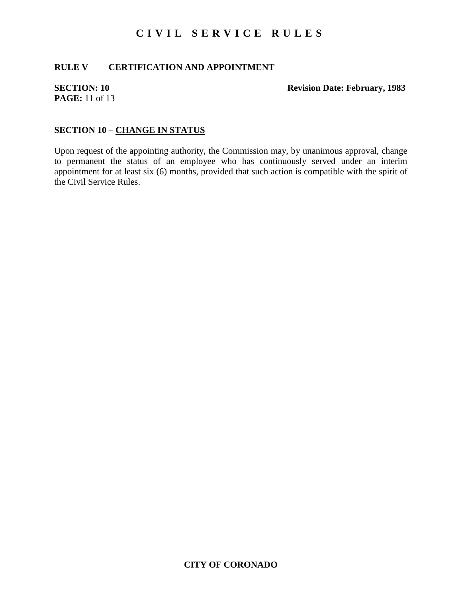## **RULE V CERTIFICATION AND APPOINTMENT**

# **PAGE:** 11 of 13

### **SECTION: 10** Revision Date: February, 1983

## **SECTION 10** – **CHANGE IN STATUS**

Upon request of the appointing authority, the Commission may, by unanimous approval, change to permanent the status of an employee who has continuously served under an interim appointment for at least six (6) months, provided that such action is compatible with the spirit of the Civil Service Rules.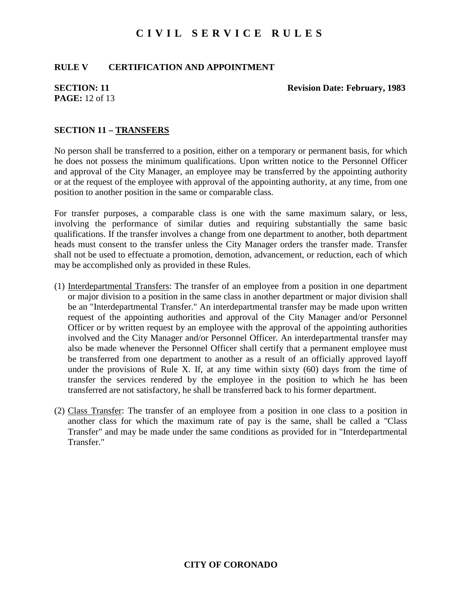### **RULE V CERTIFICATION AND APPOINTMENT**

**PAGE:** 12 of 13

**SECTION: 11** Revision Date: February, 1983

#### **SECTION 11 – TRANSFERS**

No person shall be transferred to a position, either on a temporary or permanent basis, for which he does not possess the minimum qualifications. Upon written notice to the Personnel Officer and approval of the City Manager, an employee may be transferred by the appointing authority or at the request of the employee with approval of the appointing authority, at any time, from one position to another position in the same or comparable class.

For transfer purposes, a comparable class is one with the same maximum salary, or less, involving the performance of similar duties and requiring substantially the same basic qualifications. If the transfer involves a change from one department to another, both department heads must consent to the transfer unless the City Manager orders the transfer made. Transfer shall not be used to effectuate a promotion, demotion, advancement, or reduction, each of which may be accomplished only as provided in these Rules.

- (1) Interdepartmental Transfers: The transfer of an employee from a position in one department or major division to a position in the same class in another department or major division shall be an "Interdepartmental Transfer." An interdepartmental transfer may be made upon written request of the appointing authorities and approval of the City Manager and/or Personnel Officer or by written request by an employee with the approval of the appointing authorities involved and the City Manager and/or Personnel Officer. An interdepartmental transfer may also be made whenever the Personnel Officer shall certify that a permanent employee must be transferred from one department to another as a result of an officially approved layoff under the provisions of Rule X. If, at any time within sixty  $(60)$  days from the time of transfer the services rendered by the employee in the position to which he has been transferred are not satisfactory, he shall be transferred back to his former department.
- (2) Class Transfer: The transfer of an employee from a position in one class to a position in another class for which the maximum rate of pay is the same, shall be called a "Class Transfer" and may be made under the same conditions as provided for in "Interdepartmental Transfer."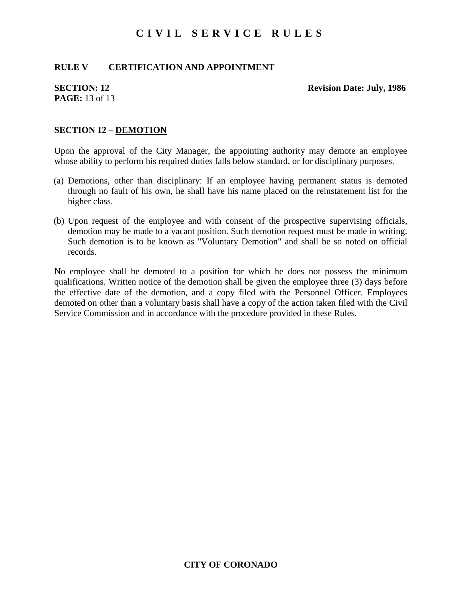### **RULE V CERTIFICATION AND APPOINTMENT**

# **PAGE:** 13 of 13

#### **SECTION: 12** Revision Date: July, 1986

#### **SECTION 12 – DEMOTION**

Upon the approval of the City Manager, the appointing authority may demote an employee whose ability to perform his required duties falls below standard, or for disciplinary purposes.

- (a) Demotions, other than disciplinary: If an employee having permanent status is demoted through no fault of his own, he shall have his name placed on the reinstatement list for the higher class.
- (b) Upon request of the employee and with consent of the prospective supervising officials, demotion may be made to a vacant position. Such demotion request must be made in writing. Such demotion is to be known as "Voluntary Demotion" and shall be so noted on official records.

No employee shall be demoted to a position for which he does not possess the minimum qualifications. Written notice of the demotion shall be given the employee three (3) days before the effective date of the demotion, and a copy filed with the Personnel Officer. Employees demoted on other than a voluntary basis shall have a copy of the action taken filed with the Civil Service Commission and in accordance with the procedure provided in these Rules.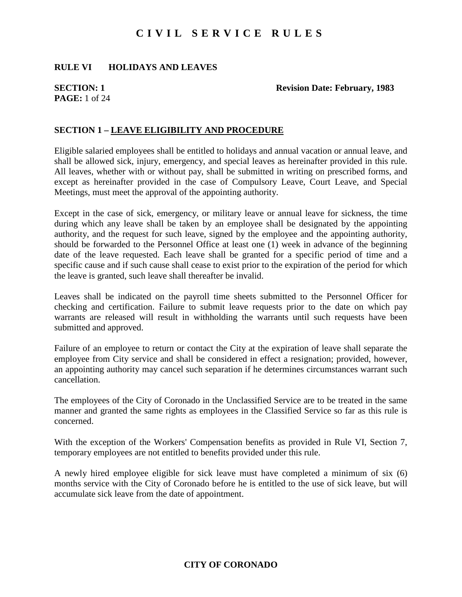#### **RULE VI HOLIDAYS AND LEAVES**

# **PAGE:** 1 of 24

**SECTION: 1** Revision Date: February, 1983

### **SECTION 1 – LEAVE ELIGIBILITY AND PROCEDURE**

Eligible salaried employees shall be entitled to holidays and annual vacation or annual leave, and shall be allowed sick, injury, emergency, and special leaves as hereinafter provided in this rule. All leaves, whether with or without pay, shall be submitted in writing on prescribed forms, and except as hereinafter provided in the case of Compulsory Leave, Court Leave, and Special Meetings, must meet the approval of the appointing authority.

Except in the case of sick, emergency, or military leave or annual leave for sickness, the time during which any leave shall be taken by an employee shall be designated by the appointing authority, and the request for such leave, signed by the employee and the appointing authority, should be forwarded to the Personnel Office at least one (1) week in advance of the beginning date of the leave requested. Each leave shall be granted for a specific period of time and a specific cause and if such cause shall cease to exist prior to the expiration of the period for which the leave is granted, such leave shall thereafter be invalid.

Leaves shall be indicated on the payroll time sheets submitted to the Personnel Officer for checking and certification. Failure to submit leave requests prior to the date on which pay warrants are released will result in withholding the warrants until such requests have been submitted and approved.

Failure of an employee to return or contact the City at the expiration of leave shall separate the employee from City service and shall be considered in effect a resignation; provided, however, an appointing authority may cancel such separation if he determines circumstances warrant such cancellation.

The employees of the City of Coronado in the Unclassified Service are to be treated in the same manner and granted the same rights as employees in the Classified Service so far as this rule is concerned.

With the exception of the Workers' Compensation benefits as provided in Rule VI, Section 7, temporary employees are not entitled to benefits provided under this rule.

A newly hired employee eligible for sick leave must have completed a minimum of six (6) months service with the City of Coronado before he is entitled to the use of sick leave, but will accumulate sick leave from the date of appointment.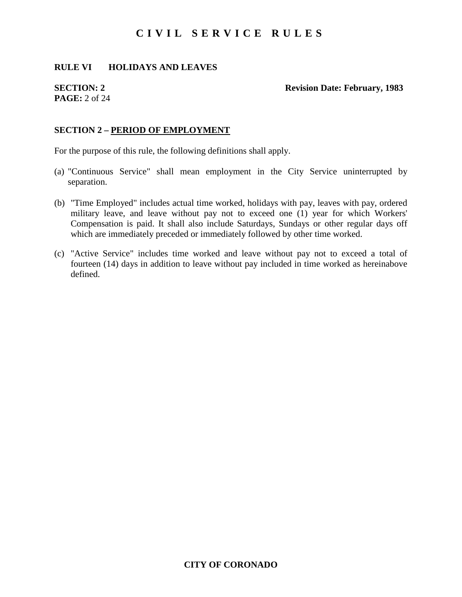### **RULE VI HOLIDAYS AND LEAVES**

# **PAGE:** 2 of 24

#### **SECTION: 2** Revision Date: February, 1983

#### **SECTION 2 – PERIOD OF EMPLOYMENT**

For the purpose of this rule, the following definitions shall apply.

- (a) "Continuous Service" shall mean employment in the City Service uninterrupted by separation.
- (b) "Time Employed" includes actual time worked, holidays with pay, leaves with pay, ordered military leave, and leave without pay not to exceed one (1) year for which Workers' Compensation is paid. It shall also include Saturdays, Sundays or other regular days off which are immediately preceded or immediately followed by other time worked.
- (c) "Active Service" includes time worked and leave without pay not to exceed a total of fourteen (14) days in addition to leave without pay included in time worked as hereinabove defined.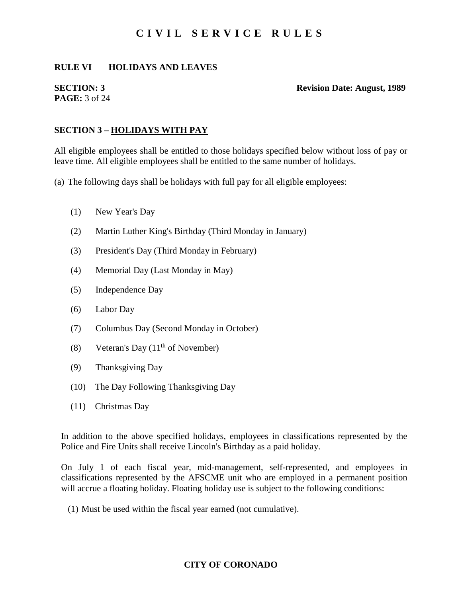#### **RULE VI HOLIDAYS AND LEAVES**

# **PAGE:** 3 of 24

#### **SECTION: 3** Revision Date: August, 1989

#### **SECTION 3 – HOLIDAYS WITH PAY**

All eligible employees shall be entitled to those holidays specified below without loss of pay or leave time. All eligible employees shall be entitled to the same number of holidays.

(a) The following days shall be holidays with full pay for all eligible employees:

- (1) New Year's Day
- (2) Martin Luther King's Birthday (Third Monday in January)
- (3) President's Day (Third Monday in February)
- (4) Memorial Day (Last Monday in May)
- (5) Independence Day
- (6) Labor Day
- (7) Columbus Day (Second Monday in October)
- (8) Veteran's Day  $(11<sup>th</sup>$  of November)
- (9) Thanksgiving Day
- (10) The Day Following Thanksgiving Day
- (11) Christmas Day

In addition to the above specified holidays, employees in classifications represented by the Police and Fire Units shall receive Lincoln's Birthday as a paid holiday.

On July 1 of each fiscal year, mid-management, self-represented, and employees in classifications represented by the AFSCME unit who are employed in a permanent position will accrue a floating holiday. Floating holiday use is subject to the following conditions:

(1) Must be used within the fiscal year earned (not cumulative).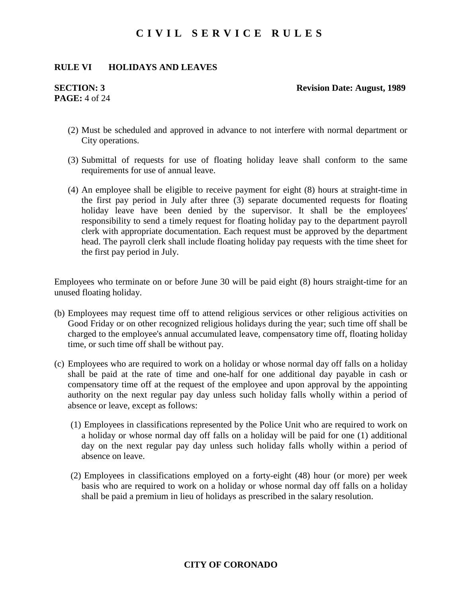#### **RULE VI HOLIDAYS AND LEAVES**

# **PAGE:** 4 of 24

#### **SECTION: 3** Revision Date: August, 1989

- (2) Must be scheduled and approved in advance to not interfere with normal department or City operations.
- (3) Submittal of requests for use of floating holiday leave shall conform to the same requirements for use of annual leave.
- (4) An employee shall be eligible to receive payment for eight (8) hours at straight-time in the first pay period in July after three (3) separate documented requests for floating holiday leave have been denied by the supervisor. It shall be the employees' responsibility to send a timely request for floating holiday pay to the department payroll clerk with appropriate documentation. Each request must be approved by the department head. The payroll clerk shall include floating holiday pay requests with the time sheet for the first pay period in July.

Employees who terminate on or before June 30 will be paid eight (8) hours straight-time for an unused floating holiday.

- (b) Employees may request time off to attend religious services or other religious activities on Good Friday or on other recognized religious holidays during the year; such time off shall be charged to the employee's annual accumulated leave, compensatory time off, floating holiday time, or such time off shall be without pay.
- (c) Employees who are required to work on a holiday or whose normal day off falls on a holiday shall be paid at the rate of time and one-half for one additional day payable in cash or compensatory time off at the request of the employee and upon approval by the appointing authority on the next regular pay day unless such holiday falls wholly within a period of absence or leave, except as follows:
	- (1) Employees in classifications represented by the Police Unit who are required to work on a holiday or whose normal day off falls on a holiday will be paid for one (1) additional day on the next regular pay day unless such holiday falls wholly within a period of absence on leave.
	- (2) Employees in classifications employed on a forty-eight (48) hour (or more) per week basis who are required to work on a holiday or whose normal day off falls on a holiday shall be paid a premium in lieu of holidays as prescribed in the salary resolution.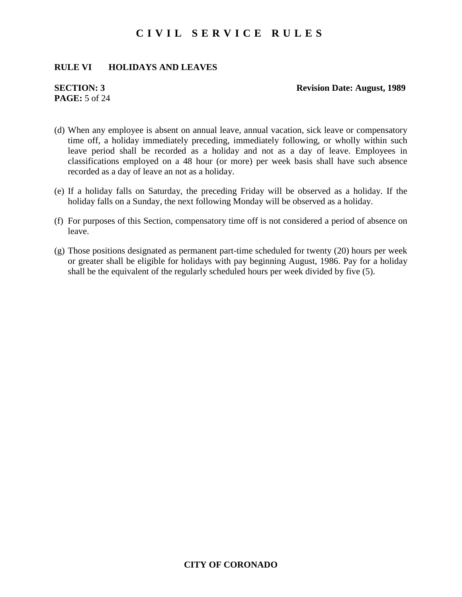#### **RULE VI HOLIDAYS AND LEAVES**

# **PAGE:** 5 of 24

#### **SECTION: 3** Revision Date: August, 1989

- (d) When any employee is absent on annual leave, annual vacation, sick leave or compensatory time off, a holiday immediately preceding, immediately following, or wholly within such leave period shall be recorded as a holiday and not as a day of leave. Employees in classifications employed on a 48 hour (or more) per week basis shall have such absence recorded as a day of leave an not as a holiday.
- (e) If a holiday falls on Saturday, the preceding Friday will be observed as a holiday. If the holiday falls on a Sunday, the next following Monday will be observed as a holiday.
- (f) For purposes of this Section, compensatory time off is not considered a period of absence on leave.
- (g) Those positions designated as permanent part-time scheduled for twenty (20) hours per week or greater shall be eligible for holidays with pay beginning August, 1986. Pay for a holiday shall be the equivalent of the regularly scheduled hours per week divided by five (5).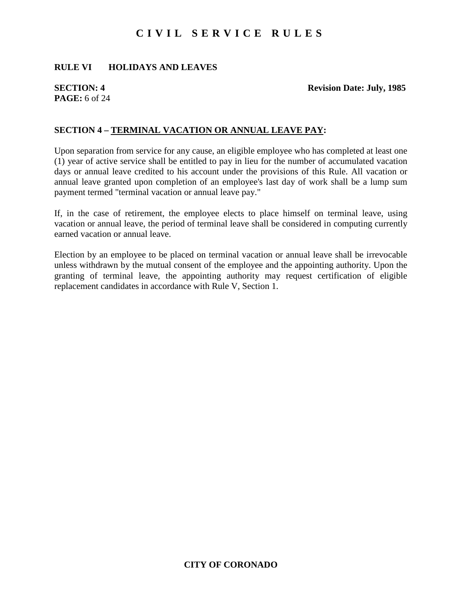## **RULE VI HOLIDAYS AND LEAVES**

# **PAGE:** 6 of 24

**SECTION: 4** Revision Date: July, 1985

## **SECTION 4 – TERMINAL VACATION OR ANNUAL LEAVE PAY:**

Upon separation from service for any cause, an eligible employee who has completed at least one (1) year of active service shall be entitled to pay in lieu for the number of accumulated vacation days or annual leave credited to his account under the provisions of this Rule. All vacation or annual leave granted upon completion of an employee's last day of work shall be a lump sum payment termed "terminal vacation or annual leave pay."

If, in the case of retirement, the employee elects to place himself on terminal leave, using vacation or annual leave, the period of terminal leave shall be considered in computing currently earned vacation or annual leave.

Election by an employee to be placed on terminal vacation or annual leave shall be irrevocable unless withdrawn by the mutual consent of the employee and the appointing authority. Upon the granting of terminal leave, the appointing authority may request certification of eligible replacement candidates in accordance with Rule V, Section 1.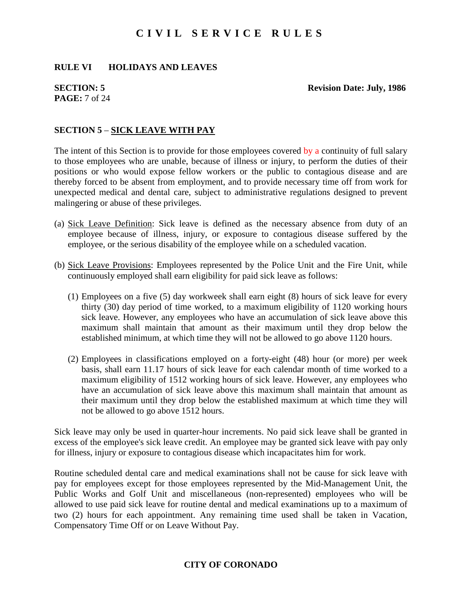#### **RULE VI HOLIDAYS AND LEAVES**

# **PAGE:** 7 of 24

**SECTION: 5** Revision Date: July, 1986

### **SECTION 5** – **SICK LEAVE WITH PAY**

The intent of this Section is to provide for those employees covered by a continuity of full salary to those employees who are unable, because of illness or injury, to perform the duties of their positions or who would expose fellow workers or the public to contagious disease and are thereby forced to be absent from employment, and to provide necessary time off from work for unexpected medical and dental care, subject to administrative regulations designed to prevent malingering or abuse of these privileges.

- (a) Sick Leave Definition: Sick leave is defined as the necessary absence from duty of an employee because of illness, injury, or exposure to contagious disease suffered by the employee, or the serious disability of the employee while on a scheduled vacation.
- (b) Sick Leave Provisions: Employees represented by the Police Unit and the Fire Unit, while continuously employed shall earn eligibility for paid sick leave as follows:
	- (1) Employees on a five (5) day workweek shall earn eight (8) hours of sick leave for every thirty (30) day period of time worked, to a maximum eligibility of 1120 working hours sick leave. However, any employees who have an accumulation of sick leave above this maximum shall maintain that amount as their maximum until they drop below the established minimum, at which time they will not be allowed to go above 1120 hours.
	- (2) Employees in classifications employed on a forty-eight (48) hour (or more) per week basis, shall earn 11.17 hours of sick leave for each calendar month of time worked to a maximum eligibility of 1512 working hours of sick leave. However, any employees who have an accumulation of sick leave above this maximum shall maintain that amount as their maximum until they drop below the established maximum at which time they will not be allowed to go above 1512 hours.

Sick leave may only be used in quarter-hour increments. No paid sick leave shall be granted in excess of the employee's sick leave credit. An employee may be granted sick leave with pay only for illness, injury or exposure to contagious disease which incapacitates him for work.

Routine scheduled dental care and medical examinations shall not be cause for sick leave with pay for employees except for those employees represented by the Mid-Management Unit, the Public Works and Golf Unit and miscellaneous (non-represented) employees who will be allowed to use paid sick leave for routine dental and medical examinations up to a maximum of two (2) hours for each appointment. Any remaining time used shall be taken in Vacation, Compensatory Time Off or on Leave Without Pay.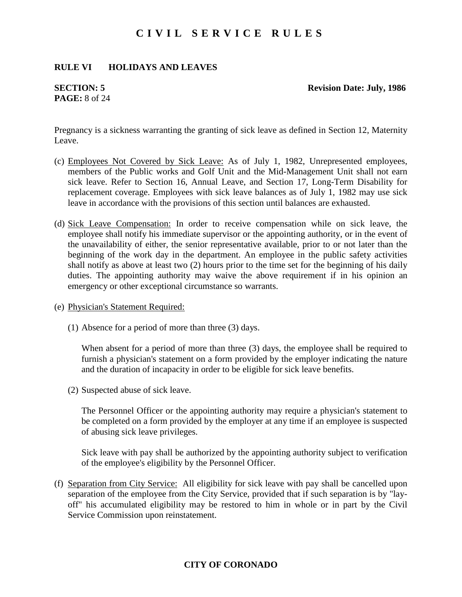#### **RULE VI HOLIDAYS AND LEAVES**

# **PAGE:** 8 of 24

#### **SECTION: 5** Revision Date: July, 1986

Pregnancy is a sickness warranting the granting of sick leave as defined in Section 12, Maternity Leave.

- (c) Employees Not Covered by Sick Leave: As of July 1, 1982, Unrepresented employees, members of the Public works and Golf Unit and the Mid-Management Unit shall not earn sick leave. Refer to Section 16, Annual Leave, and Section 17, Long-Term Disability for replacement coverage. Employees with sick leave balances as of July 1, 1982 may use sick leave in accordance with the provisions of this section until balances are exhausted.
- (d) Sick Leave Compensation: In order to receive compensation while on sick leave, the employee shall notify his immediate supervisor or the appointing authority, or in the event of the unavailability of either, the senior representative available, prior to or not later than the beginning of the work day in the department. An employee in the public safety activities shall notify as above at least two (2) hours prior to the time set for the beginning of his daily duties. The appointing authority may waive the above requirement if in his opinion an emergency or other exceptional circumstance so warrants.
- (e) Physician's Statement Required:
	- (1) Absence for a period of more than three (3) days.

When absent for a period of more than three (3) days, the employee shall be required to furnish a physician's statement on a form provided by the employer indicating the nature and the duration of incapacity in order to be eligible for sick leave benefits.

(2) Suspected abuse of sick leave.

The Personnel Officer or the appointing authority may require a physician's statement to be completed on a form provided by the employer at any time if an employee is suspected of abusing sick leave privileges.

Sick leave with pay shall be authorized by the appointing authority subject to verification of the employee's eligibility by the Personnel Officer.

(f) Separation from City Service: All eligibility for sick leave with pay shall be cancelled upon separation of the employee from the City Service, provided that if such separation is by "layoff" his accumulated eligibility may be restored to him in whole or in part by the Civil Service Commission upon reinstatement.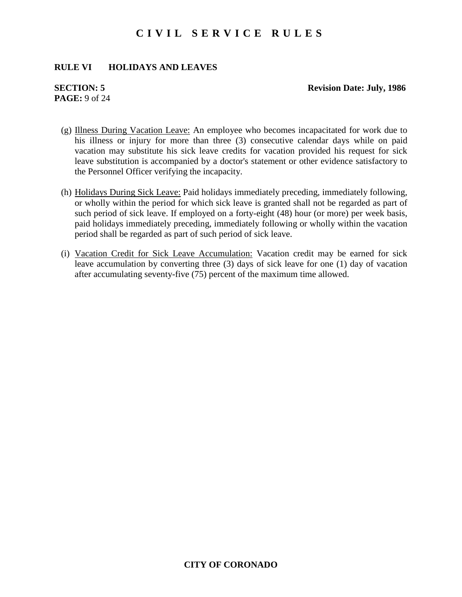#### **RULE VI HOLIDAYS AND LEAVES**

# **PAGE:** 9 of 24

#### **SECTION: 5** Revision Date: July, 1986

- (g) Illness During Vacation Leave: An employee who becomes incapacitated for work due to his illness or injury for more than three (3) consecutive calendar days while on paid vacation may substitute his sick leave credits for vacation provided his request for sick leave substitution is accompanied by a doctor's statement or other evidence satisfactory to the Personnel Officer verifying the incapacity.
- (h) Holidays During Sick Leave: Paid holidays immediately preceding, immediately following, or wholly within the period for which sick leave is granted shall not be regarded as part of such period of sick leave. If employed on a forty-eight (48) hour (or more) per week basis, paid holidays immediately preceding, immediately following or wholly within the vacation period shall be regarded as part of such period of sick leave.
- (i) Vacation Credit for Sick Leave Accumulation: Vacation credit may be earned for sick leave accumulation by converting three (3) days of sick leave for one (1) day of vacation after accumulating seventy-five (75) percent of the maximum time allowed.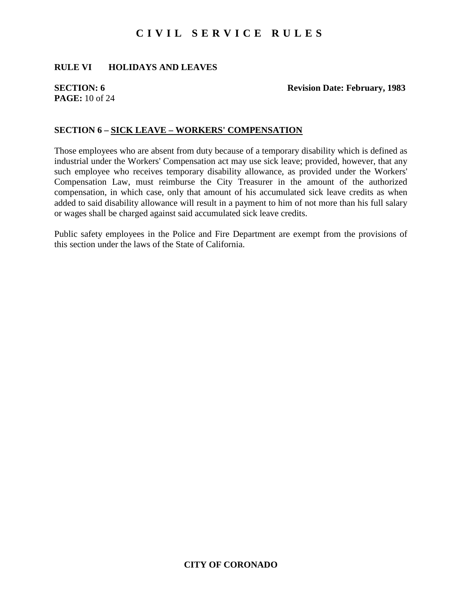#### **RULE VI HOLIDAYS AND LEAVES**

# **PAGE:** 10 of 24

**SECTION: 6** Revision Date: February, 1983

#### **SECTION 6 – SICK LEAVE – WORKERS' COMPENSATION**

Those employees who are absent from duty because of a temporary disability which is defined as industrial under the Workers' Compensation act may use sick leave; provided, however, that any such employee who receives temporary disability allowance, as provided under the Workers' Compensation Law, must reimburse the City Treasurer in the amount of the authorized compensation, in which case, only that amount of his accumulated sick leave credits as when added to said disability allowance will result in a payment to him of not more than his full salary or wages shall be charged against said accumulated sick leave credits.

Public safety employees in the Police and Fire Department are exempt from the provisions of this section under the laws of the State of California.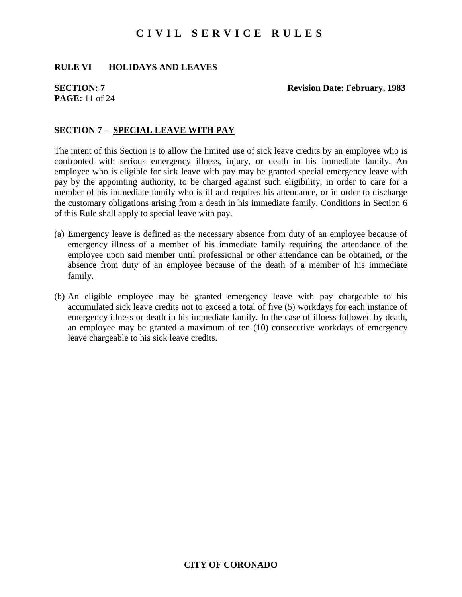#### **RULE VI HOLIDAYS AND LEAVES**

# **PAGE:** 11 of 24

**SECTION: 7** Revision Date: February, 1983

#### **SECTION 7 – SPECIAL LEAVE WITH PAY**

The intent of this Section is to allow the limited use of sick leave credits by an employee who is confronted with serious emergency illness, injury, or death in his immediate family. An employee who is eligible for sick leave with pay may be granted special emergency leave with pay by the appointing authority, to be charged against such eligibility, in order to care for a member of his immediate family who is ill and requires his attendance, or in order to discharge the customary obligations arising from a death in his immediate family. Conditions in Section 6 of this Rule shall apply to special leave with pay.

- (a) Emergency leave is defined as the necessary absence from duty of an employee because of emergency illness of a member of his immediate family requiring the attendance of the employee upon said member until professional or other attendance can be obtained, or the absence from duty of an employee because of the death of a member of his immediate family.
- (b) An eligible employee may be granted emergency leave with pay chargeable to his accumulated sick leave credits not to exceed a total of five (5) workdays for each instance of emergency illness or death in his immediate family. In the case of illness followed by death, an employee may be granted a maximum of ten (10) consecutive workdays of emergency leave chargeable to his sick leave credits.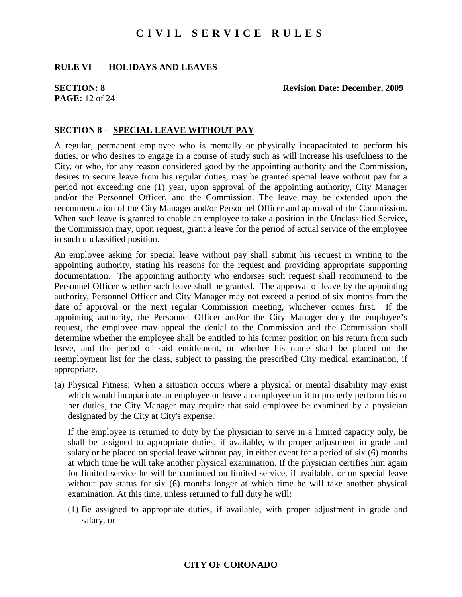#### **RULE VI HOLIDAYS AND LEAVES**

# **PAGE:** 12 of 24

**SECTION: 8 Revision Date: December, 2009**

#### **SECTION 8 – SPECIAL LEAVE WITHOUT PAY**

A regular, permanent employee who is mentally or physically incapacitated to perform his duties, or who desires to engage in a course of study such as will increase his usefulness to the City, or who, for any reason considered good by the appointing authority and the Commission, desires to secure leave from his regular duties, may be granted special leave without pay for a period not exceeding one (1) year, upon approval of the appointing authority, City Manager and/or the Personnel Officer, and the Commission. The leave may be extended upon the recommendation of the City Manager and/or Personnel Officer and approval of the Commission. When such leave is granted to enable an employee to take a position in the Unclassified Service, the Commission may, upon request, grant a leave for the period of actual service of the employee in such unclassified position.

An employee asking for special leave without pay shall submit his request in writing to the appointing authority, stating his reasons for the request and providing appropriate supporting documentation. The appointing authority who endorses such request shall recommend to the Personnel Officer whether such leave shall be granted. The approval of leave by the appointing authority, Personnel Officer and City Manager may not exceed a period of six months from the date of approval or the next regular Commission meeting, whichever comes first. If the appointing authority, the Personnel Officer and/or the City Manager deny the employee's request, the employee may appeal the denial to the Commission and the Commission shall determine whether the employee shall be entitled to his former position on his return from such leave, and the period of said entitlement, or whether his name shall be placed on the reemployment list for the class, subject to passing the prescribed City medical examination, if appropriate.

(a) Physical Fitness: When a situation occurs where a physical or mental disability may exist which would incapacitate an employee or leave an employee unfit to properly perform his or her duties, the City Manager may require that said employee be examined by a physician designated by the City at City's expense.

If the employee is returned to duty by the physician to serve in a limited capacity only, he shall be assigned to appropriate duties, if available, with proper adjustment in grade and salary or be placed on special leave without pay, in either event for a period of six (6) months at which time he will take another physical examination. If the physician certifies him again for limited service he will be continued on limited service, if available, or on special leave without pay status for six (6) months longer at which time he will take another physical examination. At this time, unless returned to full duty he will:

(1) Be assigned to appropriate duties, if available, with proper adjustment in grade and salary, or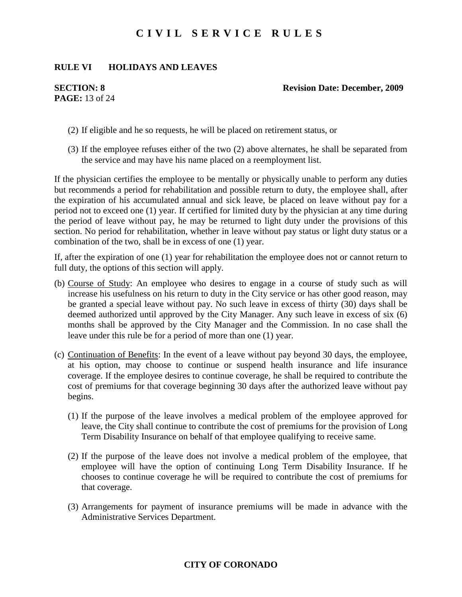#### **RULE VI HOLIDAYS AND LEAVES**

**PAGE:** 13 of 24

#### **SECTION: 8 Revision Date: December, 2009**

- (2) If eligible and he so requests, he will be placed on retirement status, or
- (3) If the employee refuses either of the two (2) above alternates, he shall be separated from the service and may have his name placed on a reemployment list.

If the physician certifies the employee to be mentally or physically unable to perform any duties but recommends a period for rehabilitation and possible return to duty, the employee shall, after the expiration of his accumulated annual and sick leave, be placed on leave without pay for a period not to exceed one (1) year. If certified for limited duty by the physician at any time during the period of leave without pay, he may be returned to light duty under the provisions of this section. No period for rehabilitation, whether in leave without pay status or light duty status or a combination of the two, shall be in excess of one (1) year.

If, after the expiration of one (1) year for rehabilitation the employee does not or cannot return to full duty, the options of this section will apply.

- (b) Course of Study: An employee who desires to engage in a course of study such as will increase his usefulness on his return to duty in the City service or has other good reason, may be granted a special leave without pay. No such leave in excess of thirty (30) days shall be deemed authorized until approved by the City Manager. Any such leave in excess of six (6) months shall be approved by the City Manager and the Commission. In no case shall the leave under this rule be for a period of more than one (1) year.
- (c) Continuation of Benefits: In the event of a leave without pay beyond 30 days, the employee, at his option, may choose to continue or suspend health insurance and life insurance coverage. If the employee desires to continue coverage, he shall be required to contribute the cost of premiums for that coverage beginning 30 days after the authorized leave without pay begins.
	- (1) If the purpose of the leave involves a medical problem of the employee approved for leave, the City shall continue to contribute the cost of premiums for the provision of Long Term Disability Insurance on behalf of that employee qualifying to receive same.
	- (2) If the purpose of the leave does not involve a medical problem of the employee, that employee will have the option of continuing Long Term Disability Insurance. If he chooses to continue coverage he will be required to contribute the cost of premiums for that coverage.
	- (3) Arrangements for payment of insurance premiums will be made in advance with the Administrative Services Department.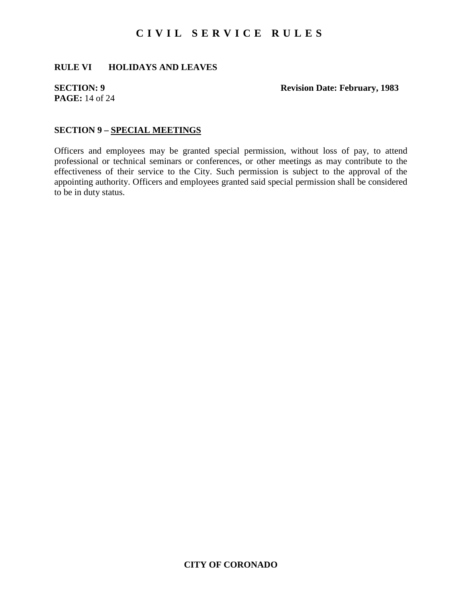### **RULE VI HOLIDAYS AND LEAVES**

# **PAGE:** 14 of 24

#### **SECTION: 9** Revision Date: February, 1983

### **SECTION 9 – SPECIAL MEETINGS**

Officers and employees may be granted special permission, without loss of pay, to attend professional or technical seminars or conferences, or other meetings as may contribute to the effectiveness of their service to the City. Such permission is subject to the approval of the appointing authority. Officers and employees granted said special permission shall be considered to be in duty status.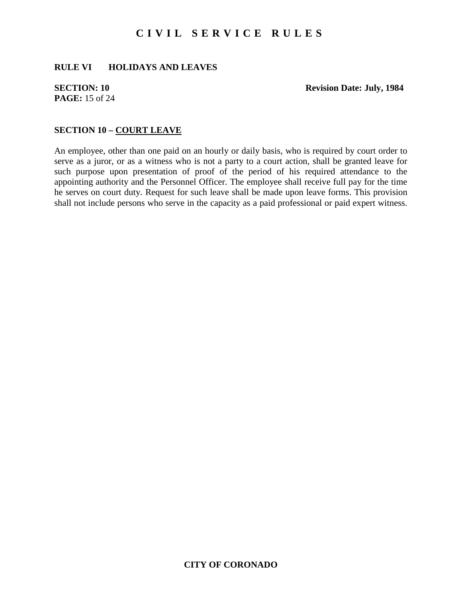### **RULE VI HOLIDAYS AND LEAVES**

# **PAGE:** 15 of 24

**SECTION: 10** Revision Date: July, 1984

#### **SECTION 10 – COURT LEAVE**

An employee, other than one paid on an hourly or daily basis, who is required by court order to serve as a juror, or as a witness who is not a party to a court action, shall be granted leave for such purpose upon presentation of proof of the period of his required attendance to the appointing authority and the Personnel Officer. The employee shall receive full pay for the time he serves on court duty. Request for such leave shall be made upon leave forms. This provision shall not include persons who serve in the capacity as a paid professional or paid expert witness.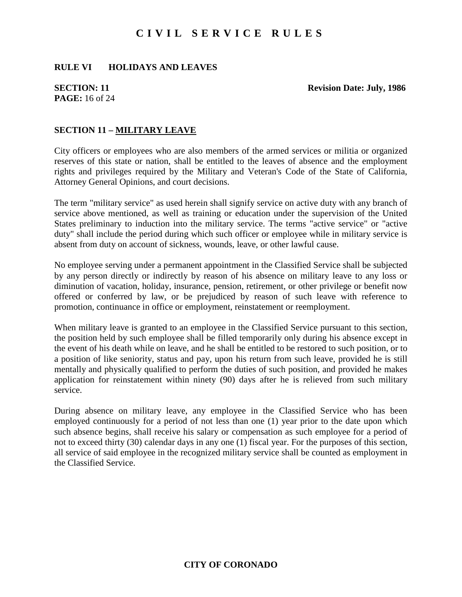#### **RULE VI HOLIDAYS AND LEAVES**

# **PAGE:** 16 of 24

**SECTION:** 11 **Revision Date: July, 1986** 

#### **SECTION 11 – MILITARY LEAVE**

City officers or employees who are also members of the armed services or militia or organized reserves of this state or nation, shall be entitled to the leaves of absence and the employment rights and privileges required by the Military and Veteran's Code of the State of California, Attorney General Opinions, and court decisions.

The term "military service" as used herein shall signify service on active duty with any branch of service above mentioned, as well as training or education under the supervision of the United States preliminary to induction into the military service. The terms "active service" or "active duty" shall include the period during which such officer or employee while in military service is absent from duty on account of sickness, wounds, leave, or other lawful cause.

No employee serving under a permanent appointment in the Classified Service shall be subjected by any person directly or indirectly by reason of his absence on military leave to any loss or diminution of vacation, holiday, insurance, pension, retirement, or other privilege or benefit now offered or conferred by law, or be prejudiced by reason of such leave with reference to promotion, continuance in office or employment, reinstatement or reemployment.

When military leave is granted to an employee in the Classified Service pursuant to this section, the position held by such employee shall be filled temporarily only during his absence except in the event of his death while on leave, and he shall be entitled to be restored to such position, or to a position of like seniority, status and pay, upon his return from such leave, provided he is still mentally and physically qualified to perform the duties of such position, and provided he makes application for reinstatement within ninety (90) days after he is relieved from such military service.

During absence on military leave, any employee in the Classified Service who has been employed continuously for a period of not less than one (1) year prior to the date upon which such absence begins, shall receive his salary or compensation as such employee for a period of not to exceed thirty (30) calendar days in any one (1) fiscal year. For the purposes of this section, all service of said employee in the recognized military service shall be counted as employment in the Classified Service.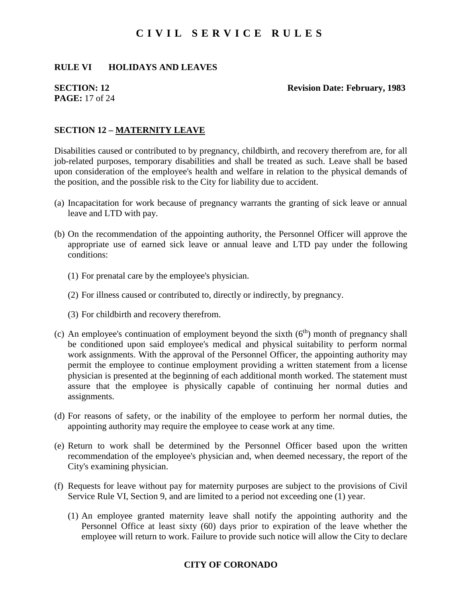#### **RULE VI HOLIDAYS AND LEAVES**

# **PAGE:** 17 of 24

#### **SECTION: 12** Revision Date: February, 1983

#### **SECTION 12 – MATERNITY LEAVE**

Disabilities caused or contributed to by pregnancy, childbirth, and recovery therefrom are, for all job-related purposes, temporary disabilities and shall be treated as such. Leave shall be based upon consideration of the employee's health and welfare in relation to the physical demands of the position, and the possible risk to the City for liability due to accident.

- (a) Incapacitation for work because of pregnancy warrants the granting of sick leave or annual leave and LTD with pay.
- (b) On the recommendation of the appointing authority, the Personnel Officer will approve the appropriate use of earned sick leave or annual leave and LTD pay under the following conditions:
	- (1) For prenatal care by the employee's physician.
	- (2) For illness caused or contributed to, directly or indirectly, by pregnancy.
	- (3) For childbirth and recovery therefrom.
- (c) An employee's continuation of employment beyond the sixth  $(6<sup>th</sup>)$  month of pregnancy shall be conditioned upon said employee's medical and physical suitability to perform normal work assignments. With the approval of the Personnel Officer, the appointing authority may permit the employee to continue employment providing a written statement from a license physician is presented at the beginning of each additional month worked. The statement must assure that the employee is physically capable of continuing her normal duties and assignments.
- (d) For reasons of safety, or the inability of the employee to perform her normal duties, the appointing authority may require the employee to cease work at any time.
- (e) Return to work shall be determined by the Personnel Officer based upon the written recommendation of the employee's physician and, when deemed necessary, the report of the City's examining physician.
- (f) Requests for leave without pay for maternity purposes are subject to the provisions of Civil Service Rule VI, Section 9, and are limited to a period not exceeding one (1) year.
	- (1) An employee granted maternity leave shall notify the appointing authority and the Personnel Office at least sixty (60) days prior to expiration of the leave whether the employee will return to work. Failure to provide such notice will allow the City to declare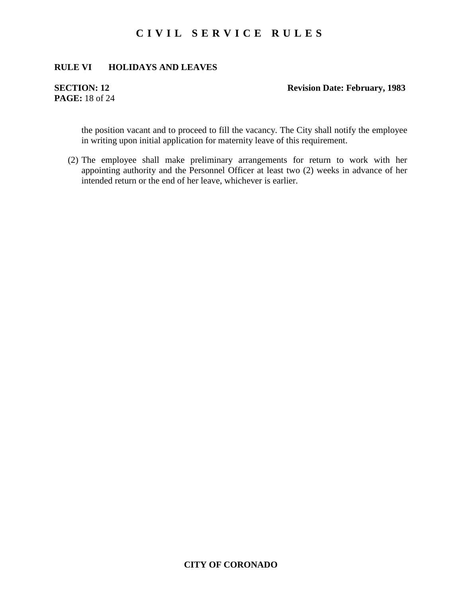### **RULE VI HOLIDAYS AND LEAVES**

# **PAGE:** 18 of 24

### **SECTION: 12** Revision Date: February, 1983

the position vacant and to proceed to fill the vacancy. The City shall notify the employee in writing upon initial application for maternity leave of this requirement.

(2) The employee shall make preliminary arrangements for return to work with her appointing authority and the Personnel Officer at least two (2) weeks in advance of her intended return or the end of her leave, whichever is earlier.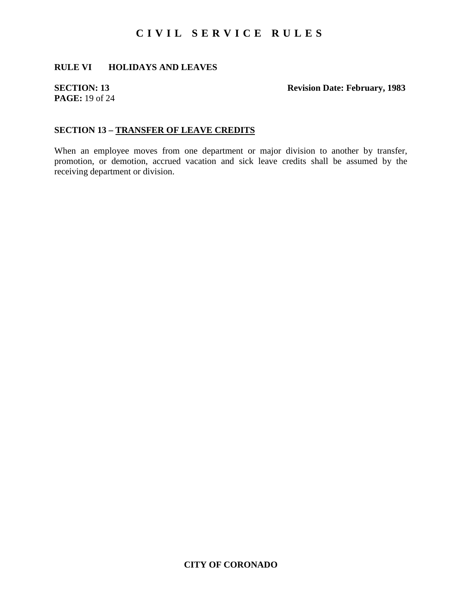### **RULE VI HOLIDAYS AND LEAVES**

# **PAGE:** 19 of 24

### **SECTION: 13** Revision Date: February, 1983

### **SECTION 13 – TRANSFER OF LEAVE CREDITS**

When an employee moves from one department or major division to another by transfer, promotion, or demotion, accrued vacation and sick leave credits shall be assumed by the receiving department or division.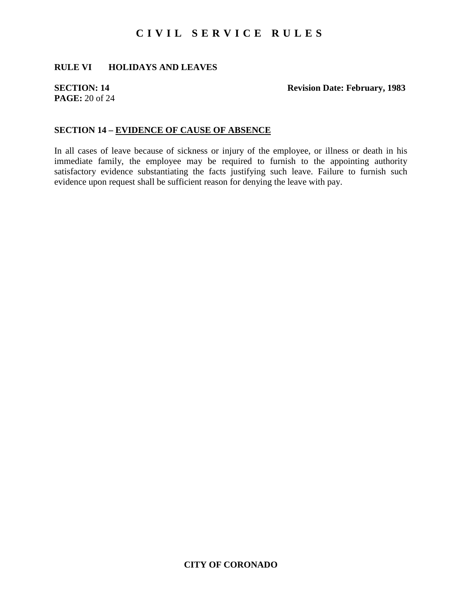### **RULE VI HOLIDAYS AND LEAVES**

# **PAGE:** 20 of 24

#### **SECTION: 14** Revision Date: February, 1983

#### **SECTION 14 – EVIDENCE OF CAUSE OF ABSENCE**

In all cases of leave because of sickness or injury of the employee, or illness or death in his immediate family, the employee may be required to furnish to the appointing authority satisfactory evidence substantiating the facts justifying such leave. Failure to furnish such evidence upon request shall be sufficient reason for denying the leave with pay.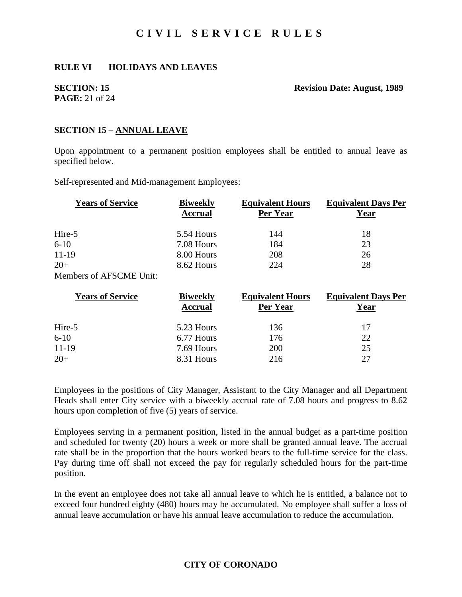#### **RULE VI HOLIDAYS AND LEAVES**

# **PAGE:** 21 of 24

#### **SECTION: 15** Revision Date: August, 1989

#### **SECTION 15 – ANNUAL LEAVE**

Upon appointment to a permanent position employees shall be entitled to annual leave as specified below.

Self-represented and Mid-management Employees:

| <b>Years of Service</b> | <b>Biweekly</b><br><b>Accrual</b> | <b>Equivalent Hours</b><br>Per Year | <b>Equivalent Days Per</b><br>Year |
|-------------------------|-----------------------------------|-------------------------------------|------------------------------------|
| Hire-5                  | 5.54 Hours                        | 144                                 | 18                                 |
| $6-10$                  | 7.08 Hours                        | 184                                 | 23                                 |
| $11-19$                 | 8.00 Hours                        | 208                                 | 26                                 |
| $20+$                   | 8.62 Hours                        | 224                                 | 28                                 |
| Members of AFSCME Unit: |                                   |                                     |                                    |
| <b>Years of Service</b> | <b>Biweekly</b><br><b>Accrual</b> | <b>Equivalent Hours</b><br>Per Year | <b>Equivalent Days Per</b><br>Year |
| Hire-5                  | 5.23 Hours                        | 136                                 | 17                                 |
| $6-10$                  | 6.77 Hours                        | 176                                 | 22                                 |
| $11-19$                 | 7.69 Hours                        | 200                                 | 25                                 |
| $20+$                   | 8.31 Hours                        | 216                                 | 27                                 |

Employees in the positions of City Manager, Assistant to the City Manager and all Department Heads shall enter City service with a biweekly accrual rate of 7.08 hours and progress to 8.62 hours upon completion of five (5) years of service.

Employees serving in a permanent position, listed in the annual budget as a part-time position and scheduled for twenty (20) hours a week or more shall be granted annual leave. The accrual rate shall be in the proportion that the hours worked bears to the full-time service for the class. Pay during time off shall not exceed the pay for regularly scheduled hours for the part-time position.

In the event an employee does not take all annual leave to which he is entitled, a balance not to exceed four hundred eighty (480) hours may be accumulated. No employee shall suffer a loss of annual leave accumulation or have his annual leave accumulation to reduce the accumulation.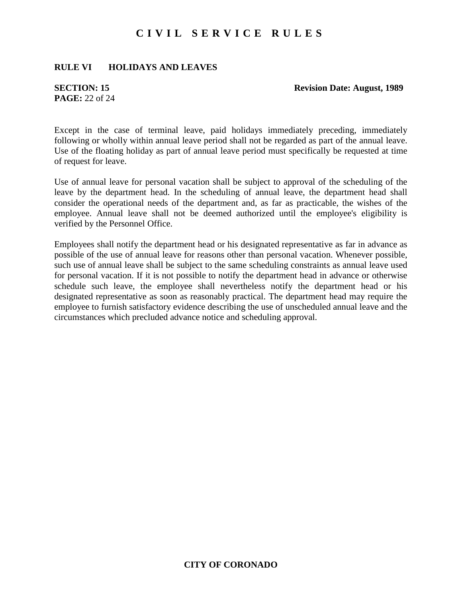#### **RULE VI HOLIDAYS AND LEAVES**

# **PAGE:** 22 of 24

#### **SECTION: 15** Revision Date: August, 1989

Except in the case of terminal leave, paid holidays immediately preceding, immediately following or wholly within annual leave period shall not be regarded as part of the annual leave. Use of the floating holiday as part of annual leave period must specifically be requested at time of request for leave.

Use of annual leave for personal vacation shall be subject to approval of the scheduling of the leave by the department head. In the scheduling of annual leave, the department head shall consider the operational needs of the department and, as far as practicable, the wishes of the employee. Annual leave shall not be deemed authorized until the employee's eligibility is verified by the Personnel Office.

Employees shall notify the department head or his designated representative as far in advance as possible of the use of annual leave for reasons other than personal vacation. Whenever possible, such use of annual leave shall be subject to the same scheduling constraints as annual leave used for personal vacation. If it is not possible to notify the department head in advance or otherwise schedule such leave, the employee shall nevertheless notify the department head or his designated representative as soon as reasonably practical. The department head may require the employee to furnish satisfactory evidence describing the use of unscheduled annual leave and the circumstances which precluded advance notice and scheduling approval.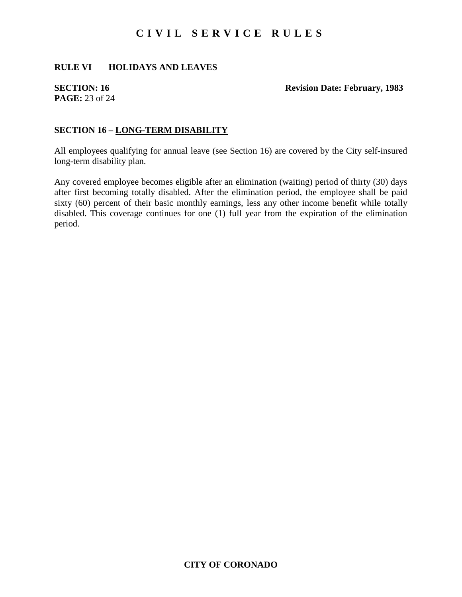### **RULE VI HOLIDAYS AND LEAVES**

# **PAGE:** 23 of 24

#### **SECTION: 16** Revision Date: February, 1983

#### **SECTION 16 – LONG-TERM DISABILITY**

All employees qualifying for annual leave (see Section 16) are covered by the City self-insured long-term disability plan.

Any covered employee becomes eligible after an elimination (waiting) period of thirty (30) days after first becoming totally disabled. After the elimination period, the employee shall be paid sixty (60) percent of their basic monthly earnings, less any other income benefit while totally disabled. This coverage continues for one (1) full year from the expiration of the elimination period.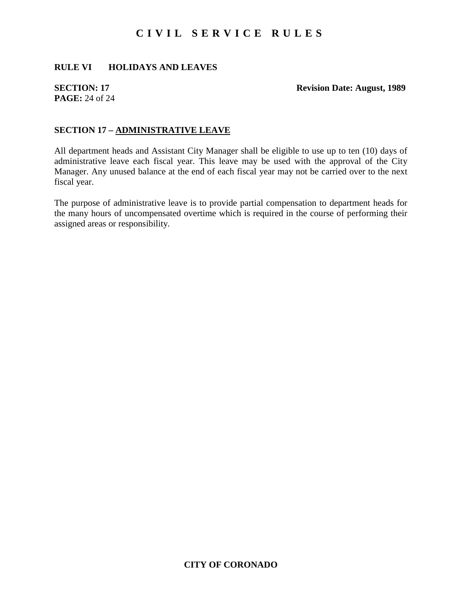### **RULE VI HOLIDAYS AND LEAVES**

# **PAGE:** 24 of 24

#### **SECTION: 17** Revision Date: August, 1989

#### **SECTION 17 – ADMINISTRATIVE LEAVE**

All department heads and Assistant City Manager shall be eligible to use up to ten (10) days of administrative leave each fiscal year. This leave may be used with the approval of the City Manager. Any unused balance at the end of each fiscal year may not be carried over to the next fiscal year.

The purpose of administrative leave is to provide partial compensation to department heads for the many hours of uncompensated overtime which is required in the course of performing their assigned areas or responsibility.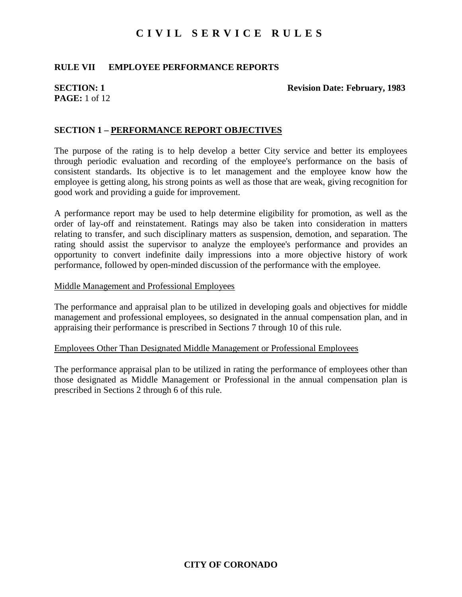### **RULE VII EMPLOYEE PERFORMANCE REPORTS**

# **PAGE:** 1 of 12

#### **SECTION: 1** Revision Date: February, 1983

### **SECTION 1 – PERFORMANCE REPORT OBJECTIVES**

The purpose of the rating is to help develop a better City service and better its employees through periodic evaluation and recording of the employee's performance on the basis of consistent standards. Its objective is to let management and the employee know how the employee is getting along, his strong points as well as those that are weak, giving recognition for good work and providing a guide for improvement.

A performance report may be used to help determine eligibility for promotion, as well as the order of lay-off and reinstatement. Ratings may also be taken into consideration in matters relating to transfer, and such disciplinary matters as suspension, demotion, and separation. The rating should assist the supervisor to analyze the employee's performance and provides an opportunity to convert indefinite daily impressions into a more objective history of work performance, followed by open-minded discussion of the performance with the employee.

#### Middle Management and Professional Employees

The performance and appraisal plan to be utilized in developing goals and objectives for middle management and professional employees, so designated in the annual compensation plan, and in appraising their performance is prescribed in Sections 7 through 10 of this rule.

#### Employees Other Than Designated Middle Management or Professional Employees

The performance appraisal plan to be utilized in rating the performance of employees other than those designated as Middle Management or Professional in the annual compensation plan is prescribed in Sections 2 through 6 of this rule.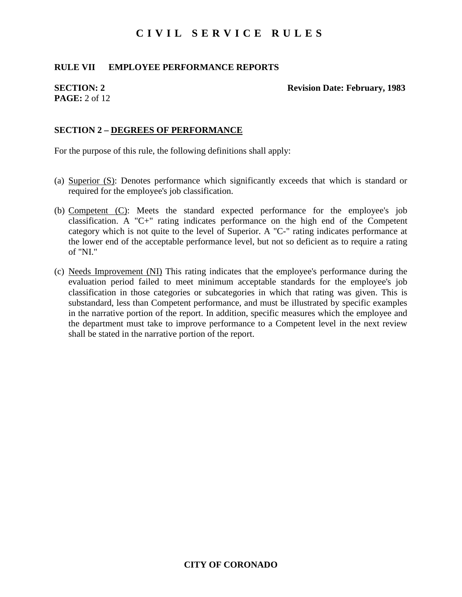### **RULE VII EMPLOYEE PERFORMANCE REPORTS**

# **PAGE:** 2 of 12

#### **SECTION: 2** Revision Date: February, 1983

### **SECTION 2 – DEGREES OF PERFORMANCE**

For the purpose of this rule, the following definitions shall apply:

- (a) Superior (S): Denotes performance which significantly exceeds that which is standard or required for the employee's job classification.
- (b) Competent (C): Meets the standard expected performance for the employee's job classification. A "C+" rating indicates performance on the high end of the Competent category which is not quite to the level of Superior. A "C-" rating indicates performance at the lower end of the acceptable performance level, but not so deficient as to require a rating of "NI."
- (c) Needs Improvement (NI) This rating indicates that the employee's performance during the evaluation period failed to meet minimum acceptable standards for the employee's job classification in those categories or subcategories in which that rating was given. This is substandard, less than Competent performance, and must be illustrated by specific examples in the narrative portion of the report. In addition, specific measures which the employee and the department must take to improve performance to a Competent level in the next review shall be stated in the narrative portion of the report.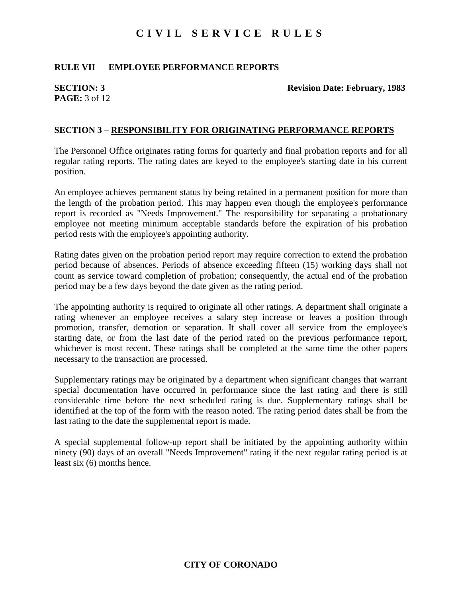### **RULE VII EMPLOYEE PERFORMANCE REPORTS**

# **PAGE:** 3 of 12

#### **SECTION: 3** Revision Date: February, 1983

#### **SECTION 3** – **RESPONSIBILITY FOR ORIGINATING PERFORMANCE REPORTS**

The Personnel Office originates rating forms for quarterly and final probation reports and for all regular rating reports. The rating dates are keyed to the employee's starting date in his current position.

An employee achieves permanent status by being retained in a permanent position for more than the length of the probation period. This may happen even though the employee's performance report is recorded as "Needs Improvement." The responsibility for separating a probationary employee not meeting minimum acceptable standards before the expiration of his probation period rests with the employee's appointing authority.

Rating dates given on the probation period report may require correction to extend the probation period because of absences. Periods of absence exceeding fifteen (15) working days shall not count as service toward completion of probation; consequently, the actual end of the probation period may be a few days beyond the date given as the rating period.

The appointing authority is required to originate all other ratings. A department shall originate a rating whenever an employee receives a salary step increase or leaves a position through promotion, transfer, demotion or separation. It shall cover all service from the employee's starting date, or from the last date of the period rated on the previous performance report, whichever is most recent. These ratings shall be completed at the same time the other papers necessary to the transaction are processed.

Supplementary ratings may be originated by a department when significant changes that warrant special documentation have occurred in performance since the last rating and there is still considerable time before the next scheduled rating is due. Supplementary ratings shall be identified at the top of the form with the reason noted. The rating period dates shall be from the last rating to the date the supplemental report is made.

A special supplemental follow-up report shall be initiated by the appointing authority within ninety (90) days of an overall "Needs Improvement" rating if the next regular rating period is at least six (6) months hence.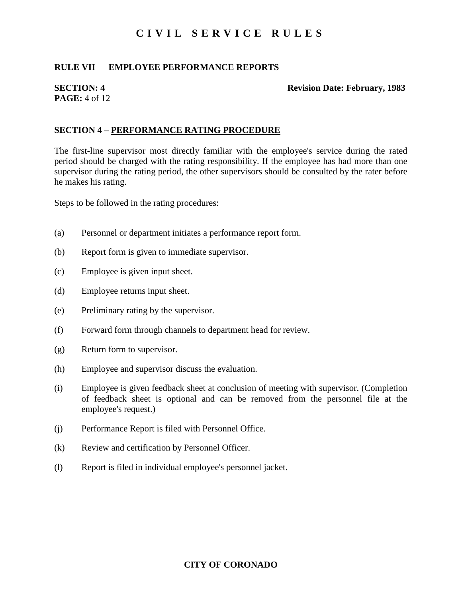#### **RULE VII EMPLOYEE PERFORMANCE REPORTS**

# **PAGE:** 4 of 12

#### **SECTION: 4** Revision Date: February, 1983

#### **SECTION 4** – **PERFORMANCE RATING PROCEDURE**

The first-line supervisor most directly familiar with the employee's service during the rated period should be charged with the rating responsibility. If the employee has had more than one supervisor during the rating period, the other supervisors should be consulted by the rater before he makes his rating.

Steps to be followed in the rating procedures:

- (a) Personnel or department initiates a performance report form.
- (b) Report form is given to immediate supervisor.
- (c) Employee is given input sheet.
- (d) Employee returns input sheet.
- (e) Preliminary rating by the supervisor.
- (f) Forward form through channels to department head for review.
- (g) Return form to supervisor.
- (h) Employee and supervisor discuss the evaluation.
- (i) Employee is given feedback sheet at conclusion of meeting with supervisor. (Completion of feedback sheet is optional and can be removed from the personnel file at the employee's request.)
- (j) Performance Report is filed with Personnel Office.
- (k) Review and certification by Personnel Officer.
- (l) Report is filed in individual employee's personnel jacket.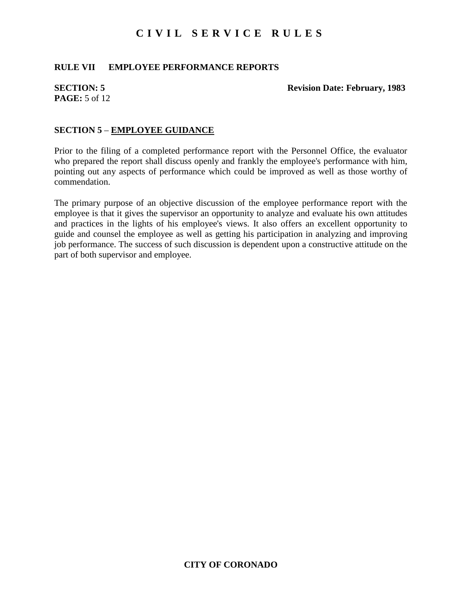### **RULE VII EMPLOYEE PERFORMANCE REPORTS**

# **PAGE:** 5 of 12

#### **SECTION: 5** Revision Date: February, 1983

#### **SECTION 5** – **EMPLOYEE GUIDANCE**

Prior to the filing of a completed performance report with the Personnel Office, the evaluator who prepared the report shall discuss openly and frankly the employee's performance with him, pointing out any aspects of performance which could be improved as well as those worthy of commendation.

The primary purpose of an objective discussion of the employee performance report with the employee is that it gives the supervisor an opportunity to analyze and evaluate his own attitudes and practices in the lights of his employee's views. It also offers an excellent opportunity to guide and counsel the employee as well as getting his participation in analyzing and improving job performance. The success of such discussion is dependent upon a constructive attitude on the part of both supervisor and employee.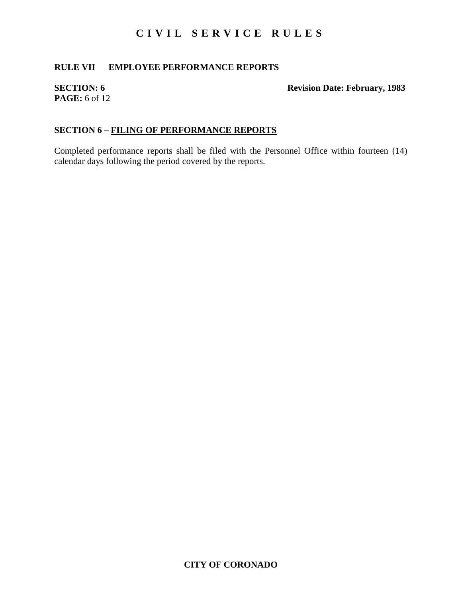### **RULE VII EMPLOYEE PERFORMANCE REPORTS**

# **PAGE:** 6 of 12

## **SECTION: 6** Revision Date: February, 1983

## **SECTION 6 – FILING OF PERFORMANCE REPORTS**

Completed performance reports shall be filed with the Personnel Office within fourteen (14) calendar days following the period covered by the reports.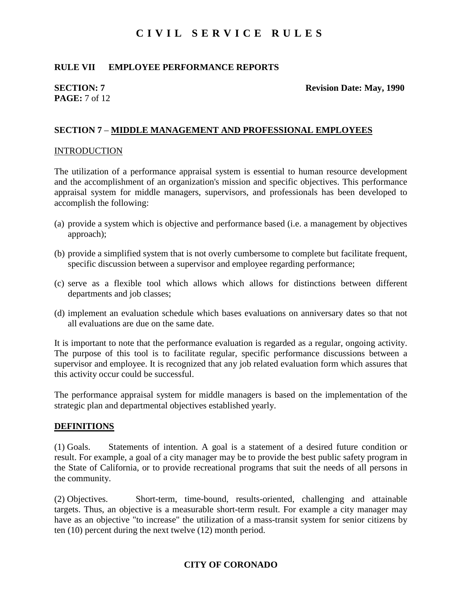### **RULE VII EMPLOYEE PERFORMANCE REPORTS**

# **PAGE:** 7 of 12

**SECTION: 7** Revision Date: May, 1990

### **SECTION 7** – **MIDDLE MANAGEMENT AND PROFESSIONAL EMPLOYEES**

#### INTRODUCTION

The utilization of a performance appraisal system is essential to human resource development and the accomplishment of an organization's mission and specific objectives. This performance appraisal system for middle managers, supervisors, and professionals has been developed to accomplish the following:

- (a) provide a system which is objective and performance based (i.e. a management by objectives approach);
- (b) provide a simplified system that is not overly cumbersome to complete but facilitate frequent, specific discussion between a supervisor and employee regarding performance;
- (c) serve as a flexible tool which allows which allows for distinctions between different departments and job classes;
- (d) implement an evaluation schedule which bases evaluations on anniversary dates so that not all evaluations are due on the same date.

It is important to note that the performance evaluation is regarded as a regular, ongoing activity. The purpose of this tool is to facilitate regular, specific performance discussions between a supervisor and employee. It is recognized that any job related evaluation form which assures that this activity occur could be successful.

The performance appraisal system for middle managers is based on the implementation of the strategic plan and departmental objectives established yearly.

#### **DEFINITIONS**

(1) Goals. Statements of intention. A goal is a statement of a desired future condition or result. For example, a goal of a city manager may be to provide the best public safety program in the State of California, or to provide recreational programs that suit the needs of all persons in the community.

(2) Objectives. Short-term, time-bound, results-oriented, challenging and attainable targets. Thus, an objective is a measurable short-term result. For example a city manager may have as an objective "to increase" the utilization of a mass-transit system for senior citizens by ten (10) percent during the next twelve (12) month period.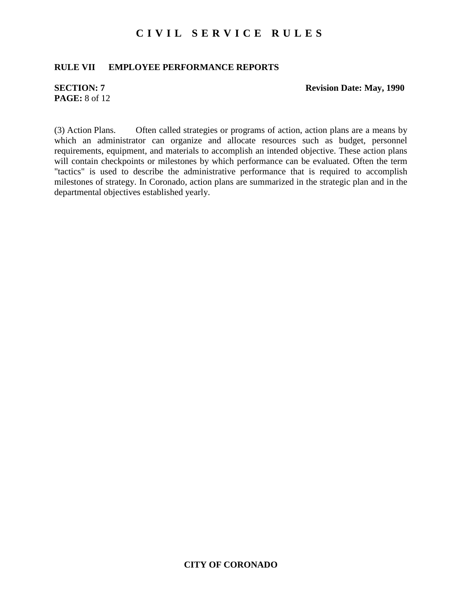### **RULE VII EMPLOYEE PERFORMANCE REPORTS**

# **PAGE:** 8 of 12

#### **SECTION: 7** Revision Date: May, 1990

(3) Action Plans. Often called strategies or programs of action, action plans are a means by which an administrator can organize and allocate resources such as budget, personnel requirements, equipment, and materials to accomplish an intended objective. These action plans will contain checkpoints or milestones by which performance can be evaluated. Often the term "tactics" is used to describe the administrative performance that is required to accomplish milestones of strategy. In Coronado, action plans are summarized in the strategic plan and in the departmental objectives established yearly.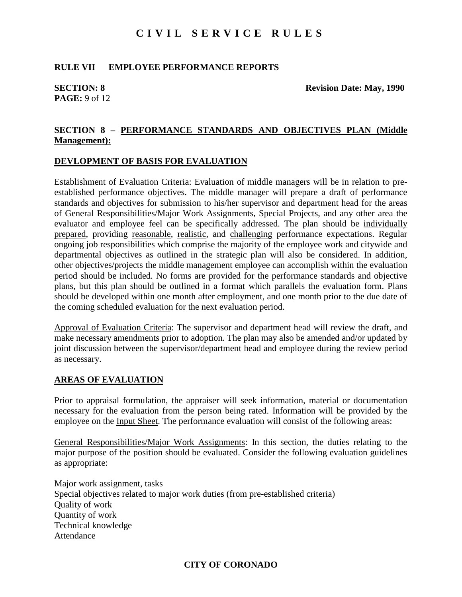### **RULE VII EMPLOYEE PERFORMANCE REPORTS**

# **PAGE:** 9 of 12

**SECTION: 8** Revision Date: May, 1990

### **SECTION 8 – PERFORMANCE STANDARDS AND OBJECTIVES PLAN (Middle Management):**

#### **DEVLOPMENT OF BASIS FOR EVALUATION**

Establishment of Evaluation Criteria: Evaluation of middle managers will be in relation to preestablished performance objectives. The middle manager will prepare a draft of performance standards and objectives for submission to his/her supervisor and department head for the areas of General Responsibilities/Major Work Assignments, Special Projects, and any other area the evaluator and employee feel can be specifically addressed. The plan should be individually prepared, providing reasonable, realistic, and challenging performance expectations. Regular ongoing job responsibilities which comprise the majority of the employee work and citywide and departmental objectives as outlined in the strategic plan will also be considered. In addition, other objectives/projects the middle management employee can accomplish within the evaluation period should be included. No forms are provided for the performance standards and objective plans, but this plan should be outlined in a format which parallels the evaluation form. Plans should be developed within one month after employment, and one month prior to the due date of the coming scheduled evaluation for the next evaluation period.

Approval of Evaluation Criteria: The supervisor and department head will review the draft, and make necessary amendments prior to adoption. The plan may also be amended and/or updated by joint discussion between the supervisor/department head and employee during the review period as necessary.

#### **AREAS OF EVALUATION**

Prior to appraisal formulation, the appraiser will seek information, material or documentation necessary for the evaluation from the person being rated. Information will be provided by the employee on the Input Sheet. The performance evaluation will consist of the following areas:

General Responsibilities/Major Work Assignments: In this section, the duties relating to the major purpose of the position should be evaluated. Consider the following evaluation guidelines as appropriate:

Major work assignment, tasks Special objectives related to major work duties (from pre-established criteria) Quality of work Quantity of work Technical knowledge Attendance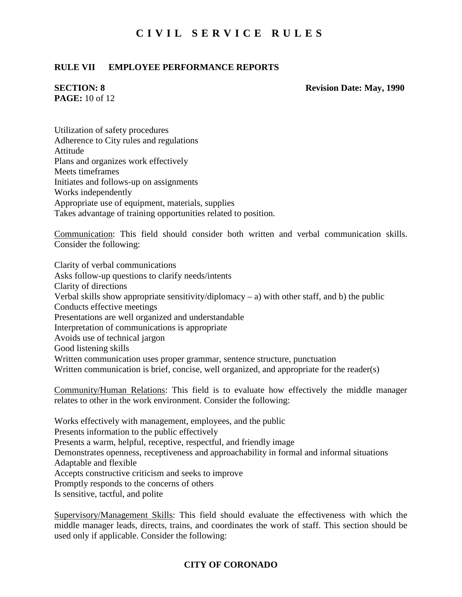#### **RULE VII EMPLOYEE PERFORMANCE REPORTS**

# **PAGE:** 10 of 12

**SECTION: 8** Revision Date: May, 1990

Utilization of safety procedures Adherence to City rules and regulations Attitude Plans and organizes work effectively Meets timeframes Initiates and follows-up on assignments Works independently Appropriate use of equipment, materials, supplies Takes advantage of training opportunities related to position.

Communication: This field should consider both written and verbal communication skills. Consider the following:

Clarity of verbal communications Asks follow-up questions to clarify needs/intents Clarity of directions Verbal skills show appropriate sensitivity/diplomacy  $-$  a) with other staff, and b) the public Conducts effective meetings Presentations are well organized and understandable Interpretation of communications is appropriate Avoids use of technical jargon Good listening skills Written communication uses proper grammar, sentence structure, punctuation Written communication is brief, concise, well organized, and appropriate for the reader(s)

Community/Human Relations: This field is to evaluate how effectively the middle manager relates to other in the work environment. Consider the following:

Works effectively with management, employees, and the public Presents information to the public effectively Presents a warm, helpful, receptive, respectful, and friendly image Demonstrates openness, receptiveness and approachability in formal and informal situations Adaptable and flexible Accepts constructive criticism and seeks to improve Promptly responds to the concerns of others Is sensitive, tactful, and polite

Supervisory/Management Skills: This field should evaluate the effectiveness with which the middle manager leads, directs, trains, and coordinates the work of staff. This section should be used only if applicable. Consider the following: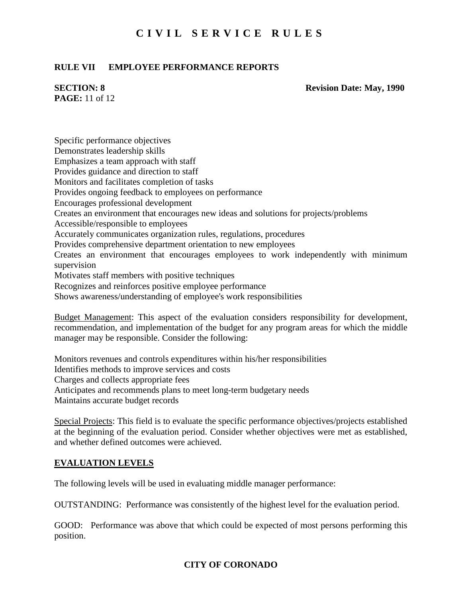### **RULE VII EMPLOYEE PERFORMANCE REPORTS**

# **PAGE:** 11 of 12

**SECTION: 8** Revision Date: May, 1990

Specific performance objectives Demonstrates leadership skills Emphasizes a team approach with staff Provides guidance and direction to staff Monitors and facilitates completion of tasks Provides ongoing feedback to employees on performance Encourages professional development Creates an environment that encourages new ideas and solutions for projects/problems Accessible/responsible to employees Accurately communicates organization rules, regulations, procedures Provides comprehensive department orientation to new employees Creates an environment that encourages employees to work independently with minimum supervision Motivates staff members with positive techniques Recognizes and reinforces positive employee performance Shows awareness/understanding of employee's work responsibilities

Budget Management: This aspect of the evaluation considers responsibility for development, recommendation, and implementation of the budget for any program areas for which the middle manager may be responsible. Consider the following:

Monitors revenues and controls expenditures within his/her responsibilities Identifies methods to improve services and costs Charges and collects appropriate fees Anticipates and recommends plans to meet long-term budgetary needs

Maintains accurate budget records

Special Projects: This field is to evaluate the specific performance objectives/projects established at the beginning of the evaluation period. Consider whether objectives were met as established, and whether defined outcomes were achieved.

#### **EVALUATION LEVELS**

The following levels will be used in evaluating middle manager performance:

OUTSTANDING: Performance was consistently of the highest level for the evaluation period.

GOOD: Performance was above that which could be expected of most persons performing this position.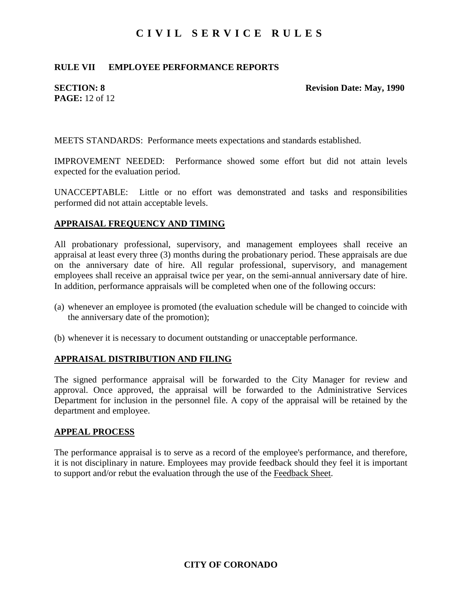### **RULE VII EMPLOYEE PERFORMANCE REPORTS**

**PAGE:** 12 of 12

**SECTION: 8** Revision Date: May, 1990

MEETS STANDARDS: Performance meets expectations and standards established.

IMPROVEMENT NEEDED: Performance showed some effort but did not attain levels expected for the evaluation period.

UNACCEPTABLE: Little or no effort was demonstrated and tasks and responsibilities performed did not attain acceptable levels.

#### **APPRAISAL FREQUENCY AND TIMING**

All probationary professional, supervisory, and management employees shall receive an appraisal at least every three (3) months during the probationary period. These appraisals are due on the anniversary date of hire. All regular professional, supervisory, and management employees shall receive an appraisal twice per year, on the semi-annual anniversary date of hire. In addition, performance appraisals will be completed when one of the following occurs:

- (a) whenever an employee is promoted (the evaluation schedule will be changed to coincide with the anniversary date of the promotion);
- (b) whenever it is necessary to document outstanding or unacceptable performance.

#### **APPRAISAL DISTRIBUTION AND FILING**

The signed performance appraisal will be forwarded to the City Manager for review and approval. Once approved, the appraisal will be forwarded to the Administrative Services Department for inclusion in the personnel file. A copy of the appraisal will be retained by the department and employee.

#### **APPEAL PROCESS**

The performance appraisal is to serve as a record of the employee's performance, and therefore, it is not disciplinary in nature. Employees may provide feedback should they feel it is important to support and/or rebut the evaluation through the use of the Feedback Sheet.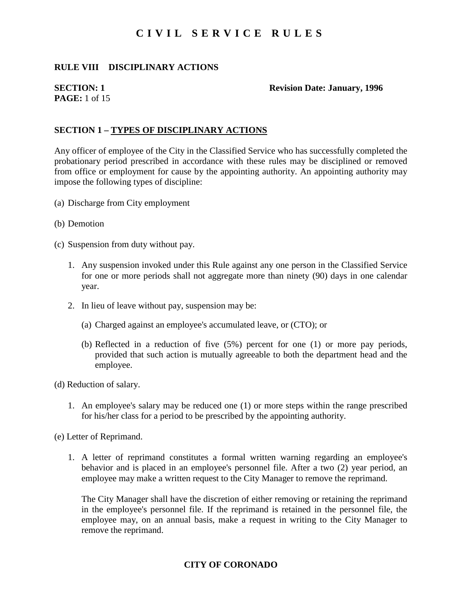### **RULE VIII DISCIPLINARY ACTIONS**

# **PAGE:** 1 of 15

#### **SECTION: 1** Revision Date: January, 1996

### **SECTION 1 – TYPES OF DISCIPLINARY ACTIONS**

Any officer of employee of the City in the Classified Service who has successfully completed the probationary period prescribed in accordance with these rules may be disciplined or removed from office or employment for cause by the appointing authority. An appointing authority may impose the following types of discipline:

- (a) Discharge from City employment
- (b) Demotion
- (c) Suspension from duty without pay.
	- 1. Any suspension invoked under this Rule against any one person in the Classified Service for one or more periods shall not aggregate more than ninety (90) days in one calendar year.
	- 2. In lieu of leave without pay, suspension may be:
		- (a) Charged against an employee's accumulated leave, or (CTO); or
		- (b) Reflected in a reduction of five (5%) percent for one (1) or more pay periods, provided that such action is mutually agreeable to both the department head and the employee.
- (d) Reduction of salary.
	- 1. An employee's salary may be reduced one (1) or more steps within the range prescribed for his/her class for a period to be prescribed by the appointing authority.
- (e) Letter of Reprimand.
	- 1. A letter of reprimand constitutes a formal written warning regarding an employee's behavior and is placed in an employee's personnel file. After a two (2) year period, an employee may make a written request to the City Manager to remove the reprimand.

The City Manager shall have the discretion of either removing or retaining the reprimand in the employee's personnel file. If the reprimand is retained in the personnel file, the employee may, on an annual basis, make a request in writing to the City Manager to remove the reprimand.

### **CITY OF CORONADO**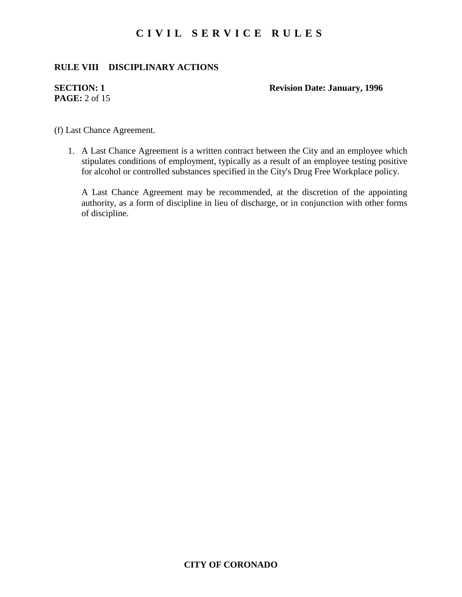### **RULE VIII DISCIPLINARY ACTIONS**

# **PAGE:** 2 of 15

#### **SECTION: 1** Revision Date: January, 1996

(f) Last Chance Agreement.

1. A Last Chance Agreement is a written contract between the City and an employee which stipulates conditions of employment, typically as a result of an employee testing positive for alcohol or controlled substances specified in the City's Drug Free Workplace policy.

A Last Chance Agreement may be recommended, at the discretion of the appointing authority, as a form of discipline in lieu of discharge, or in conjunction with other forms of discipline.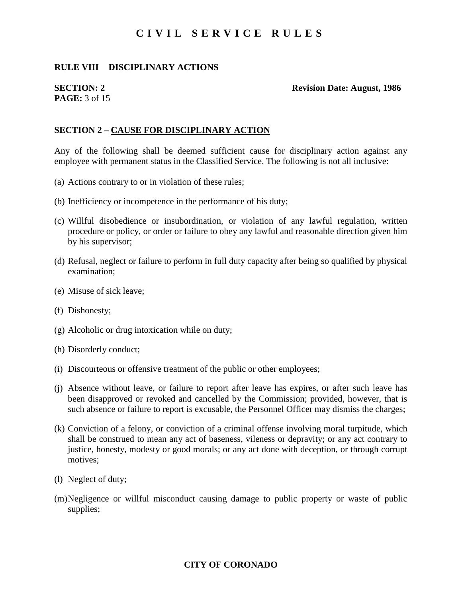### **RULE VIII DISCIPLINARY ACTIONS**

# **PAGE:** 3 of 15

#### **SECTION: 2** Revision Date: August, 1986

### **SECTION 2 – CAUSE FOR DISCIPLINARY ACTION**

Any of the following shall be deemed sufficient cause for disciplinary action against any employee with permanent status in the Classified Service. The following is not all inclusive:

- (a) Actions contrary to or in violation of these rules;
- (b) Inefficiency or incompetence in the performance of his duty;
- (c) Willful disobedience or insubordination, or violation of any lawful regulation, written procedure or policy, or order or failure to obey any lawful and reasonable direction given him by his supervisor;
- (d) Refusal, neglect or failure to perform in full duty capacity after being so qualified by physical examination;
- (e) Misuse of sick leave;
- (f) Dishonesty;
- (g) Alcoholic or drug intoxication while on duty;
- (h) Disorderly conduct;
- (i) Discourteous or offensive treatment of the public or other employees;
- (j) Absence without leave, or failure to report after leave has expires, or after such leave has been disapproved or revoked and cancelled by the Commission; provided, however, that is such absence or failure to report is excusable, the Personnel Officer may dismiss the charges;
- (k) Conviction of a felony, or conviction of a criminal offense involving moral turpitude, which shall be construed to mean any act of baseness, vileness or depravity; or any act contrary to justice, honesty, modesty or good morals; or any act done with deception, or through corrupt motives;
- (l) Neglect of duty;
- (m)Negligence or willful misconduct causing damage to public property or waste of public supplies;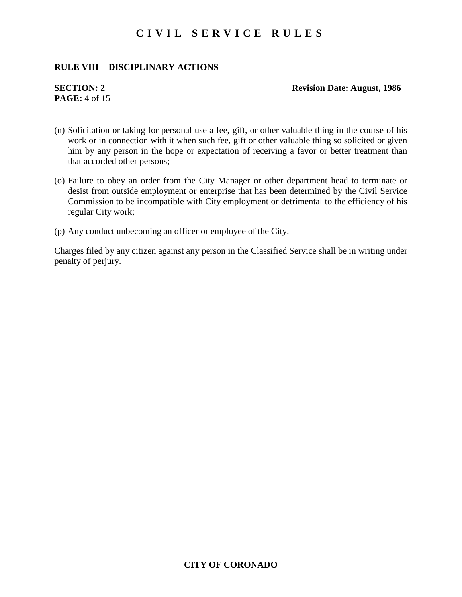### **RULE VIII DISCIPLINARY ACTIONS**

# **PAGE:** 4 of 15

#### **SECTION: 2** Revision Date: August, 1986

- (n) Solicitation or taking for personal use a fee, gift, or other valuable thing in the course of his work or in connection with it when such fee, gift or other valuable thing so solicited or given him by any person in the hope or expectation of receiving a favor or better treatment than that accorded other persons;
- (o) Failure to obey an order from the City Manager or other department head to terminate or desist from outside employment or enterprise that has been determined by the Civil Service Commission to be incompatible with City employment or detrimental to the efficiency of his regular City work;
- (p) Any conduct unbecoming an officer or employee of the City.

Charges filed by any citizen against any person in the Classified Service shall be in writing under penalty of perjury.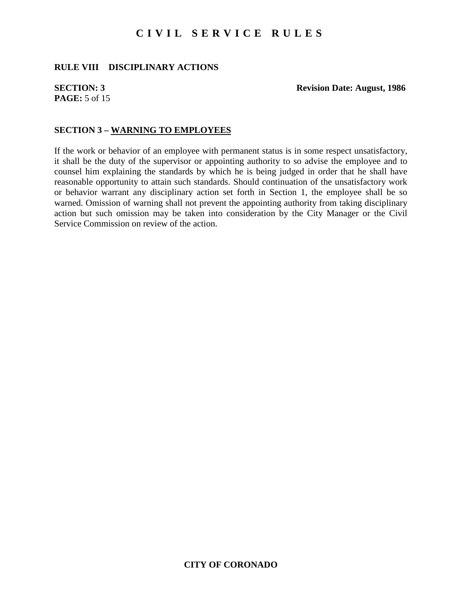### **RULE VIII DISCIPLINARY ACTIONS**

## **PAGE:** 5 of 15

**SECTION: 3** Revision Date: August, 1986

#### **SECTION 3 – WARNING TO EMPLOYEES**

If the work or behavior of an employee with permanent status is in some respect unsatisfactory, it shall be the duty of the supervisor or appointing authority to so advise the employee and to counsel him explaining the standards by which he is being judged in order that he shall have reasonable opportunity to attain such standards. Should continuation of the unsatisfactory work or behavior warrant any disciplinary action set forth in Section 1, the employee shall be so warned. Omission of warning shall not prevent the appointing authority from taking disciplinary action but such omission may be taken into consideration by the City Manager or the Civil Service Commission on review of the action.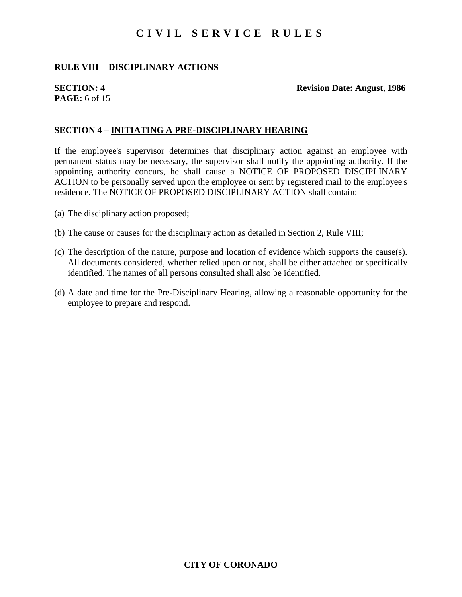### **RULE VIII DISCIPLINARY ACTIONS**

## **PAGE:** 6 of 15

**SECTION: 4** Revision Date: August, 1986

### **SECTION 4 – INITIATING A PRE-DISCIPLINARY HEARING**

If the employee's supervisor determines that disciplinary action against an employee with permanent status may be necessary, the supervisor shall notify the appointing authority. If the appointing authority concurs, he shall cause a NOTICE OF PROPOSED DISCIPLINARY ACTION to be personally served upon the employee or sent by registered mail to the employee's residence. The NOTICE OF PROPOSED DISCIPLINARY ACTION shall contain:

- (a) The disciplinary action proposed;
- (b) The cause or causes for the disciplinary action as detailed in Section 2, Rule VIII;
- (c) The description of the nature, purpose and location of evidence which supports the cause(s). All documents considered, whether relied upon or not, shall be either attached or specifically identified. The names of all persons consulted shall also be identified.
- (d) A date and time for the Pre-Disciplinary Hearing, allowing a reasonable opportunity for the employee to prepare and respond.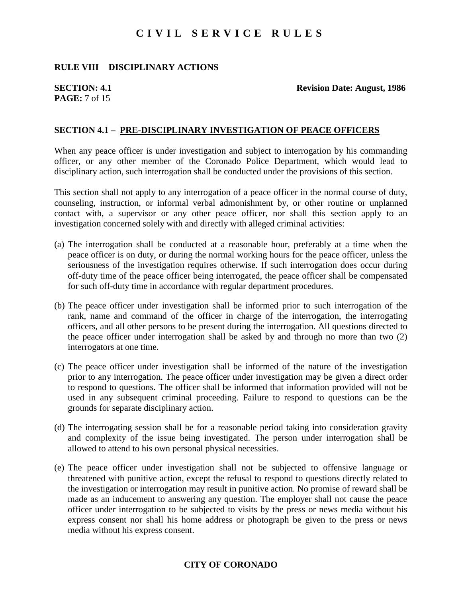### **RULE VIII DISCIPLINARY ACTIONS**

## **PAGE:** 7 of 15

**SECTION: 4.1** Revision Date: August, 1986

#### **SECTION 4.1 – PRE-DISCIPLINARY INVESTIGATION OF PEACE OFFICERS**

When any peace officer is under investigation and subject to interrogation by his commanding officer, or any other member of the Coronado Police Department, which would lead to disciplinary action, such interrogation shall be conducted under the provisions of this section.

This section shall not apply to any interrogation of a peace officer in the normal course of duty, counseling, instruction, or informal verbal admonishment by, or other routine or unplanned contact with, a supervisor or any other peace officer, nor shall this section apply to an investigation concerned solely with and directly with alleged criminal activities:

- (a) The interrogation shall be conducted at a reasonable hour, preferably at a time when the peace officer is on duty, or during the normal working hours for the peace officer, unless the seriousness of the investigation requires otherwise. If such interrogation does occur during off-duty time of the peace officer being interrogated, the peace officer shall be compensated for such off-duty time in accordance with regular department procedures.
- (b) The peace officer under investigation shall be informed prior to such interrogation of the rank, name and command of the officer in charge of the interrogation, the interrogating officers, and all other persons to be present during the interrogation. All questions directed to the peace officer under interrogation shall be asked by and through no more than two (2) interrogators at one time.
- (c) The peace officer under investigation shall be informed of the nature of the investigation prior to any interrogation. The peace officer under investigation may be given a direct order to respond to questions. The officer shall be informed that information provided will not be used in any subsequent criminal proceeding. Failure to respond to questions can be the grounds for separate disciplinary action.
- (d) The interrogating session shall be for a reasonable period taking into consideration gravity and complexity of the issue being investigated. The person under interrogation shall be allowed to attend to his own personal physical necessities.
- (e) The peace officer under investigation shall not be subjected to offensive language or threatened with punitive action, except the refusal to respond to questions directly related to the investigation or interrogation may result in punitive action. No promise of reward shall be made as an inducement to answering any question. The employer shall not cause the peace officer under interrogation to be subjected to visits by the press or news media without his express consent nor shall his home address or photograph be given to the press or news media without his express consent.

### **CITY OF CORONADO**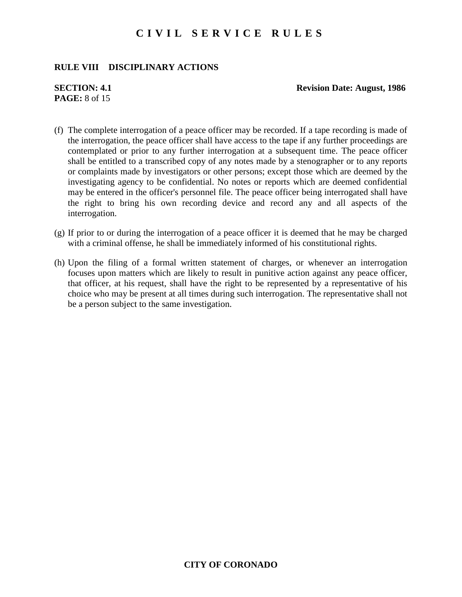### **RULE VIII DISCIPLINARY ACTIONS**

# **PAGE:** 8 of 15

**SECTION: 4.1** Revision Date: August, 1986

- (f) The complete interrogation of a peace officer may be recorded. If a tape recording is made of the interrogation, the peace officer shall have access to the tape if any further proceedings are contemplated or prior to any further interrogation at a subsequent time. The peace officer shall be entitled to a transcribed copy of any notes made by a stenographer or to any reports or complaints made by investigators or other persons; except those which are deemed by the investigating agency to be confidential. No notes or reports which are deemed confidential may be entered in the officer's personnel file. The peace officer being interrogated shall have the right to bring his own recording device and record any and all aspects of the interrogation.
- (g) If prior to or during the interrogation of a peace officer it is deemed that he may be charged with a criminal offense, he shall be immediately informed of his constitutional rights.
- (h) Upon the filing of a formal written statement of charges, or whenever an interrogation focuses upon matters which are likely to result in punitive action against any peace officer, that officer, at his request, shall have the right to be represented by a representative of his choice who may be present at all times during such interrogation. The representative shall not be a person subject to the same investigation.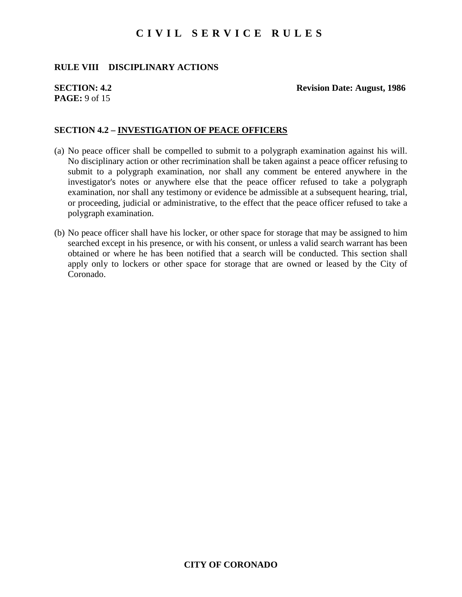### **RULE VIII DISCIPLINARY ACTIONS**

## **PAGE:** 9 of 15

**SECTION: 4.2** Revision Date: August, 1986

#### **SECTION 4.2 – INVESTIGATION OF PEACE OFFICERS**

- (a) No peace officer shall be compelled to submit to a polygraph examination against his will. No disciplinary action or other recrimination shall be taken against a peace officer refusing to submit to a polygraph examination, nor shall any comment be entered anywhere in the investigator's notes or anywhere else that the peace officer refused to take a polygraph examination, nor shall any testimony or evidence be admissible at a subsequent hearing, trial, or proceeding, judicial or administrative, to the effect that the peace officer refused to take a polygraph examination.
- (b) No peace officer shall have his locker, or other space for storage that may be assigned to him searched except in his presence, or with his consent, or unless a valid search warrant has been obtained or where he has been notified that a search will be conducted. This section shall apply only to lockers or other space for storage that are owned or leased by the City of Coronado.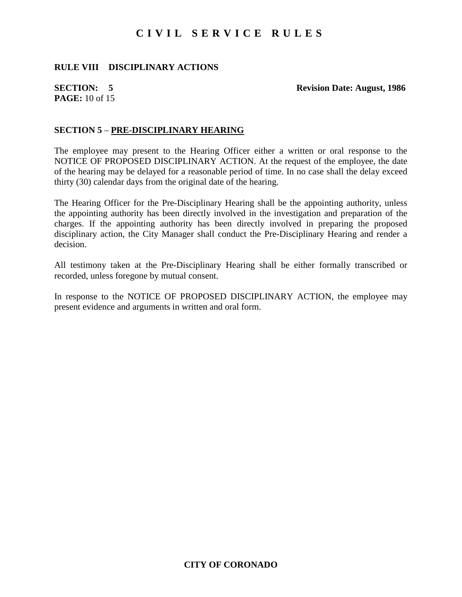### **RULE VIII DISCIPLINARY ACTIONS**

## **PAGE:** 10 of 15

#### **SECTION:** 5 Revision Date: August, 1986

### **SECTION 5** – **PRE-DISCIPLINARY HEARING**

The employee may present to the Hearing Officer either a written or oral response to the NOTICE OF PROPOSED DISCIPLINARY ACTION. At the request of the employee, the date of the hearing may be delayed for a reasonable period of time. In no case shall the delay exceed thirty (30) calendar days from the original date of the hearing.

The Hearing Officer for the Pre-Disciplinary Hearing shall be the appointing authority, unless the appointing authority has been directly involved in the investigation and preparation of the charges. If the appointing authority has been directly involved in preparing the proposed disciplinary action, the City Manager shall conduct the Pre-Disciplinary Hearing and render a decision.

All testimony taken at the Pre-Disciplinary Hearing shall be either formally transcribed or recorded, unless foregone by mutual consent.

In response to the NOTICE OF PROPOSED DISCIPLINARY ACTION, the employee may present evidence and arguments in written and oral form.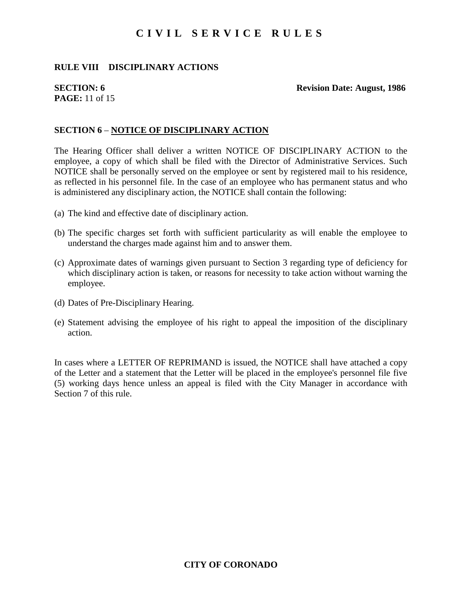### **RULE VIII DISCIPLINARY ACTIONS**

## **PAGE:** 11 of 15

**SECTION: 6** Revision Date: August, 1986

### **SECTION 6** – **NOTICE OF DISCIPLINARY ACTION**

The Hearing Officer shall deliver a written NOTICE OF DISCIPLINARY ACTION to the employee, a copy of which shall be filed with the Director of Administrative Services. Such NOTICE shall be personally served on the employee or sent by registered mail to his residence, as reflected in his personnel file. In the case of an employee who has permanent status and who is administered any disciplinary action, the NOTICE shall contain the following:

- (a) The kind and effective date of disciplinary action.
- (b) The specific charges set forth with sufficient particularity as will enable the employee to understand the charges made against him and to answer them.
- (c) Approximate dates of warnings given pursuant to Section 3 regarding type of deficiency for which disciplinary action is taken, or reasons for necessity to take action without warning the employee.
- (d) Dates of Pre-Disciplinary Hearing.
- (e) Statement advising the employee of his right to appeal the imposition of the disciplinary action.

In cases where a LETTER OF REPRIMAND is issued, the NOTICE shall have attached a copy of the Letter and a statement that the Letter will be placed in the employee's personnel file five (5) working days hence unless an appeal is filed with the City Manager in accordance with Section 7 of this rule.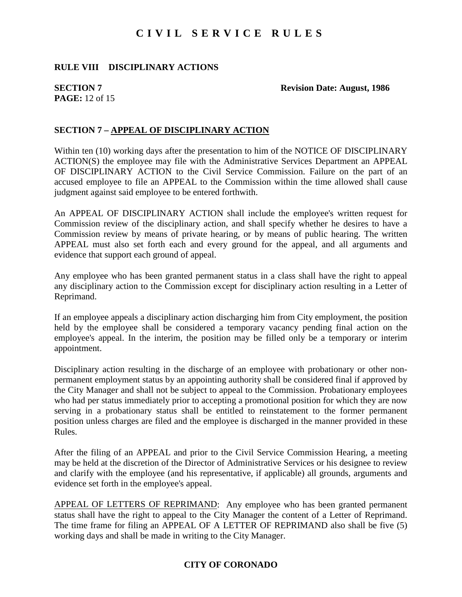### **RULE VIII DISCIPLINARY ACTIONS**

# **PAGE:** 12 of 15

**SECTION 7** Revision Date: August, 1986

### **SECTION 7 – APPEAL OF DISCIPLINARY ACTION**

Within ten (10) working days after the presentation to him of the NOTICE OF DISCIPLINARY ACTION(S) the employee may file with the Administrative Services Department an APPEAL OF DISCIPLINARY ACTION to the Civil Service Commission. Failure on the part of an accused employee to file an APPEAL to the Commission within the time allowed shall cause judgment against said employee to be entered forthwith.

An APPEAL OF DISCIPLINARY ACTION shall include the employee's written request for Commission review of the disciplinary action, and shall specify whether he desires to have a Commission review by means of private hearing, or by means of public hearing. The written APPEAL must also set forth each and every ground for the appeal, and all arguments and evidence that support each ground of appeal.

Any employee who has been granted permanent status in a class shall have the right to appeal any disciplinary action to the Commission except for disciplinary action resulting in a Letter of Reprimand.

If an employee appeals a disciplinary action discharging him from City employment, the position held by the employee shall be considered a temporary vacancy pending final action on the employee's appeal. In the interim, the position may be filled only be a temporary or interim appointment.

Disciplinary action resulting in the discharge of an employee with probationary or other nonpermanent employment status by an appointing authority shall be considered final if approved by the City Manager and shall not be subject to appeal to the Commission. Probationary employees who had per status immediately prior to accepting a promotional position for which they are now serving in a probationary status shall be entitled to reinstatement to the former permanent position unless charges are filed and the employee is discharged in the manner provided in these Rules.

After the filing of an APPEAL and prior to the Civil Service Commission Hearing, a meeting may be held at the discretion of the Director of Administrative Services or his designee to review and clarify with the employee (and his representative, if applicable) all grounds, arguments and evidence set forth in the employee's appeal.

APPEAL OF LETTERS OF REPRIMAND: Any employee who has been granted permanent status shall have the right to appeal to the City Manager the content of a Letter of Reprimand. The time frame for filing an APPEAL OF A LETTER OF REPRIMAND also shall be five (5) working days and shall be made in writing to the City Manager.

### **CITY OF CORONADO**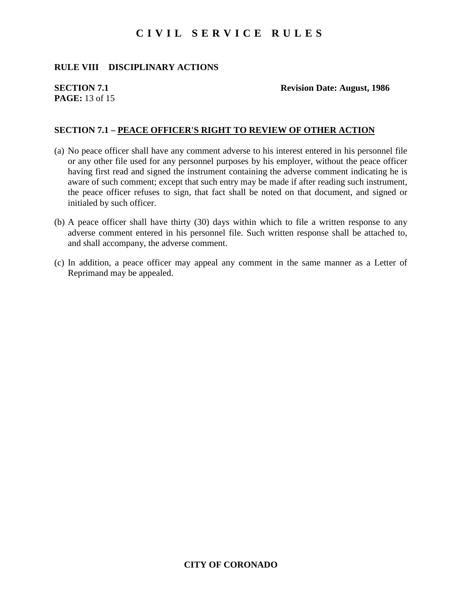### **RULE VIII DISCIPLINARY ACTIONS**

# **PAGE:** 13 of 15

**SECTION 7.1** Revision Date: August, 1986

### **SECTION 7.1 – PEACE OFFICER'S RIGHT TO REVIEW OF OTHER ACTION**

- (a) No peace officer shall have any comment adverse to his interest entered in his personnel file or any other file used for any personnel purposes by his employer, without the peace officer having first read and signed the instrument containing the adverse comment indicating he is aware of such comment; except that such entry may be made if after reading such instrument, the peace officer refuses to sign, that fact shall be noted on that document, and signed or initialed by such officer.
- (b) A peace officer shall have thirty (30) days within which to file a written response to any adverse comment entered in his personnel file. Such written response shall be attached to, and shall accompany, the adverse comment.
- (c) In addition, a peace officer may appeal any comment in the same manner as a Letter of Reprimand may be appealed.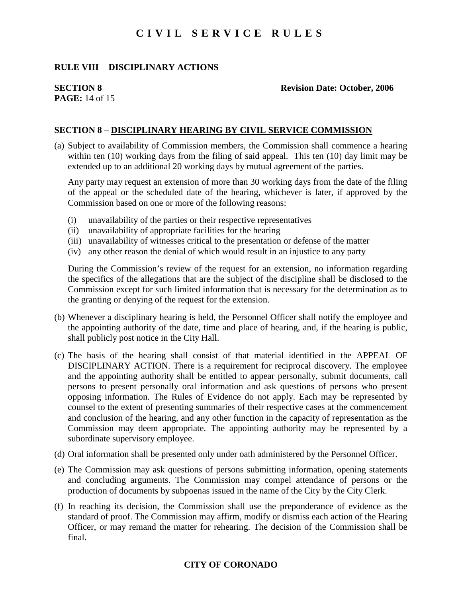### **RULE VIII DISCIPLINARY ACTIONS**

## **PAGE:** 14 of 15

**SECTION 8** Revision Date: October, 2006

### **SECTION 8** – **DISCIPLINARY HEARING BY CIVIL SERVICE COMMISSION**

(a) Subject to availability of Commission members, the Commission shall commence a hearing within ten (10) working days from the filing of said appeal. This ten (10) day limit may be extended up to an additional 20 working days by mutual agreement of the parties.

Any party may request an extension of more than 30 working days from the date of the filing of the appeal or the scheduled date of the hearing, whichever is later, if approved by the Commission based on one or more of the following reasons:

- (i) unavailability of the parties or their respective representatives
- (ii) unavailability of appropriate facilities for the hearing
- (iii) unavailability of witnesses critical to the presentation or defense of the matter
- (iv) any other reason the denial of which would result in an injustice to any party

During the Commission's review of the request for an extension, no information regarding the specifics of the allegations that are the subject of the discipline shall be disclosed to the Commission except for such limited information that is necessary for the determination as to the granting or denying of the request for the extension.

- (b) Whenever a disciplinary hearing is held, the Personnel Officer shall notify the employee and the appointing authority of the date, time and place of hearing, and, if the hearing is public, shall publicly post notice in the City Hall.
- (c) The basis of the hearing shall consist of that material identified in the APPEAL OF DISCIPLINARY ACTION. There is a requirement for reciprocal discovery. The employee and the appointing authority shall be entitled to appear personally, submit documents, call persons to present personally oral information and ask questions of persons who present opposing information. The Rules of Evidence do not apply. Each may be represented by counsel to the extent of presenting summaries of their respective cases at the commencement and conclusion of the hearing, and any other function in the capacity of representation as the Commission may deem appropriate. The appointing authority may be represented by a subordinate supervisory employee.
- (d) Oral information shall be presented only under oath administered by the Personnel Officer.
- (e) The Commission may ask questions of persons submitting information, opening statements and concluding arguments. The Commission may compel attendance of persons or the production of documents by subpoenas issued in the name of the City by the City Clerk.
- (f) In reaching its decision, the Commission shall use the preponderance of evidence as the standard of proof. The Commission may affirm, modify or dismiss each action of the Hearing Officer, or may remand the matter for rehearing. The decision of the Commission shall be final.

### **CITY OF CORONADO**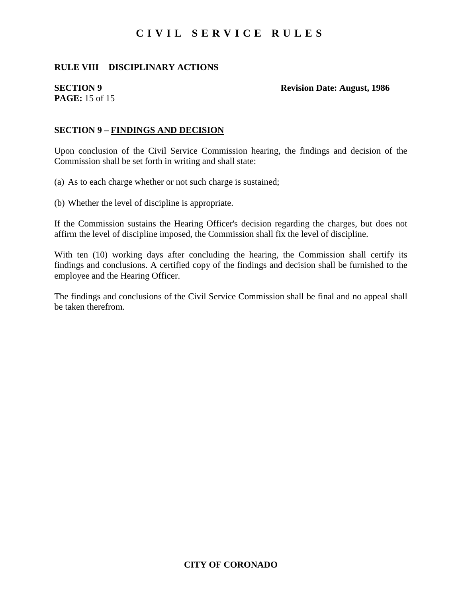### **RULE VIII DISCIPLINARY ACTIONS**

# **PAGE:** 15 of 15

#### **SECTION 9** Revision Date: August, 1986

### **SECTION 9 – FINDINGS AND DECISION**

Upon conclusion of the Civil Service Commission hearing, the findings and decision of the Commission shall be set forth in writing and shall state:

(a) As to each charge whether or not such charge is sustained;

(b) Whether the level of discipline is appropriate.

If the Commission sustains the Hearing Officer's decision regarding the charges, but does not affirm the level of discipline imposed, the Commission shall fix the level of discipline.

With ten (10) working days after concluding the hearing, the Commission shall certify its findings and conclusions. A certified copy of the findings and decision shall be furnished to the employee and the Hearing Officer.

The findings and conclusions of the Civil Service Commission shall be final and no appeal shall be taken therefrom.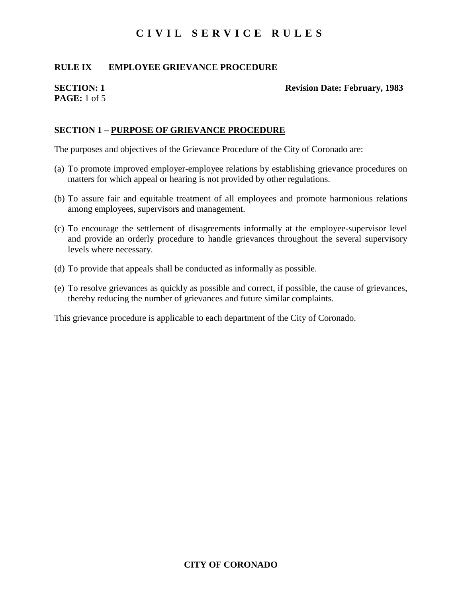### **RULE IX EMPLOYEE GRIEVANCE PROCEDURE**

# **PAGE:** 1 of 5

#### **SECTION: 1** Revision Date: February, 1983

### **SECTION 1 – PURPOSE OF GRIEVANCE PROCEDURE**

The purposes and objectives of the Grievance Procedure of the City of Coronado are:

- (a) To promote improved employer-employee relations by establishing grievance procedures on matters for which appeal or hearing is not provided by other regulations.
- (b) To assure fair and equitable treatment of all employees and promote harmonious relations among employees, supervisors and management.
- (c) To encourage the settlement of disagreements informally at the employee-supervisor level and provide an orderly procedure to handle grievances throughout the several supervisory levels where necessary.
- (d) To provide that appeals shall be conducted as informally as possible.
- (e) To resolve grievances as quickly as possible and correct, if possible, the cause of grievances, thereby reducing the number of grievances and future similar complaints.

This grievance procedure is applicable to each department of the City of Coronado.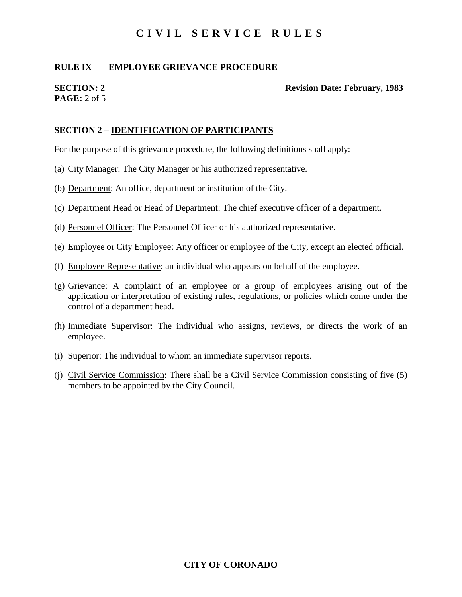### **RULE IX EMPLOYEE GRIEVANCE PROCEDURE**

# **PAGE:** 2 of 5

**SECTION: 2** Revision Date: February, 1983

### **SECTION 2 – IDENTIFICATION OF PARTICIPANTS**

For the purpose of this grievance procedure, the following definitions shall apply:

- (a) City Manager: The City Manager or his authorized representative.
- (b) Department: An office, department or institution of the City.
- (c) Department Head or Head of Department: The chief executive officer of a department.
- (d) Personnel Officer: The Personnel Officer or his authorized representative.
- (e) Employee or City Employee: Any officer or employee of the City, except an elected official.
- (f) Employee Representative: an individual who appears on behalf of the employee.
- (g) Grievance: A complaint of an employee or a group of employees arising out of the application or interpretation of existing rules, regulations, or policies which come under the control of a department head.
- (h) Immediate Supervisor: The individual who assigns, reviews, or directs the work of an employee.
- (i) Superior: The individual to whom an immediate supervisor reports.
- (j) Civil Service Commission: There shall be a Civil Service Commission consisting of five (5) members to be appointed by the City Council.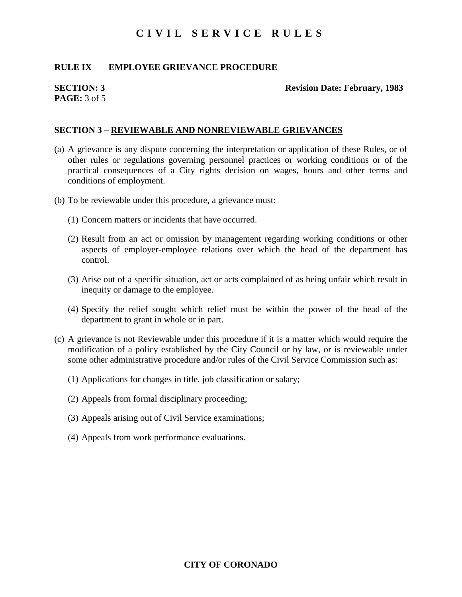### **RULE IX EMPLOYEE GRIEVANCE PROCEDURE**

# **PAGE:** 3 of 5

#### **SECTION: 3** Revision Date: February, 1983

### **SECTION 3 – REVIEWABLE AND NONREVIEWABLE GRIEVANCES**

- (a) A grievance is any dispute concerning the interpretation or application of these Rules, or of other rules or regulations governing personnel practices or working conditions or of the practical consequences of a City rights decision on wages, hours and other terms and conditions of employment.
- (b) To be reviewable under this procedure, a grievance must:
	- (1) Concern matters or incidents that have occurred.
	- (2) Result from an act or omission by management regarding working conditions or other aspects of employer-employee relations over which the head of the department has control.
	- (3) Arise out of a specific situation, act or acts complained of as being unfair which result in inequity or damage to the employee.
	- (4) Specify the relief sought which relief must be within the power of the head of the department to grant in whole or in part.
- (c) A grievance is not Reviewable under this procedure if it is a matter which would require the modification of a policy established by the City Council or by law, or is reviewable under some other administrative procedure and/or rules of the Civil Service Commission such as:
	- (1) Applications for changes in title, job classification or salary;
	- (2) Appeals from formal disciplinary proceeding;
	- (3) Appeals arising out of Civil Service examinations;
	- (4) Appeals from work performance evaluations.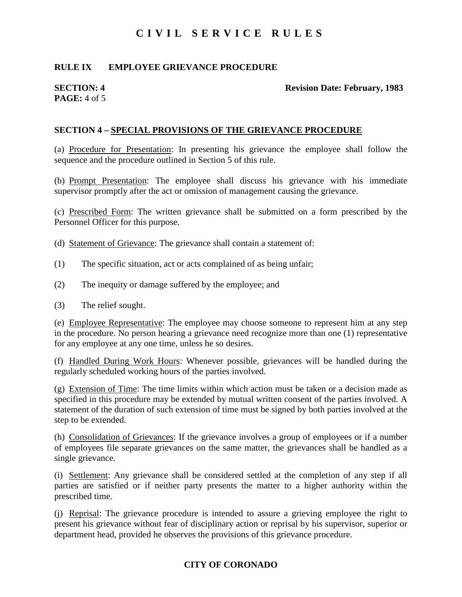### **RULE IX EMPLOYEE GRIEVANCE PROCEDURE**

# **PAGE:** 4 of 5

#### **SECTION: 4** Revision Date: February, 1983

### **SECTION 4 – SPECIAL PROVISIONS OF THE GRIEVANCE PROCEDURE**

(a) Procedure for Presentation: In presenting his grievance the employee shall follow the sequence and the procedure outlined in Section 5 of this rule.

(b) Prompt Presentation: The employee shall discuss his grievance with his immediate supervisor promptly after the act or omission of management causing the grievance.

(c) Prescribed Form: The written grievance shall be submitted on a form prescribed by the Personnel Officer for this purpose.

- (d) Statement of Grievance: The grievance shall contain a statement of:
- (1) The specific situation, act or acts complained of as being unfair;
- (2) The inequity or damage suffered by the employee; and
- (3) The relief sought.

(e) Employee Representative: The employee may choose someone to represent him at any step in the procedure. No person hearing a grievance need recognize more than one (1) representative for any employee at any one time, unless he so desires.

(f) Handled During Work Hours: Whenever possible, grievances will be handled during the regularly scheduled working hours of the parties involved.

(g) Extension of Time: The time limits within which action must be taken or a decision made as specified in this procedure may be extended by mutual written consent of the parties involved. A statement of the duration of such extension of time must be signed by both parties involved at the step to be extended.

(h) Consolidation of Grievances: If the grievance involves a group of employees or if a number of employees file separate grievances on the same matter, the grievances shall be handled as a single grievance.

(i) Settlement: Any grievance shall be considered settled at the completion of any step if all parties are satisfied or if neither party presents the matter to a higher authority within the prescribed time.

(j) Reprisal: The grievance procedure is intended to assure a grieving employee the right to present his grievance without fear of disciplinary action or reprisal by his supervisor, superior or department head, provided he observes the provisions of this grievance procedure.

### **CITY OF CORONADO**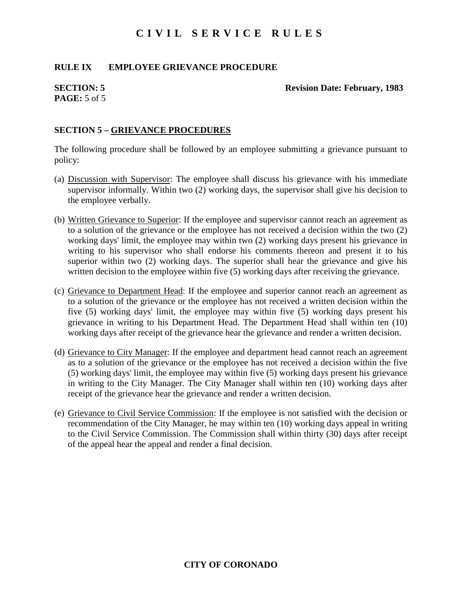### **RULE IX EMPLOYEE GRIEVANCE PROCEDURE**

# **PAGE:** 5 of 5

#### **SECTION: 5** Revision Date: February, 1983

### **SECTION 5 – GRIEVANCE PROCEDURES**

The following procedure shall be followed by an employee submitting a grievance pursuant to policy:

- (a) Discussion with Supervisor: The employee shall discuss his grievance with his immediate supervisor informally. Within two (2) working days, the supervisor shall give his decision to the employee verbally.
- (b) Written Grievance to Superior: If the employee and supervisor cannot reach an agreement as to a solution of the grievance or the employee has not received a decision within the two (2) working days' limit, the employee may within two (2) working days present his grievance in writing to his supervisor who shall endorse his comments thereon and present it to his superior within two (2) working days. The superior shall hear the grievance and give his written decision to the employee within five (5) working days after receiving the grievance.
- (c) Grievance to Department Head: If the employee and superior cannot reach an agreement as to a solution of the grievance or the employee has not received a written decision within the five (5) working days' limit, the employee may within five (5) working days present his grievance in writing to his Department Head. The Department Head shall within ten (10) working days after receipt of the grievance hear the grievance and render a written decision.
- (d) Grievance to City Manager: If the employee and department head cannot reach an agreement as to a solution of the grievance or the employee has not received a decision within the five (5) working days' limit, the employee may within five (5) working days present his grievance in writing to the City Manager. The City Manager shall within ten (10) working days after receipt of the grievance hear the grievance and render a written decision.
- (e) Grievance to Civil Service Commission: If the employee is not satisfied with the decision or recommendation of the City Manager, he may within ten (10) working days appeal in writing to the Civil Service Commission. The Commission shall within thirty (30) days after receipt of the appeal hear the appeal and render a final decision.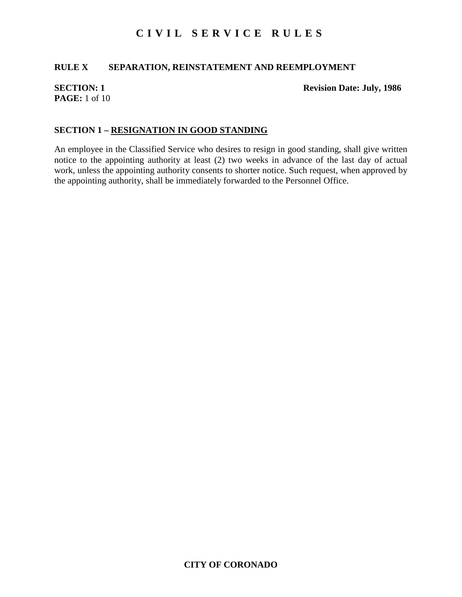### **RULE X SEPARATION, REINSTATEMENT AND REEMPLOYMENT**

## **PAGE:** 1 of 10

#### **SECTION: 1** Revision Date: July, 1986

### **SECTION 1 – RESIGNATION IN GOOD STANDING**

An employee in the Classified Service who desires to resign in good standing, shall give written notice to the appointing authority at least (2) two weeks in advance of the last day of actual work, unless the appointing authority consents to shorter notice. Such request, when approved by the appointing authority, shall be immediately forwarded to the Personnel Office.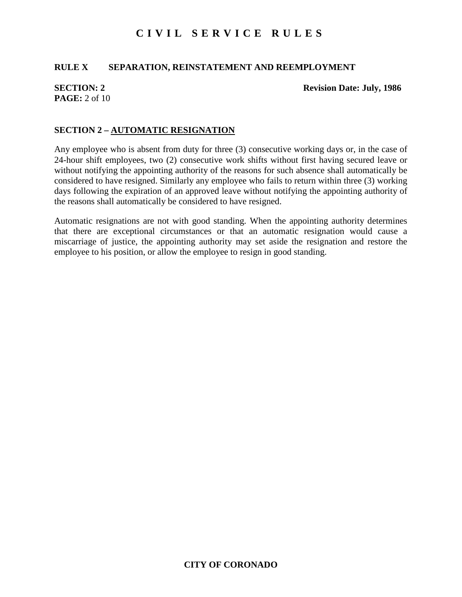### **RULE X SEPARATION, REINSTATEMENT AND REEMPLOYMENT**

# **PAGE:** 2 of 10

**SECTION: 2** Revision Date: July, 1986

### **SECTION 2 – AUTOMATIC RESIGNATION**

Any employee who is absent from duty for three (3) consecutive working days or, in the case of 24-hour shift employees, two (2) consecutive work shifts without first having secured leave or without notifying the appointing authority of the reasons for such absence shall automatically be considered to have resigned. Similarly any employee who fails to return within three (3) working days following the expiration of an approved leave without notifying the appointing authority of the reasons shall automatically be considered to have resigned.

Automatic resignations are not with good standing. When the appointing authority determines that there are exceptional circumstances or that an automatic resignation would cause a miscarriage of justice, the appointing authority may set aside the resignation and restore the employee to his position, or allow the employee to resign in good standing.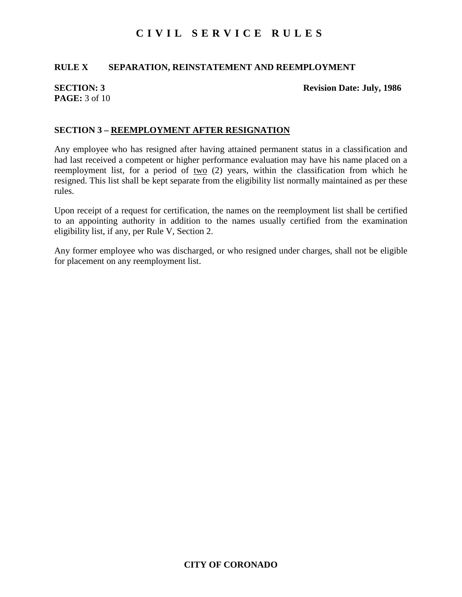### **RULE X SEPARATION, REINSTATEMENT AND REEMPLOYMENT**

# **PAGE:** 3 of 10

**SECTION: 3** Revision Date: July, 1986

### **SECTION 3 – REEMPLOYMENT AFTER RESIGNATION**

Any employee who has resigned after having attained permanent status in a classification and had last received a competent or higher performance evaluation may have his name placed on a reemployment list, for a period of two (2) years, within the classification from which he resigned. This list shall be kept separate from the eligibility list normally maintained as per these rules.

Upon receipt of a request for certification, the names on the reemployment list shall be certified to an appointing authority in addition to the names usually certified from the examination eligibility list, if any, per Rule V, Section 2.

Any former employee who was discharged, or who resigned under charges, shall not be eligible for placement on any reemployment list.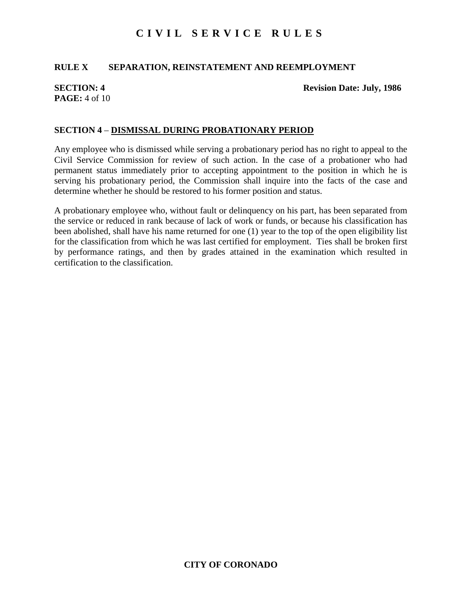### **RULE X SEPARATION, REINSTATEMENT AND REEMPLOYMENT**

## **PAGE:** 4 of 10

**SECTION: 4** Revision Date: July, 1986

### **SECTION 4** – **DISMISSAL DURING PROBATIONARY PERIOD**

Any employee who is dismissed while serving a probationary period has no right to appeal to the Civil Service Commission for review of such action. In the case of a probationer who had permanent status immediately prior to accepting appointment to the position in which he is serving his probationary period, the Commission shall inquire into the facts of the case and determine whether he should be restored to his former position and status.

A probationary employee who, without fault or delinquency on his part, has been separated from the service or reduced in rank because of lack of work or funds, or because his classification has been abolished, shall have his name returned for one (1) year to the top of the open eligibility list for the classification from which he was last certified for employment. Ties shall be broken first by performance ratings, and then by grades attained in the examination which resulted in certification to the classification.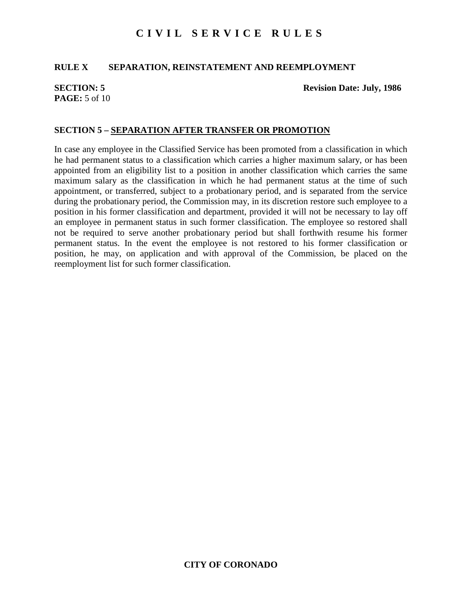### **RULE X SEPARATION, REINSTATEMENT AND REEMPLOYMENT**

## **PAGE:** 5 of 10

**SECTION: 5** Revision Date: July, 1986

### **SECTION 5 – SEPARATION AFTER TRANSFER OR PROMOTION**

In case any employee in the Classified Service has been promoted from a classification in which he had permanent status to a classification which carries a higher maximum salary, or has been appointed from an eligibility list to a position in another classification which carries the same maximum salary as the classification in which he had permanent status at the time of such appointment, or transferred, subject to a probationary period, and is separated from the service during the probationary period, the Commission may, in its discretion restore such employee to a position in his former classification and department, provided it will not be necessary to lay off an employee in permanent status in such former classification. The employee so restored shall not be required to serve another probationary period but shall forthwith resume his former permanent status. In the event the employee is not restored to his former classification or position, he may, on application and with approval of the Commission, be placed on the reemployment list for such former classification.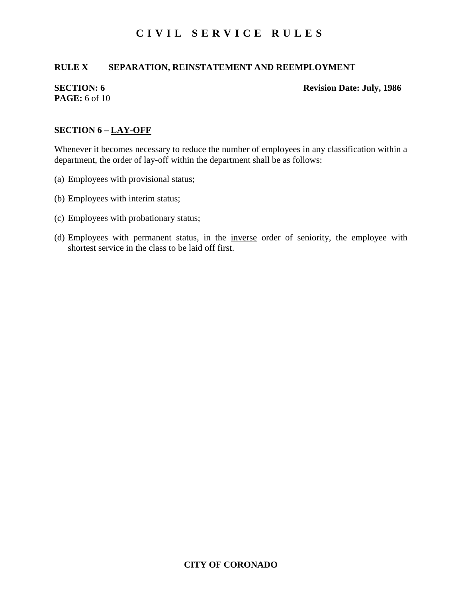### **RULE X SEPARATION, REINSTATEMENT AND REEMPLOYMENT**

# **PAGE:** 6 of 10

#### **SECTION: 6** Revision Date: July, 1986

### **SECTION 6 – LAY-OFF**

Whenever it becomes necessary to reduce the number of employees in any classification within a department, the order of lay-off within the department shall be as follows:

- (a) Employees with provisional status;
- (b) Employees with interim status;
- (c) Employees with probationary status;
- (d) Employees with permanent status, in the inverse order of seniority, the employee with shortest service in the class to be laid off first.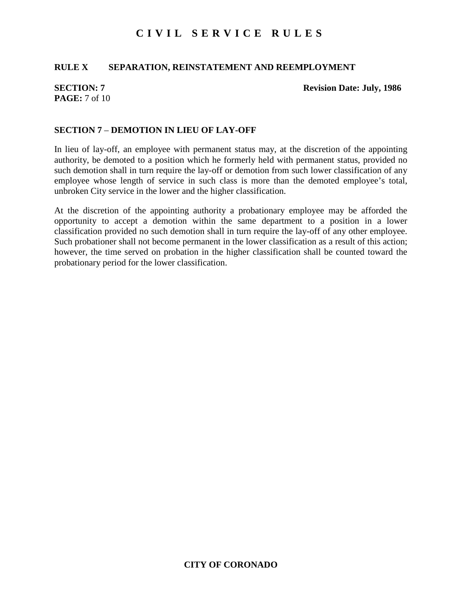### **RULE X SEPARATION, REINSTATEMENT AND REEMPLOYMENT**

# **PAGE:** 7 of 10

**SECTION: 7** Revision Date: July, 1986

### **SECTION 7** – **DEMOTION IN LIEU OF LAY-OFF**

In lieu of lay-off, an employee with permanent status may, at the discretion of the appointing authority, be demoted to a position which he formerly held with permanent status, provided no such demotion shall in turn require the lay-off or demotion from such lower classification of any employee whose length of service in such class is more than the demoted employee's total, unbroken City service in the lower and the higher classification.

At the discretion of the appointing authority a probationary employee may be afforded the opportunity to accept a demotion within the same department to a position in a lower classification provided no such demotion shall in turn require the lay-off of any other employee. Such probationer shall not become permanent in the lower classification as a result of this action; however, the time served on probation in the higher classification shall be counted toward the probationary period for the lower classification.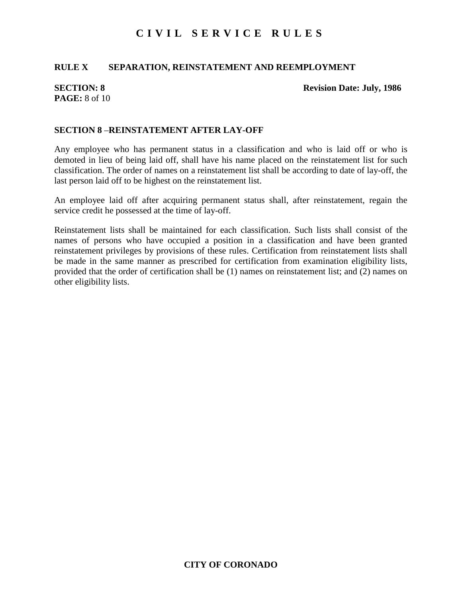### **RULE X SEPARATION, REINSTATEMENT AND REEMPLOYMENT**

# **PAGE:** 8 of 10

#### **SECTION: 8** Revision Date: July, 1986

### **SECTION 8** –**REINSTATEMENT AFTER LAY-OFF**

Any employee who has permanent status in a classification and who is laid off or who is demoted in lieu of being laid off, shall have his name placed on the reinstatement list for such classification. The order of names on a reinstatement list shall be according to date of lay-off, the last person laid off to be highest on the reinstatement list.

An employee laid off after acquiring permanent status shall, after reinstatement, regain the service credit he possessed at the time of lay-off.

Reinstatement lists shall be maintained for each classification. Such lists shall consist of the names of persons who have occupied a position in a classification and have been granted reinstatement privileges by provisions of these rules. Certification from reinstatement lists shall be made in the same manner as prescribed for certification from examination eligibility lists, provided that the order of certification shall be (1) names on reinstatement list; and (2) names on other eligibility lists.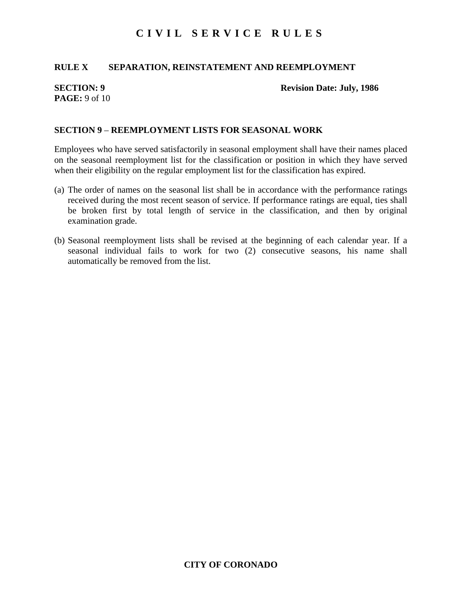### **RULE X SEPARATION, REINSTATEMENT AND REEMPLOYMENT**

## **PAGE:** 9 of 10

**SECTION: 9** Revision Date: July, 1986

### **SECTION 9** – **REEMPLOYMENT LISTS FOR SEASONAL WORK**

Employees who have served satisfactorily in seasonal employment shall have their names placed on the seasonal reemployment list for the classification or position in which they have served when their eligibility on the regular employment list for the classification has expired.

- (a) The order of names on the seasonal list shall be in accordance with the performance ratings received during the most recent season of service. If performance ratings are equal, ties shall be broken first by total length of service in the classification, and then by original examination grade.
- (b) Seasonal reemployment lists shall be revised at the beginning of each calendar year. If a seasonal individual fails to work for two (2) consecutive seasons, his name shall automatically be removed from the list.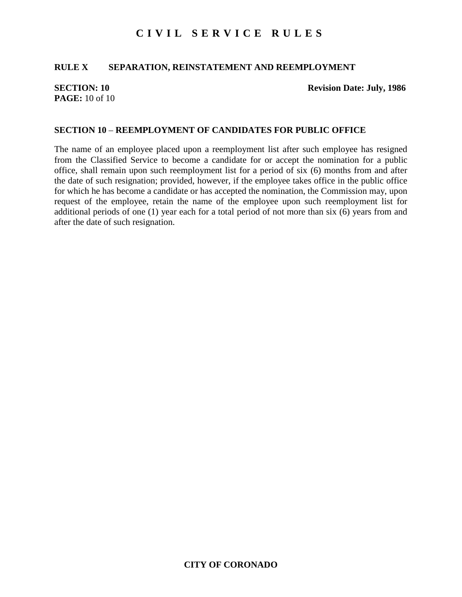### **RULE X SEPARATION, REINSTATEMENT AND REEMPLOYMENT**

## **PAGE:** 10 of 10

**SECTION: 10** Revision Date: July, 1986

#### **SECTION 10** – **REEMPLOYMENT OF CANDIDATES FOR PUBLIC OFFICE**

The name of an employee placed upon a reemployment list after such employee has resigned from the Classified Service to become a candidate for or accept the nomination for a public office, shall remain upon such reemployment list for a period of six (6) months from and after the date of such resignation; provided, however, if the employee takes office in the public office for which he has become a candidate or has accepted the nomination, the Commission may, upon request of the employee, retain the name of the employee upon such reemployment list for additional periods of one (1) year each for a total period of not more than six (6) years from and after the date of such resignation.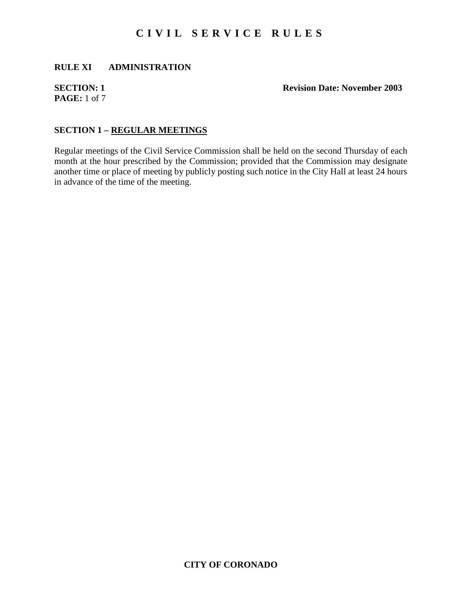### **RULE XI ADMINISTRATION**

## **PAGE:** 1 of 7

**SECTION: 1** Revision Date: November 2003

### **SECTION 1 – REGULAR MEETINGS**

Regular meetings of the Civil Service Commission shall be held on the second Thursday of each month at the hour prescribed by the Commission; provided that the Commission may designate another time or place of meeting by publicly posting such notice in the City Hall at least 24 hours in advance of the time of the meeting.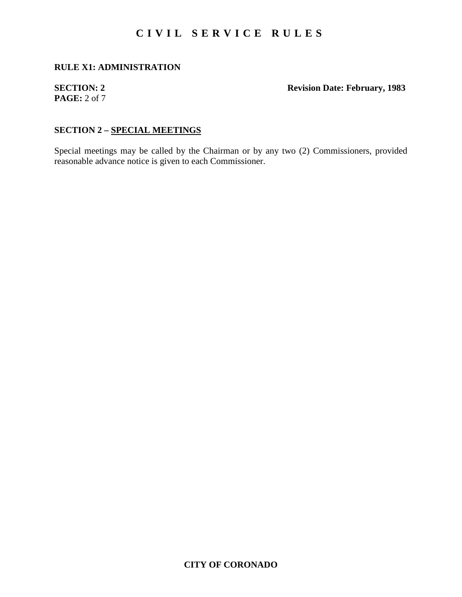### **RULE X1: ADMINISTRATION**

## **PAGE:** 2 of 7

### **SECTION: 2** Revision Date: February, 1983

### **SECTION 2 – SPECIAL MEETINGS**

Special meetings may be called by the Chairman or by any two (2) Commissioners, provided reasonable advance notice is given to each Commissioner.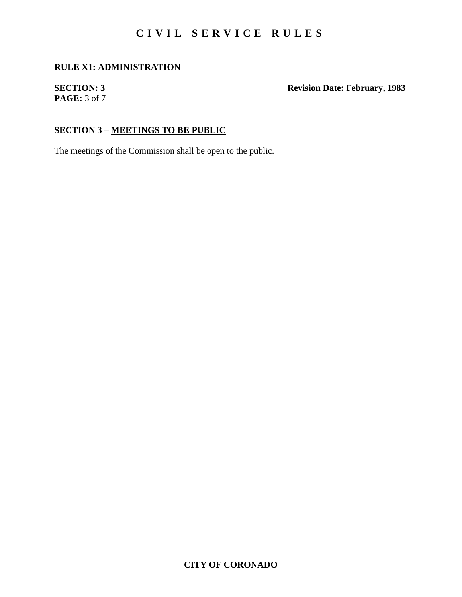### **RULE X1: ADMINISTRATION**

# **PAGE:** 3 of 7

**SECTION: 3** Revision Date: February, 1983

## **SECTION 3 – MEETINGS TO BE PUBLIC**

The meetings of the Commission shall be open to the public.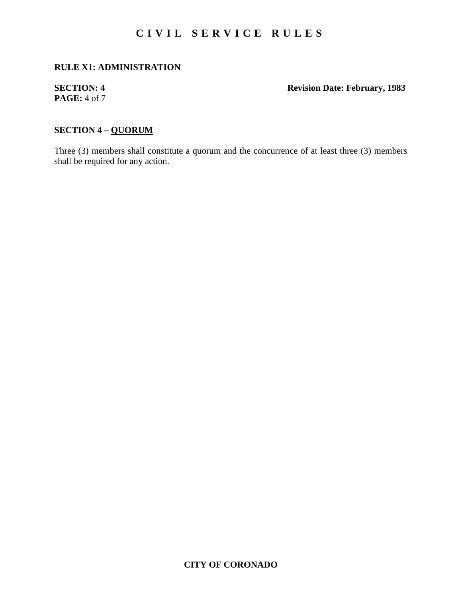### **RULE X1: ADMINISTRATION**

## **PAGE:** 4 of 7

### **SECTION: 4** Revision Date: February, 1983

### **SECTION 4 – QUORUM**

Three (3) members shall constitute a quorum and the concurrence of at least three (3) members shall be required for any action.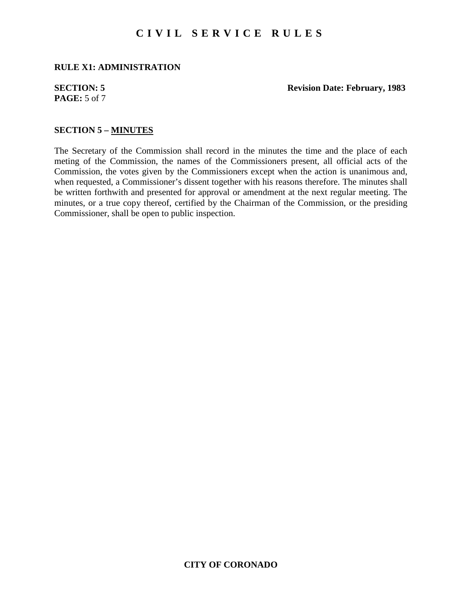#### **RULE X1: ADMINISTRATION**

# **PAGE:** 5 of 7

**SECTION: 5** Revision Date: February, 1983

#### **SECTION 5 – MINUTES**

The Secretary of the Commission shall record in the minutes the time and the place of each meting of the Commission, the names of the Commissioners present, all official acts of the Commission, the votes given by the Commissioners except when the action is unanimous and, when requested, a Commissioner's dissent together with his reasons therefore. The minutes shall be written forthwith and presented for approval or amendment at the next regular meeting. The minutes, or a true copy thereof, certified by the Chairman of the Commission, or the presiding Commissioner, shall be open to public inspection.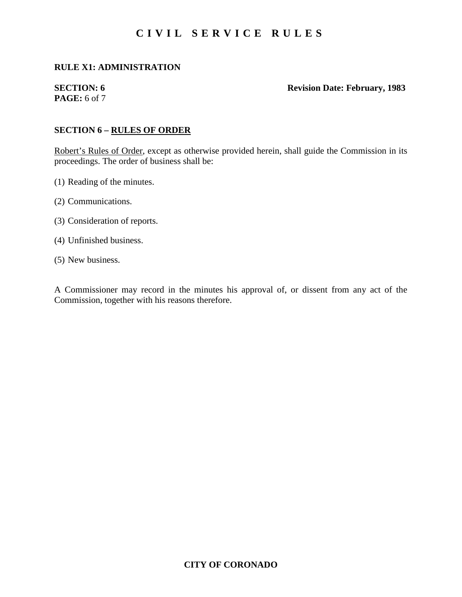## **RULE X1: ADMINISTRATION**

# **PAGE:** 6 of 7

#### **SECTION: 6** Revision Date: February, 1983

## **SECTION 6 – RULES OF ORDER**

Robert's Rules of Order, except as otherwise provided herein, shall guide the Commission in its proceedings. The order of business shall be:

- (1) Reading of the minutes.
- (2) Communications.
- (3) Consideration of reports.
- (4) Unfinished business.
- (5) New business.

A Commissioner may record in the minutes his approval of, or dissent from any act of the Commission, together with his reasons therefore.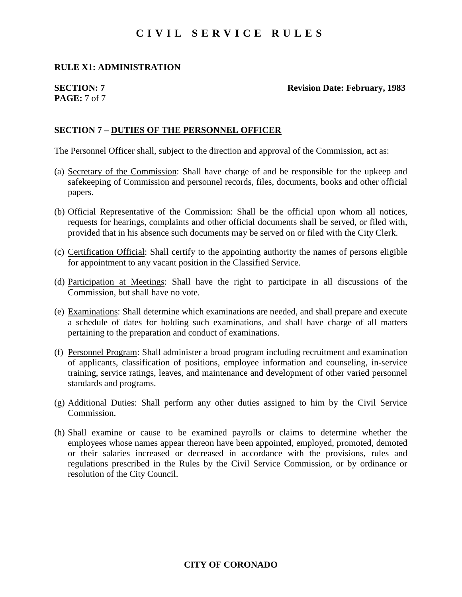### **RULE X1: ADMINISTRATION**

# **PAGE:** 7 of 7

#### **SECTION: 7** Revision Date: February, 1983

## **SECTION 7 – DUTIES OF THE PERSONNEL OFFICER**

The Personnel Officer shall, subject to the direction and approval of the Commission, act as:

- (a) Secretary of the Commission: Shall have charge of and be responsible for the upkeep and safekeeping of Commission and personnel records, files, documents, books and other official papers.
- (b) Official Representative of the Commission: Shall be the official upon whom all notices, requests for hearings, complaints and other official documents shall be served, or filed with, provided that in his absence such documents may be served on or filed with the City Clerk.
- (c) Certification Official: Shall certify to the appointing authority the names of persons eligible for appointment to any vacant position in the Classified Service.
- (d) Participation at Meetings: Shall have the right to participate in all discussions of the Commission, but shall have no vote.
- (e) Examinations: Shall determine which examinations are needed, and shall prepare and execute a schedule of dates for holding such examinations, and shall have charge of all matters pertaining to the preparation and conduct of examinations.
- (f) Personnel Program: Shall administer a broad program including recruitment and examination of applicants, classification of positions, employee information and counseling, in-service training, service ratings, leaves, and maintenance and development of other varied personnel standards and programs.
- (g) Additional Duties: Shall perform any other duties assigned to him by the Civil Service Commission.
- (h) Shall examine or cause to be examined payrolls or claims to determine whether the employees whose names appear thereon have been appointed, employed, promoted, demoted or their salaries increased or decreased in accordance with the provisions, rules and regulations prescribed in the Rules by the Civil Service Commission, or by ordinance or resolution of the City Council.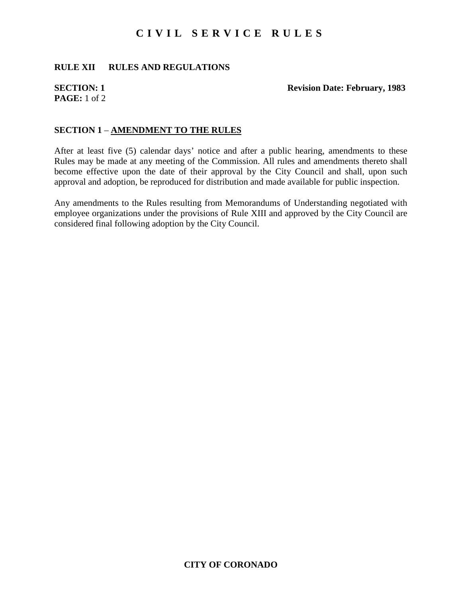### **RULE XII RULES AND REGULATIONS**

# **PAGE:** 1 of 2

**SECTION: 1** Revision Date: February, 1983

#### **SECTION 1** – **AMENDMENT TO THE RULES**

After at least five (5) calendar days' notice and after a public hearing, amendments to these Rules may be made at any meeting of the Commission. All rules and amendments thereto shall become effective upon the date of their approval by the City Council and shall, upon such approval and adoption, be reproduced for distribution and made available for public inspection.

Any amendments to the Rules resulting from Memorandums of Understanding negotiated with employee organizations under the provisions of Rule XIII and approved by the City Council are considered final following adoption by the City Council.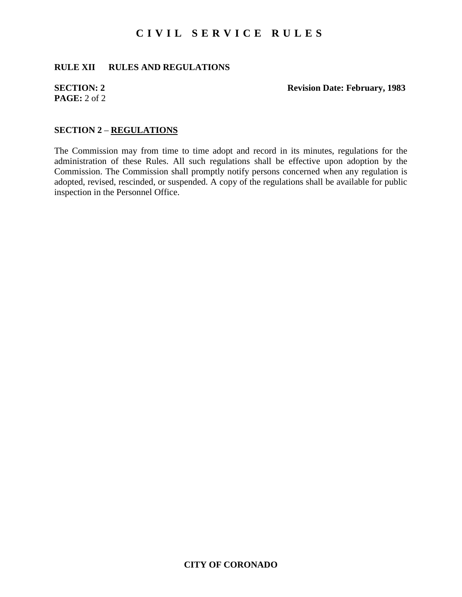## **RULE XII RULES AND REGULATIONS**

# **PAGE:** 2 of 2

**SECTION: 2** Revision Date: February, 1983

## **SECTION 2** – **REGULATIONS**

The Commission may from time to time adopt and record in its minutes, regulations for the administration of these Rules. All such regulations shall be effective upon adoption by the Commission. The Commission shall promptly notify persons concerned when any regulation is adopted, revised, rescinded, or suspended. A copy of the regulations shall be available for public inspection in the Personnel Office.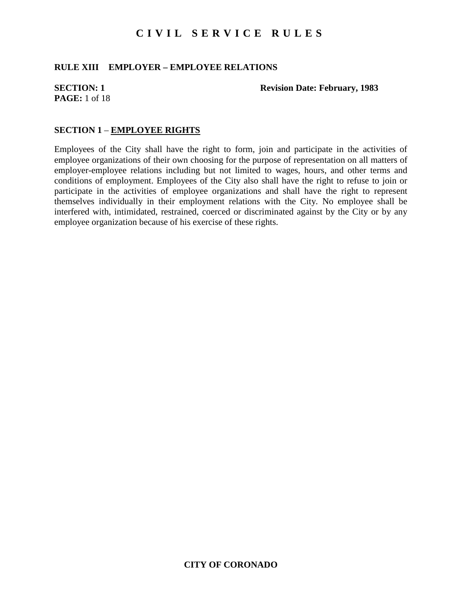#### **RULE XIII EMPLOYER – EMPLOYEE RELATIONS**

# **PAGE:** 1 of 18

**SECTION: 1** Revision Date: February, 1983

#### **SECTION 1** – **EMPLOYEE RIGHTS**

Employees of the City shall have the right to form, join and participate in the activities of employee organizations of their own choosing for the purpose of representation on all matters of employer-employee relations including but not limited to wages, hours, and other terms and conditions of employment. Employees of the City also shall have the right to refuse to join or participate in the activities of employee organizations and shall have the right to represent themselves individually in their employment relations with the City. No employee shall be interfered with, intimidated, restrained, coerced or discriminated against by the City or by any employee organization because of his exercise of these rights.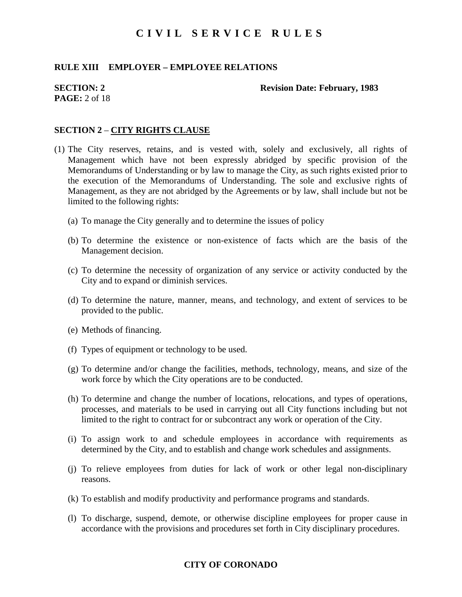### **RULE XIII EMPLOYER – EMPLOYEE RELATIONS**

# **PAGE:** 2 of 18

#### **SECTION: 2** Revision Date: February, 1983

#### **SECTION 2** – **CITY RIGHTS CLAUSE**

- (1) The City reserves, retains, and is vested with, solely and exclusively, all rights of Management which have not been expressly abridged by specific provision of the Memorandums of Understanding or by law to manage the City, as such rights existed prior to the execution of the Memorandums of Understanding. The sole and exclusive rights of Management, as they are not abridged by the Agreements or by law, shall include but not be limited to the following rights:
	- (a) To manage the City generally and to determine the issues of policy
	- (b) To determine the existence or non-existence of facts which are the basis of the Management decision.
	- (c) To determine the necessity of organization of any service or activity conducted by the City and to expand or diminish services.
	- (d) To determine the nature, manner, means, and technology, and extent of services to be provided to the public.
	- (e) Methods of financing.
	- (f) Types of equipment or technology to be used.
	- (g) To determine and/or change the facilities, methods, technology, means, and size of the work force by which the City operations are to be conducted.
	- (h) To determine and change the number of locations, relocations, and types of operations, processes, and materials to be used in carrying out all City functions including but not limited to the right to contract for or subcontract any work or operation of the City.
	- (i) To assign work to and schedule employees in accordance with requirements as determined by the City, and to establish and change work schedules and assignments.
	- (j) To relieve employees from duties for lack of work or other legal non-disciplinary reasons.
	- (k) To establish and modify productivity and performance programs and standards.
	- (l) To discharge, suspend, demote, or otherwise discipline employees for proper cause in accordance with the provisions and procedures set forth in City disciplinary procedures.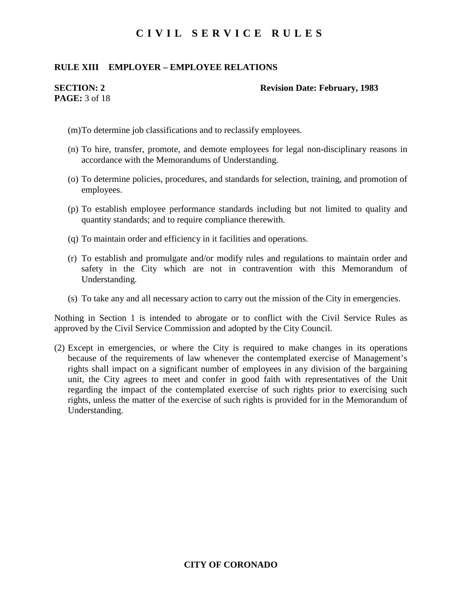### **RULE XIII EMPLOYER – EMPLOYEE RELATIONS**

# **PAGE:** 3 of 18

#### **SECTION: 2** Revision Date: February, 1983

- (m)To determine job classifications and to reclassify employees.
- (n) To hire, transfer, promote, and demote employees for legal non-disciplinary reasons in accordance with the Memorandums of Understanding.
- (o) To determine policies, procedures, and standards for selection, training, and promotion of employees.
- (p) To establish employee performance standards including but not limited to quality and quantity standards; and to require compliance therewith.
- (q) To maintain order and efficiency in it facilities and operations.
- (r) To establish and promulgate and/or modify rules and regulations to maintain order and safety in the City which are not in contravention with this Memorandum of Understanding.
- (s) To take any and all necessary action to carry out the mission of the City in emergencies.

Nothing in Section 1 is intended to abrogate or to conflict with the Civil Service Rules as approved by the Civil Service Commission and adopted by the City Council.

(2) Except in emergencies, or where the City is required to make changes in its operations because of the requirements of law whenever the contemplated exercise of Management's rights shall impact on a significant number of employees in any division of the bargaining unit, the City agrees to meet and confer in good faith with representatives of the Unit regarding the impact of the contemplated exercise of such rights prior to exercising such rights, unless the matter of the exercise of such rights is provided for in the Memorandum of Understanding.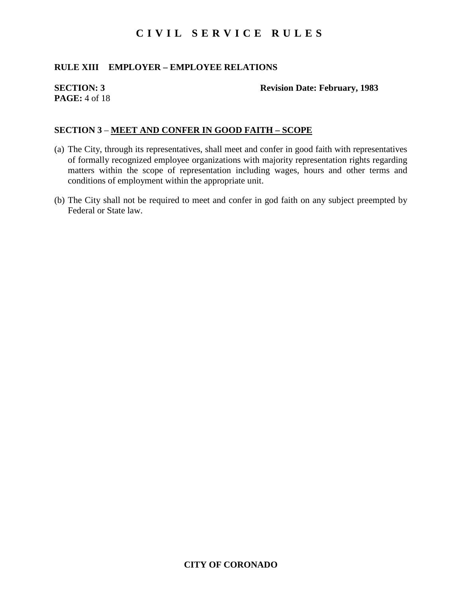## **RULE XIII EMPLOYER – EMPLOYEE RELATIONS**

# **PAGE:** 4 of 18

**SECTION: 3** Revision Date: February, 1983

## **SECTION 3** – **MEET AND CONFER IN GOOD FAITH – SCOPE**

- (a) The City, through its representatives, shall meet and confer in good faith with representatives of formally recognized employee organizations with majority representation rights regarding matters within the scope of representation including wages, hours and other terms and conditions of employment within the appropriate unit.
- (b) The City shall not be required to meet and confer in god faith on any subject preempted by Federal or State law.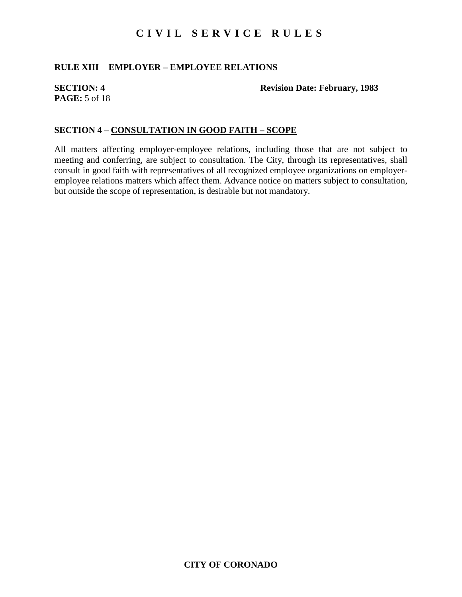## **RULE XIII EMPLOYER – EMPLOYEE RELATIONS**

# **PAGE:** 5 of 18

**SECTION: 4** Revision Date: February, 1983

## **SECTION 4** – **CONSULTATION IN GOOD FAITH – SCOPE**

All matters affecting employer-employee relations, including those that are not subject to meeting and conferring, are subject to consultation. The City, through its representatives, shall consult in good faith with representatives of all recognized employee organizations on employeremployee relations matters which affect them. Advance notice on matters subject to consultation, but outside the scope of representation, is desirable but not mandatory.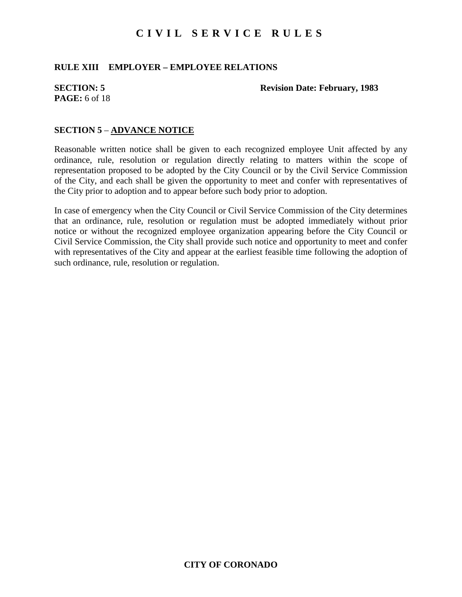## **RULE XIII EMPLOYER – EMPLOYEE RELATIONS**

# **PAGE:** 6 of 18

**SECTION: 5** Revision Date: February, 1983

### **SECTION 5** – **ADVANCE NOTICE**

Reasonable written notice shall be given to each recognized employee Unit affected by any ordinance, rule, resolution or regulation directly relating to matters within the scope of representation proposed to be adopted by the City Council or by the Civil Service Commission of the City, and each shall be given the opportunity to meet and confer with representatives of the City prior to adoption and to appear before such body prior to adoption.

In case of emergency when the City Council or Civil Service Commission of the City determines that an ordinance, rule, resolution or regulation must be adopted immediately without prior notice or without the recognized employee organization appearing before the City Council or Civil Service Commission, the City shall provide such notice and opportunity to meet and confer with representatives of the City and appear at the earliest feasible time following the adoption of such ordinance, rule, resolution or regulation.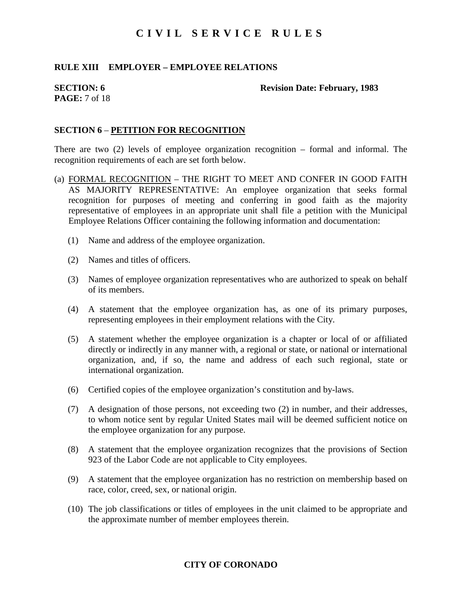### **RULE XIII EMPLOYER – EMPLOYEE RELATIONS**

# **PAGE:** 7 of 18

#### **SECTION: 6** Revision Date: February, 1983

### **SECTION 6** – **PETITION FOR RECOGNITION**

There are two (2) levels of employee organization recognition – formal and informal. The recognition requirements of each are set forth below.

- (a) FORMAL RECOGNITION THE RIGHT TO MEET AND CONFER IN GOOD FAITH AS MAJORITY REPRESENTATIVE: An employee organization that seeks formal recognition for purposes of meeting and conferring in good faith as the majority representative of employees in an appropriate unit shall file a petition with the Municipal Employee Relations Officer containing the following information and documentation:
	- (1) Name and address of the employee organization.
	- (2) Names and titles of officers.
	- (3) Names of employee organization representatives who are authorized to speak on behalf of its members.
	- (4) A statement that the employee organization has, as one of its primary purposes, representing employees in their employment relations with the City.
	- (5) A statement whether the employee organization is a chapter or local of or affiliated directly or indirectly in any manner with, a regional or state, or national or international organization, and, if so, the name and address of each such regional, state or international organization.
	- (6) Certified copies of the employee organization's constitution and by-laws.
	- (7) A designation of those persons, not exceeding two (2) in number, and their addresses, to whom notice sent by regular United States mail will be deemed sufficient notice on the employee organization for any purpose.
	- (8) A statement that the employee organization recognizes that the provisions of Section 923 of the Labor Code are not applicable to City employees.
	- (9) A statement that the employee organization has no restriction on membership based on race, color, creed, sex, or national origin.
	- (10) The job classifications or titles of employees in the unit claimed to be appropriate and the approximate number of member employees therein.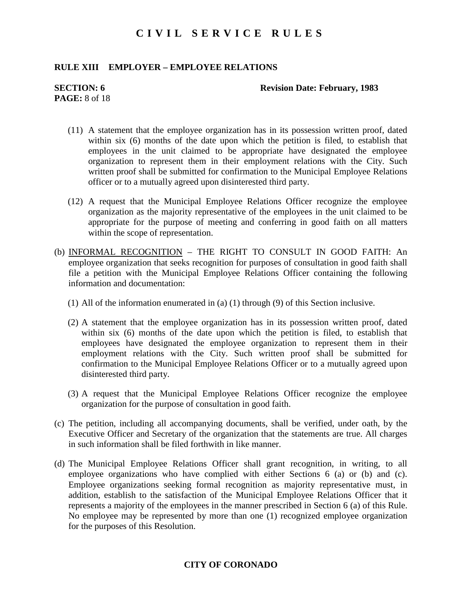#### **RULE XIII EMPLOYER – EMPLOYEE RELATIONS**

# **PAGE:** 8 of 18

#### **SECTION: 6** Revision Date: February, 1983

- (11) A statement that the employee organization has in its possession written proof, dated within six (6) months of the date upon which the petition is filed, to establish that employees in the unit claimed to be appropriate have designated the employee organization to represent them in their employment relations with the City. Such written proof shall be submitted for confirmation to the Municipal Employee Relations officer or to a mutually agreed upon disinterested third party.
- (12) A request that the Municipal Employee Relations Officer recognize the employee organization as the majority representative of the employees in the unit claimed to be appropriate for the purpose of meeting and conferring in good faith on all matters within the scope of representation.
- (b) INFORMAL RECOGNITION THE RIGHT TO CONSULT IN GOOD FAITH: An employee organization that seeks recognition for purposes of consultation in good faith shall file a petition with the Municipal Employee Relations Officer containing the following information and documentation:
	- (1) All of the information enumerated in (a) (1) through (9) of this Section inclusive.
	- (2) A statement that the employee organization has in its possession written proof, dated within six (6) months of the date upon which the petition is filed, to establish that employees have designated the employee organization to represent them in their employment relations with the City. Such written proof shall be submitted for confirmation to the Municipal Employee Relations Officer or to a mutually agreed upon disinterested third party.
	- (3) A request that the Municipal Employee Relations Officer recognize the employee organization for the purpose of consultation in good faith.
- (c) The petition, including all accompanying documents, shall be verified, under oath, by the Executive Officer and Secretary of the organization that the statements are true. All charges in such information shall be filed forthwith in like manner.
- (d) The Municipal Employee Relations Officer shall grant recognition, in writing, to all employee organizations who have complied with either Sections 6 (a) or (b) and (c). Employee organizations seeking formal recognition as majority representative must, in addition, establish to the satisfaction of the Municipal Employee Relations Officer that it represents a majority of the employees in the manner prescribed in Section 6 (a) of this Rule. No employee may be represented by more than one (1) recognized employee organization for the purposes of this Resolution.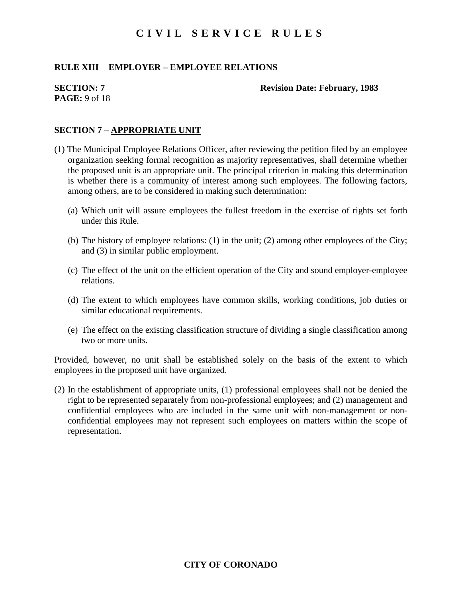## **RULE XIII EMPLOYER – EMPLOYEE RELATIONS**

# **PAGE:** 9 of 18

#### **SECTION: 7** Revision Date: February, 1983

### **SECTION 7** – **APPROPRIATE UNIT**

- (1) The Municipal Employee Relations Officer, after reviewing the petition filed by an employee organization seeking formal recognition as majority representatives, shall determine whether the proposed unit is an appropriate unit. The principal criterion in making this determination is whether there is a community of interest among such employees. The following factors, among others, are to be considered in making such determination:
	- (a) Which unit will assure employees the fullest freedom in the exercise of rights set forth under this Rule.
	- (b) The history of employee relations: (1) in the unit; (2) among other employees of the City; and (3) in similar public employment.
	- (c) The effect of the unit on the efficient operation of the City and sound employer-employee relations.
	- (d) The extent to which employees have common skills, working conditions, job duties or similar educational requirements.
	- (e) The effect on the existing classification structure of dividing a single classification among two or more units.

Provided, however, no unit shall be established solely on the basis of the extent to which employees in the proposed unit have organized.

(2) In the establishment of appropriate units, (1) professional employees shall not be denied the right to be represented separately from non-professional employees; and (2) management and confidential employees who are included in the same unit with non-management or nonconfidential employees may not represent such employees on matters within the scope of representation.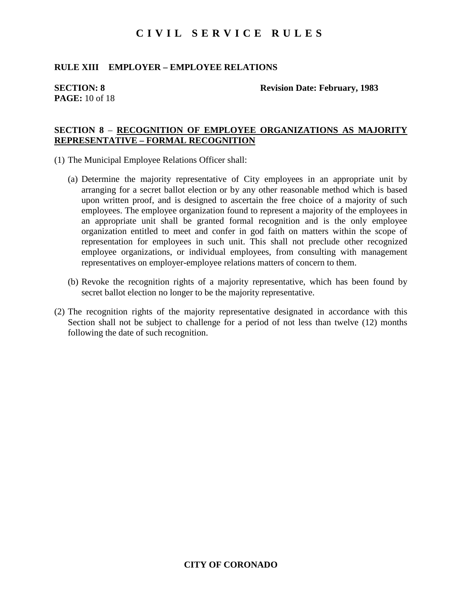### **RULE XIII EMPLOYER – EMPLOYEE RELATIONS**

# **PAGE:** 10 of 18

**SECTION: 8** Revision Date: February, 1983

### **SECTION 8** – **RECOGNITION OF EMPLOYEE ORGANIZATIONS AS MAJORITY REPRESENTATIVE – FORMAL RECOGNITION**

- (1) The Municipal Employee Relations Officer shall:
	- (a) Determine the majority representative of City employees in an appropriate unit by arranging for a secret ballot election or by any other reasonable method which is based upon written proof, and is designed to ascertain the free choice of a majority of such employees. The employee organization found to represent a majority of the employees in an appropriate unit shall be granted formal recognition and is the only employee organization entitled to meet and confer in god faith on matters within the scope of representation for employees in such unit. This shall not preclude other recognized employee organizations, or individual employees, from consulting with management representatives on employer-employee relations matters of concern to them.
	- (b) Revoke the recognition rights of a majority representative, which has been found by secret ballot election no longer to be the majority representative.
- (2) The recognition rights of the majority representative designated in accordance with this Section shall not be subject to challenge for a period of not less than twelve (12) months following the date of such recognition.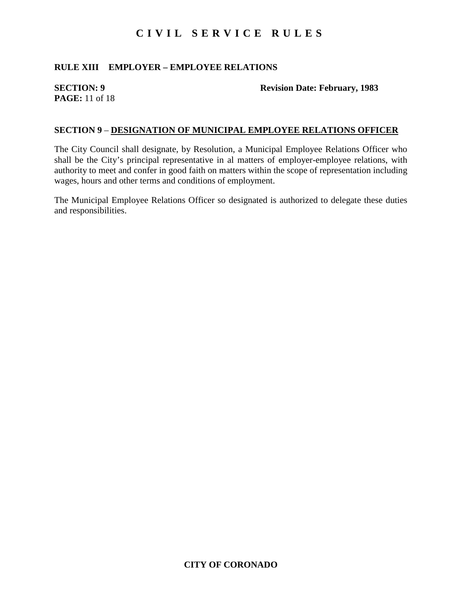## **RULE XIII EMPLOYER – EMPLOYEE RELATIONS**

# **PAGE:** 11 of 18

**SECTION: 9** Revision Date: February, 1983

### **SECTION 9** – **DESIGNATION OF MUNICIPAL EMPLOYEE RELATIONS OFFICER**

The City Council shall designate, by Resolution, a Municipal Employee Relations Officer who shall be the City's principal representative in al matters of employer-employee relations, with authority to meet and confer in good faith on matters within the scope of representation including wages, hours and other terms and conditions of employment.

The Municipal Employee Relations Officer so designated is authorized to delegate these duties and responsibilities.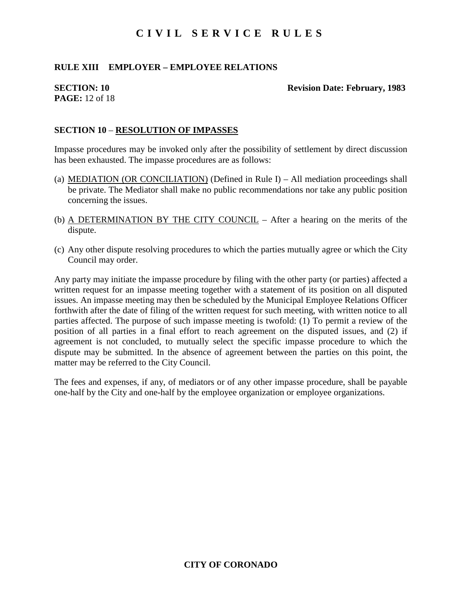## **RULE XIII EMPLOYER – EMPLOYEE RELATIONS**

# **PAGE:** 12 of 18

#### **SECTION: 10** Revision Date: February, 1983

### **SECTION 10** – **RESOLUTION OF IMPASSES**

Impasse procedures may be invoked only after the possibility of settlement by direct discussion has been exhausted. The impasse procedures are as follows:

- (a) MEDIATION (OR CONCILIATION) (Defined in Rule I) All mediation proceedings shall be private. The Mediator shall make no public recommendations nor take any public position concerning the issues.
- (b) A DETERMINATION BY THE CITY COUNCIL After a hearing on the merits of the dispute.
- (c) Any other dispute resolving procedures to which the parties mutually agree or which the City Council may order.

Any party may initiate the impasse procedure by filing with the other party (or parties) affected a written request for an impasse meeting together with a statement of its position on all disputed issues. An impasse meeting may then be scheduled by the Municipal Employee Relations Officer forthwith after the date of filing of the written request for such meeting, with written notice to all parties affected. The purpose of such impasse meeting is twofold: (1) To permit a review of the position of all parties in a final effort to reach agreement on the disputed issues, and (2) if agreement is not concluded, to mutually select the specific impasse procedure to which the dispute may be submitted. In the absence of agreement between the parties on this point, the matter may be referred to the City Council.

The fees and expenses, if any, of mediators or of any other impasse procedure, shall be payable one-half by the City and one-half by the employee organization or employee organizations.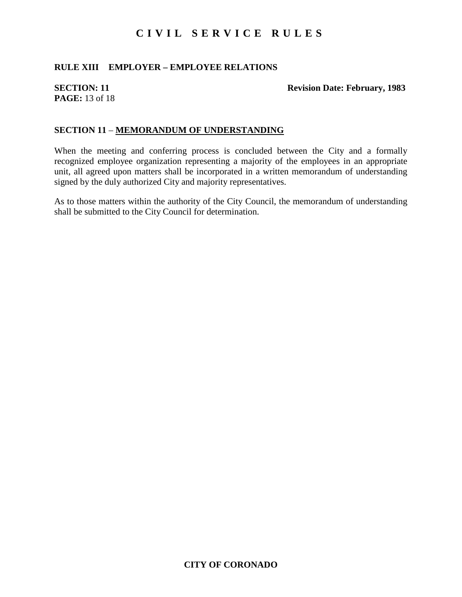## **RULE XIII EMPLOYER – EMPLOYEE RELATIONS**

# **PAGE:** 13 of 18

#### **SECTION: 11** Revision Date: February, 1983

#### **SECTION 11** – **MEMORANDUM OF UNDERSTANDING**

When the meeting and conferring process is concluded between the City and a formally recognized employee organization representing a majority of the employees in an appropriate unit, all agreed upon matters shall be incorporated in a written memorandum of understanding signed by the duly authorized City and majority representatives.

As to those matters within the authority of the City Council, the memorandum of understanding shall be submitted to the City Council for determination.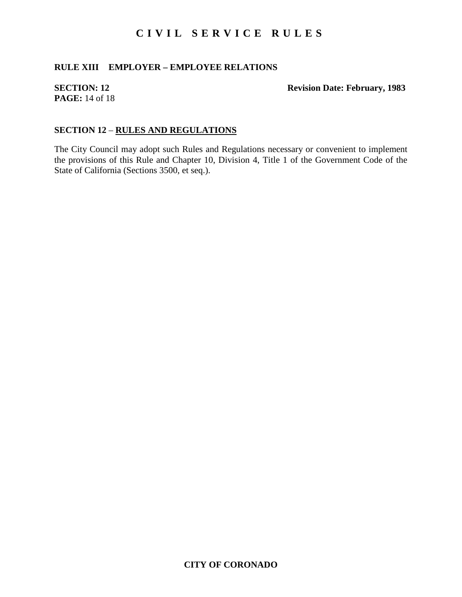## **RULE XIII EMPLOYER – EMPLOYEE RELATIONS**

# **PAGE:** 14 of 18

## **SECTION: 12** Revision Date: February, 1983

## **SECTION 12** – **RULES AND REGULATIONS**

The City Council may adopt such Rules and Regulations necessary or convenient to implement the provisions of this Rule and Chapter 10, Division 4, Title 1 of the Government Code of the State of California (Sections 3500, et seq.).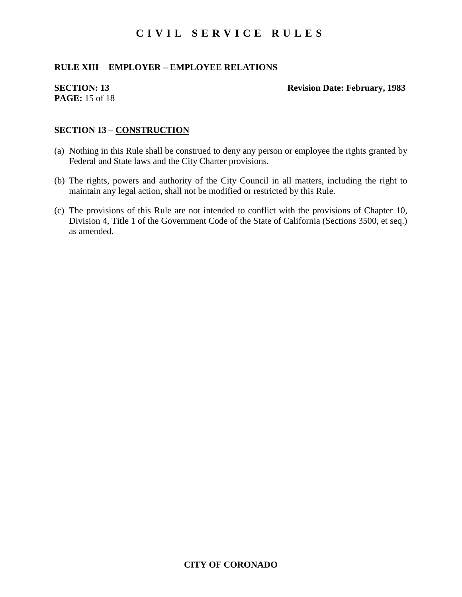## **RULE XIII EMPLOYER – EMPLOYEE RELATIONS**

# **PAGE:** 15 of 18

#### **SECTION: 13** Revision Date: February, 1983

# **SECTION 13** – **CONSTRUCTION**

- (a) Nothing in this Rule shall be construed to deny any person or employee the rights granted by Federal and State laws and the City Charter provisions.
- (b) The rights, powers and authority of the City Council in all matters, including the right to maintain any legal action, shall not be modified or restricted by this Rule.
- (c) The provisions of this Rule are not intended to conflict with the provisions of Chapter 10, Division 4, Title 1 of the Government Code of the State of California (Sections 3500, et seq.) as amended.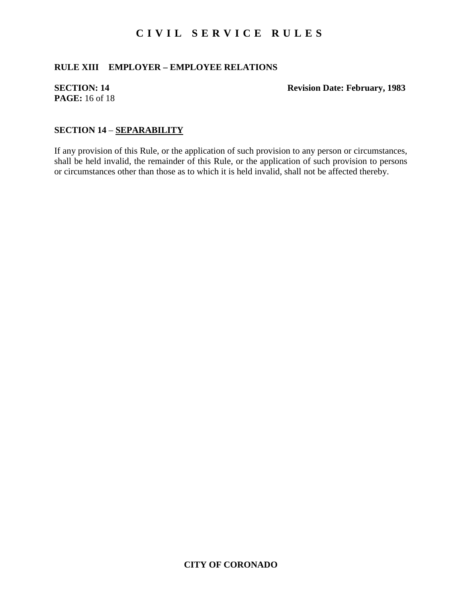## **RULE XIII EMPLOYER – EMPLOYEE RELATIONS**

# **PAGE:** 16 of 18

### **SECTION: 14** Revision Date: February, 1983

## **SECTION 14** – **SEPARABILITY**

If any provision of this Rule, or the application of such provision to any person or circumstances, shall be held invalid, the remainder of this Rule, or the application of such provision to persons or circumstances other than those as to which it is held invalid, shall not be affected thereby.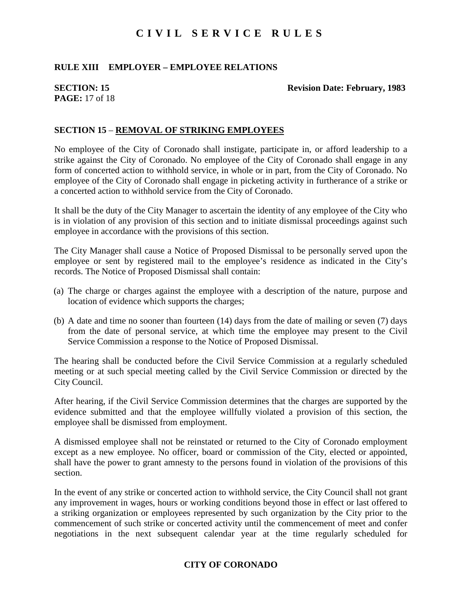## **RULE XIII EMPLOYER – EMPLOYEE RELATIONS**

# **PAGE:** 17 of 18

#### **SECTION: 15** Revision Date: February, 1983

### **SECTION 15** – **REMOVAL OF STRIKING EMPLOYEES**

No employee of the City of Coronado shall instigate, participate in, or afford leadership to a strike against the City of Coronado. No employee of the City of Coronado shall engage in any form of concerted action to withhold service, in whole or in part, from the City of Coronado. No employee of the City of Coronado shall engage in picketing activity in furtherance of a strike or a concerted action to withhold service from the City of Coronado.

It shall be the duty of the City Manager to ascertain the identity of any employee of the City who is in violation of any provision of this section and to initiate dismissal proceedings against such employee in accordance with the provisions of this section.

The City Manager shall cause a Notice of Proposed Dismissal to be personally served upon the employee or sent by registered mail to the employee's residence as indicated in the City's records. The Notice of Proposed Dismissal shall contain:

- (a) The charge or charges against the employee with a description of the nature, purpose and location of evidence which supports the charges;
- (b) A date and time no sooner than fourteen (14) days from the date of mailing or seven (7) days from the date of personal service, at which time the employee may present to the Civil Service Commission a response to the Notice of Proposed Dismissal.

The hearing shall be conducted before the Civil Service Commission at a regularly scheduled meeting or at such special meeting called by the Civil Service Commission or directed by the City Council.

After hearing, if the Civil Service Commission determines that the charges are supported by the evidence submitted and that the employee willfully violated a provision of this section, the employee shall be dismissed from employment.

A dismissed employee shall not be reinstated or returned to the City of Coronado employment except as a new employee. No officer, board or commission of the City, elected or appointed, shall have the power to grant amnesty to the persons found in violation of the provisions of this section.

In the event of any strike or concerted action to withhold service, the City Council shall not grant any improvement in wages, hours or working conditions beyond those in effect or last offered to a striking organization or employees represented by such organization by the City prior to the commencement of such strike or concerted activity until the commencement of meet and confer negotiations in the next subsequent calendar year at the time regularly scheduled for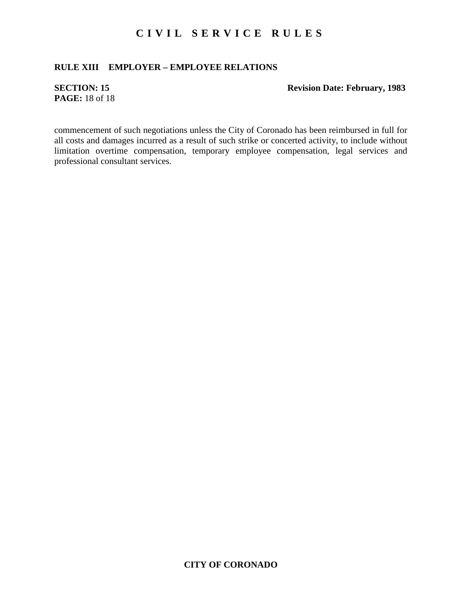## **RULE XIII EMPLOYER – EMPLOYEE RELATIONS**

# **PAGE:** 18 of 18

## **SECTION: 15** Revision Date: February, 1983

commencement of such negotiations unless the City of Coronado has been reimbursed in full for all costs and damages incurred as a result of such strike or concerted activity, to include without limitation overtime compensation, temporary employee compensation, legal services and professional consultant services.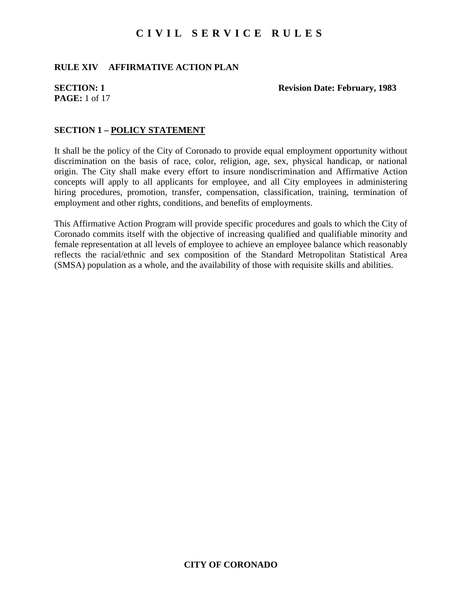### **RULE XIV AFFIRMATIVE ACTION PLAN**

# **PAGE:** 1 of 17

**SECTION: 1** Revision Date: February, 1983

#### **SECTION 1 – POLICY STATEMENT**

It shall be the policy of the City of Coronado to provide equal employment opportunity without discrimination on the basis of race, color, religion, age, sex, physical handicap, or national origin. The City shall make every effort to insure nondiscrimination and Affirmative Action concepts will apply to all applicants for employee, and all City employees in administering hiring procedures, promotion, transfer, compensation, classification, training, termination of employment and other rights, conditions, and benefits of employments.

This Affirmative Action Program will provide specific procedures and goals to which the City of Coronado commits itself with the objective of increasing qualified and qualifiable minority and female representation at all levels of employee to achieve an employee balance which reasonably reflects the racial/ethnic and sex composition of the Standard Metropolitan Statistical Area (SMSA) population as a whole, and the availability of those with requisite skills and abilities.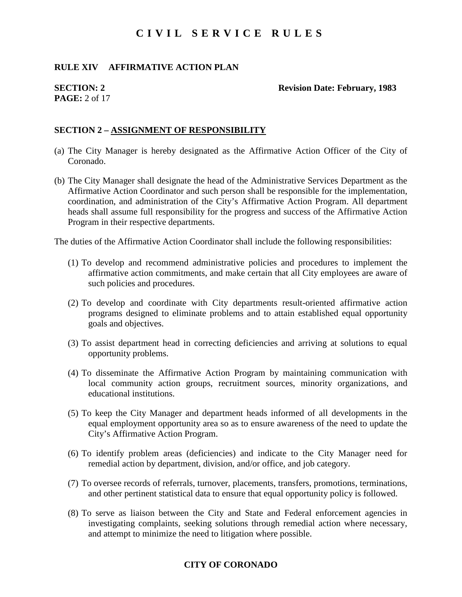### **RULE XIV AFFIRMATIVE ACTION PLAN**

# **PAGE:** 2 of 17

### **SECTION: 2** Revision Date: February, 1983

#### **SECTION 2 – ASSIGNMENT OF RESPONSIBILITY**

- (a) The City Manager is hereby designated as the Affirmative Action Officer of the City of Coronado.
- (b) The City Manager shall designate the head of the Administrative Services Department as the Affirmative Action Coordinator and such person shall be responsible for the implementation, coordination, and administration of the City's Affirmative Action Program. All department heads shall assume full responsibility for the progress and success of the Affirmative Action Program in their respective departments.

The duties of the Affirmative Action Coordinator shall include the following responsibilities:

- (1) To develop and recommend administrative policies and procedures to implement the affirmative action commitments, and make certain that all City employees are aware of such policies and procedures.
- (2) To develop and coordinate with City departments result-oriented affirmative action programs designed to eliminate problems and to attain established equal opportunity goals and objectives.
- (3) To assist department head in correcting deficiencies and arriving at solutions to equal opportunity problems.
- (4) To disseminate the Affirmative Action Program by maintaining communication with local community action groups, recruitment sources, minority organizations, and educational institutions.
- (5) To keep the City Manager and department heads informed of all developments in the equal employment opportunity area so as to ensure awareness of the need to update the City's Affirmative Action Program.
- (6) To identify problem areas (deficiencies) and indicate to the City Manager need for remedial action by department, division, and/or office, and job category.
- (7) To oversee records of referrals, turnover, placements, transfers, promotions, terminations, and other pertinent statistical data to ensure that equal opportunity policy is followed.
- (8) To serve as liaison between the City and State and Federal enforcement agencies in investigating complaints, seeking solutions through remedial action where necessary, and attempt to minimize the need to litigation where possible.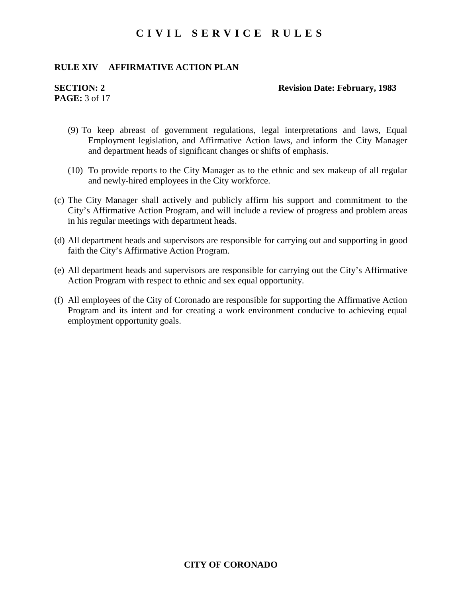### **RULE XIV AFFIRMATIVE ACTION PLAN**

# **PAGE:** 3 of 17

## **SECTION: 2** Revision Date: February, 1983

- (9) To keep abreast of government regulations, legal interpretations and laws, Equal Employment legislation, and Affirmative Action laws, and inform the City Manager and department heads of significant changes or shifts of emphasis.
- (10) To provide reports to the City Manager as to the ethnic and sex makeup of all regular and newly-hired employees in the City workforce.
- (c) The City Manager shall actively and publicly affirm his support and commitment to the City's Affirmative Action Program, and will include a review of progress and problem areas in his regular meetings with department heads.
- (d) All department heads and supervisors are responsible for carrying out and supporting in good faith the City's Affirmative Action Program.
- (e) All department heads and supervisors are responsible for carrying out the City's Affirmative Action Program with respect to ethnic and sex equal opportunity.
- (f) All employees of the City of Coronado are responsible for supporting the Affirmative Action Program and its intent and for creating a work environment conducive to achieving equal employment opportunity goals.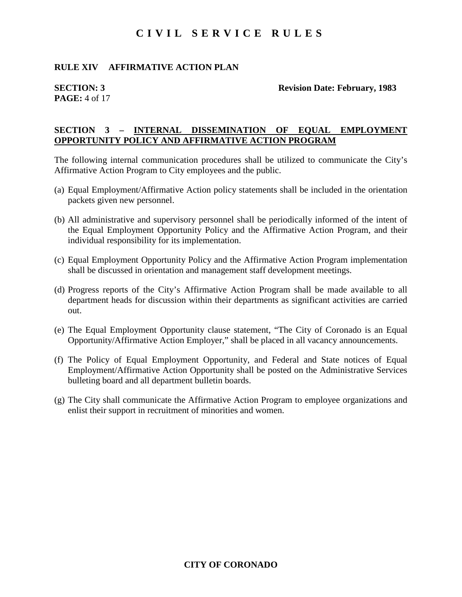## **RULE XIV AFFIRMATIVE ACTION PLAN**

# **PAGE:** 4 of 17

**SECTION: 3** Revision Date: February, 1983

## **SECTION 3 – INTERNAL DISSEMINATION OF EQUAL EMPLOYMENT OPPORTUNITY POLICY AND AFFIRMATIVE ACTION PROGRAM**

The following internal communication procedures shall be utilized to communicate the City's Affirmative Action Program to City employees and the public.

- (a) Equal Employment/Affirmative Action policy statements shall be included in the orientation packets given new personnel.
- (b) All administrative and supervisory personnel shall be periodically informed of the intent of the Equal Employment Opportunity Policy and the Affirmative Action Program, and their individual responsibility for its implementation.
- (c) Equal Employment Opportunity Policy and the Affirmative Action Program implementation shall be discussed in orientation and management staff development meetings.
- (d) Progress reports of the City's Affirmative Action Program shall be made available to all department heads for discussion within their departments as significant activities are carried out.
- (e) The Equal Employment Opportunity clause statement, "The City of Coronado is an Equal Opportunity/Affirmative Action Employer," shall be placed in all vacancy announcements.
- (f) The Policy of Equal Employment Opportunity, and Federal and State notices of Equal Employment/Affirmative Action Opportunity shall be posted on the Administrative Services bulleting board and all department bulletin boards.
- (g) The City shall communicate the Affirmative Action Program to employee organizations and enlist their support in recruitment of minorities and women.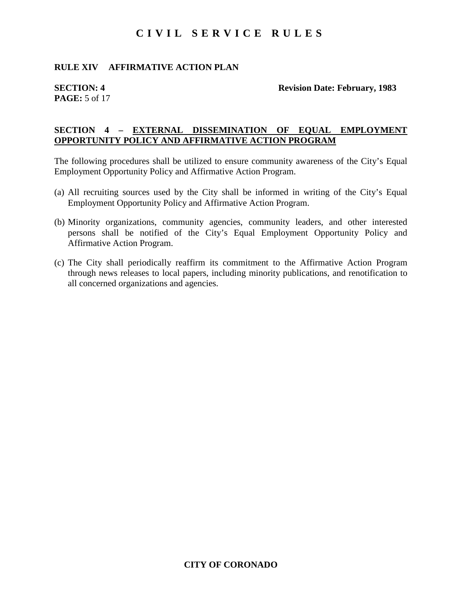### **RULE XIV AFFIRMATIVE ACTION PLAN**

# **PAGE:** 5 of 17

**SECTION: 4** Revision Date: February, 1983

### **SECTION 4 – EXTERNAL DISSEMINATION OF EQUAL EMPLOYMENT OPPORTUNITY POLICY AND AFFIRMATIVE ACTION PROGRAM**

The following procedures shall be utilized to ensure community awareness of the City's Equal Employment Opportunity Policy and Affirmative Action Program.

- (a) All recruiting sources used by the City shall be informed in writing of the City's Equal Employment Opportunity Policy and Affirmative Action Program.
- (b) Minority organizations, community agencies, community leaders, and other interested persons shall be notified of the City's Equal Employment Opportunity Policy and Affirmative Action Program.
- (c) The City shall periodically reaffirm its commitment to the Affirmative Action Program through news releases to local papers, including minority publications, and renotification to all concerned organizations and agencies.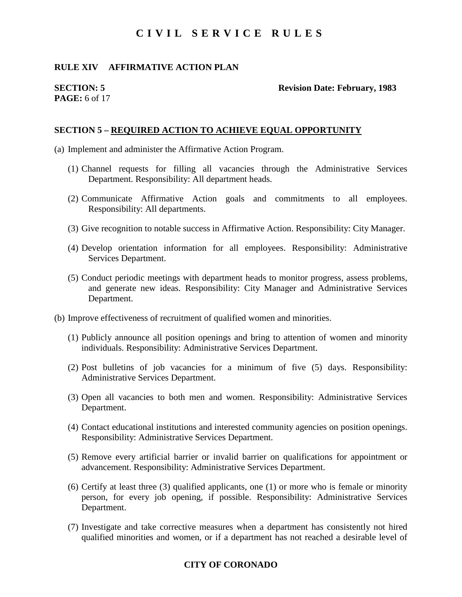#### **RULE XIV AFFIRMATIVE ACTION PLAN**

# **PAGE:** 6 of 17

#### **SECTION: 5** Revision Date: February, 1983

## **SECTION 5 – REQUIRED ACTION TO ACHIEVE EQUAL OPPORTUNITY**

- (a) Implement and administer the Affirmative Action Program.
	- (1) Channel requests for filling all vacancies through the Administrative Services Department. Responsibility: All department heads.
	- (2) Communicate Affirmative Action goals and commitments to all employees. Responsibility: All departments.
	- (3) Give recognition to notable success in Affirmative Action. Responsibility: City Manager.
	- (4) Develop orientation information for all employees. Responsibility: Administrative Services Department.
	- (5) Conduct periodic meetings with department heads to monitor progress, assess problems, and generate new ideas. Responsibility: City Manager and Administrative Services Department.
- (b) Improve effectiveness of recruitment of qualified women and minorities.
	- (1) Publicly announce all position openings and bring to attention of women and minority individuals. Responsibility: Administrative Services Department.
	- (2) Post bulletins of job vacancies for a minimum of five (5) days. Responsibility: Administrative Services Department.
	- (3) Open all vacancies to both men and women. Responsibility: Administrative Services Department.
	- (4) Contact educational institutions and interested community agencies on position openings. Responsibility: Administrative Services Department.
	- (5) Remove every artificial barrier or invalid barrier on qualifications for appointment or advancement. Responsibility: Administrative Services Department.
	- (6) Certify at least three (3) qualified applicants, one (1) or more who is female or minority person, for every job opening, if possible. Responsibility: Administrative Services Department.
	- (7) Investigate and take corrective measures when a department has consistently not hired qualified minorities and women, or if a department has not reached a desirable level of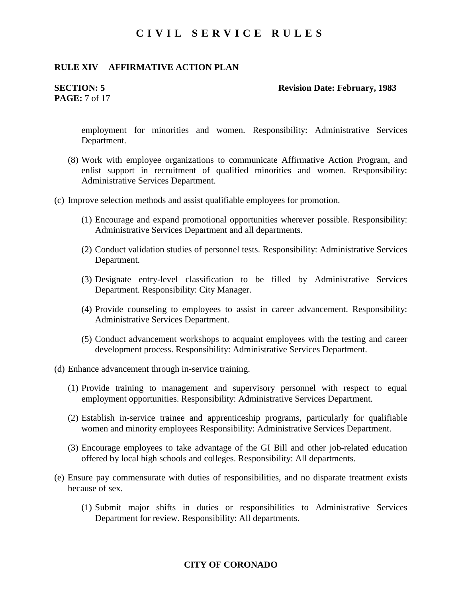#### **RULE XIV AFFIRMATIVE ACTION PLAN**

# **PAGE:** 7 of 17

#### **SECTION: 5** Revision Date: February, 1983

employment for minorities and women. Responsibility: Administrative Services Department.

- (8) Work with employee organizations to communicate Affirmative Action Program, and enlist support in recruitment of qualified minorities and women. Responsibility: Administrative Services Department.
- (c) Improve selection methods and assist qualifiable employees for promotion.
	- (1) Encourage and expand promotional opportunities wherever possible. Responsibility: Administrative Services Department and all departments.
	- (2) Conduct validation studies of personnel tests. Responsibility: Administrative Services Department.
	- (3) Designate entry-level classification to be filled by Administrative Services Department. Responsibility: City Manager.
	- (4) Provide counseling to employees to assist in career advancement. Responsibility: Administrative Services Department.
	- (5) Conduct advancement workshops to acquaint employees with the testing and career development process. Responsibility: Administrative Services Department.
- (d) Enhance advancement through in-service training.
	- (1) Provide training to management and supervisory personnel with respect to equal employment opportunities. Responsibility: Administrative Services Department.
	- (2) Establish in-service trainee and apprenticeship programs, particularly for qualifiable women and minority employees Responsibility: Administrative Services Department.
	- (3) Encourage employees to take advantage of the GI Bill and other job-related education offered by local high schools and colleges. Responsibility: All departments.
- (e) Ensure pay commensurate with duties of responsibilities, and no disparate treatment exists because of sex.
	- (1) Submit major shifts in duties or responsibilities to Administrative Services Department for review. Responsibility: All departments.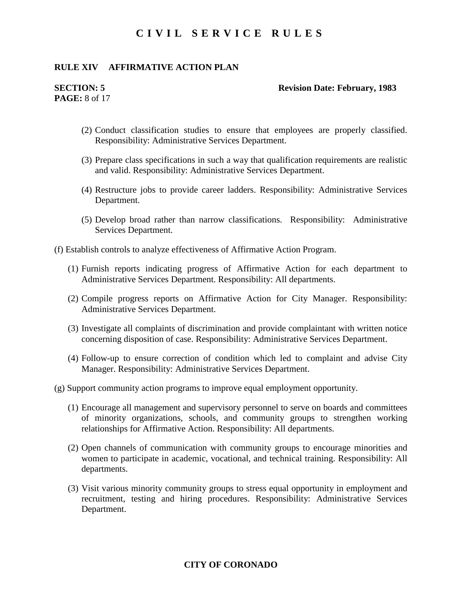#### **RULE XIV AFFIRMATIVE ACTION PLAN**

# **PAGE:** 8 of 17

#### **SECTION: 5** Revision Date: February, 1983

- (2) Conduct classification studies to ensure that employees are properly classified. Responsibility: Administrative Services Department.
- (3) Prepare class specifications in such a way that qualification requirements are realistic and valid. Responsibility: Administrative Services Department.
- (4) Restructure jobs to provide career ladders. Responsibility: Administrative Services Department.
- (5) Develop broad rather than narrow classifications. Responsibility: Administrative Services Department.
- (f) Establish controls to analyze effectiveness of Affirmative Action Program.
	- (1) Furnish reports indicating progress of Affirmative Action for each department to Administrative Services Department. Responsibility: All departments.
	- (2) Compile progress reports on Affirmative Action for City Manager. Responsibility: Administrative Services Department.
	- (3) Investigate all complaints of discrimination and provide complaintant with written notice concerning disposition of case. Responsibility: Administrative Services Department.
	- (4) Follow-up to ensure correction of condition which led to complaint and advise City Manager. Responsibility: Administrative Services Department.

(g) Support community action programs to improve equal employment opportunity.

- (1) Encourage all management and supervisory personnel to serve on boards and committees of minority organizations, schools, and community groups to strengthen working relationships for Affirmative Action. Responsibility: All departments.
- (2) Open channels of communication with community groups to encourage minorities and women to participate in academic, vocational, and technical training. Responsibility: All departments.
- (3) Visit various minority community groups to stress equal opportunity in employment and recruitment, testing and hiring procedures. Responsibility: Administrative Services Department.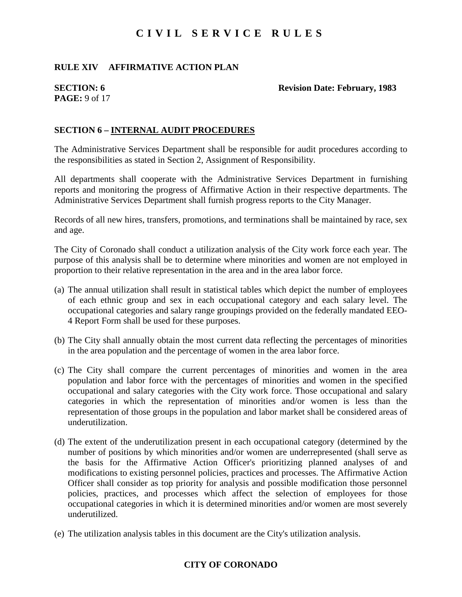## **RULE XIV AFFIRMATIVE ACTION PLAN**

# **PAGE:** 9 of 17

#### **SECTION: 6** Revision Date: February, 1983

## **SECTION 6 – INTERNAL AUDIT PROCEDURES**

The Administrative Services Department shall be responsible for audit procedures according to the responsibilities as stated in Section 2, Assignment of Responsibility.

All departments shall cooperate with the Administrative Services Department in furnishing reports and monitoring the progress of Affirmative Action in their respective departments. The Administrative Services Department shall furnish progress reports to the City Manager.

Records of all new hires, transfers, promotions, and terminations shall be maintained by race, sex and age.

The City of Coronado shall conduct a utilization analysis of the City work force each year. The purpose of this analysis shall be to determine where minorities and women are not employed in proportion to their relative representation in the area and in the area labor force.

- (a) The annual utilization shall result in statistical tables which depict the number of employees of each ethnic group and sex in each occupational category and each salary level. The occupational categories and salary range groupings provided on the federally mandated EEO-4 Report Form shall be used for these purposes.
- (b) The City shall annually obtain the most current data reflecting the percentages of minorities in the area population and the percentage of women in the area labor force.
- (c) The City shall compare the current percentages of minorities and women in the area population and labor force with the percentages of minorities and women in the specified occupational and salary categories with the City work force. Those occupational and salary categories in which the representation of minorities and/or women is less than the representation of those groups in the population and labor market shall be considered areas of underutilization.
- (d) The extent of the underutilization present in each occupational category (determined by the number of positions by which minorities and/or women are underrepresented (shall serve as the basis for the Affirmative Action Officer's prioritizing planned analyses of and modifications to existing personnel policies, practices and processes. The Affirmative Action Officer shall consider as top priority for analysis and possible modification those personnel policies, practices, and processes which affect the selection of employees for those occupational categories in which it is determined minorities and/or women are most severely underutilized.
- (e) The utilization analysis tables in this document are the City's utilization analysis.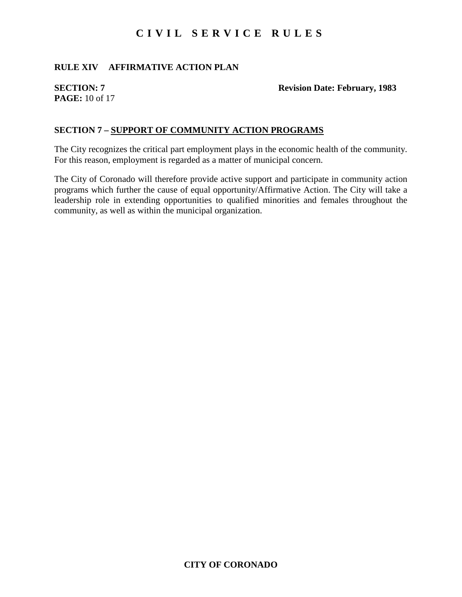## **RULE XIV AFFIRMATIVE ACTION PLAN**

# **PAGE:** 10 of 17

**SECTION: 7** Revision Date: February, 1983

## **SECTION 7 – SUPPORT OF COMMUNITY ACTION PROGRAMS**

The City recognizes the critical part employment plays in the economic health of the community. For this reason, employment is regarded as a matter of municipal concern.

The City of Coronado will therefore provide active support and participate in community action programs which further the cause of equal opportunity/Affirmative Action. The City will take a leadership role in extending opportunities to qualified minorities and females throughout the community, as well as within the municipal organization.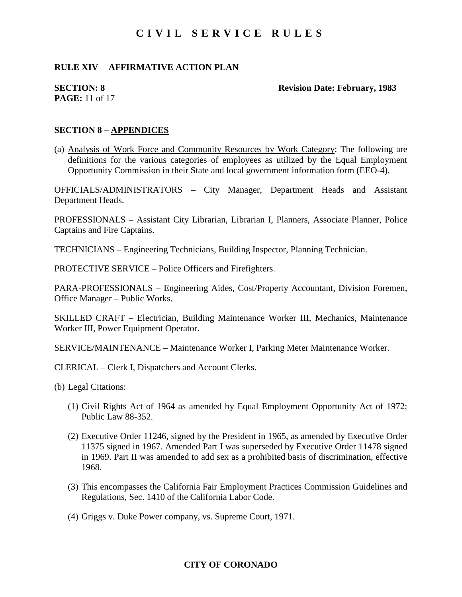### **RULE XIV AFFIRMATIVE ACTION PLAN**

# **PAGE:** 11 of 17

#### **SECTION: 8** Revision Date: February, 1983

#### **SECTION 8 – APPENDICES**

(a) Analysis of Work Force and Community Resources by Work Category: The following are definitions for the various categories of employees as utilized by the Equal Employment Opportunity Commission in their State and local government information form (EEO-4).

OFFICIALS/ADMINISTRATORS – City Manager, Department Heads and Assistant Department Heads.

PROFESSIONALS – Assistant City Librarian, Librarian I, Planners, Associate Planner, Police Captains and Fire Captains.

TECHNICIANS – Engineering Technicians, Building Inspector, Planning Technician.

PROTECTIVE SERVICE – Police Officers and Firefighters.

PARA-PROFESSIONALS – Engineering Aides, Cost/Property Accountant, Division Foremen, Office Manager – Public Works.

SKILLED CRAFT – Electrician, Building Maintenance Worker III, Mechanics, Maintenance Worker III, Power Equipment Operator.

SERVICE/MAINTENANCE – Maintenance Worker I, Parking Meter Maintenance Worker.

CLERICAL – Clerk I, Dispatchers and Account Clerks.

(b) Legal Citations:

- (1) Civil Rights Act of 1964 as amended by Equal Employment Opportunity Act of 1972; Public Law 88-352.
- (2) Executive Order 11246, signed by the President in 1965, as amended by Executive Order 11375 signed in 1967. Amended Part I was superseded by Executive Order 11478 signed in 1969. Part II was amended to add sex as a prohibited basis of discrimination, effective 1968.
- (3) This encompasses the California Fair Employment Practices Commission Guidelines and Regulations, Sec. 1410 of the California Labor Code.
- (4) Griggs v. Duke Power company, vs. Supreme Court, 1971.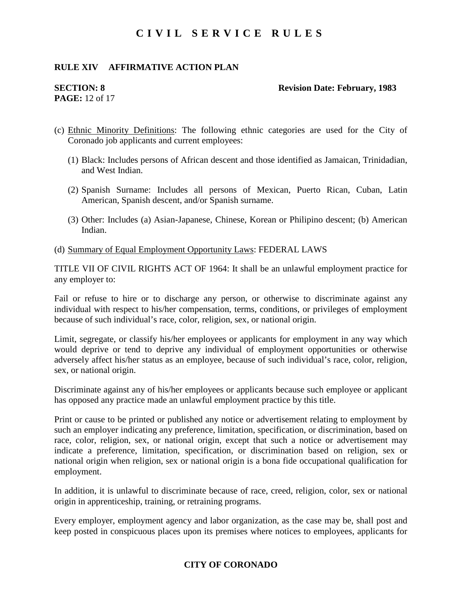### **RULE XIV AFFIRMATIVE ACTION PLAN**

# **PAGE:** 12 of 17

#### **SECTION: 8** Revision Date: February, 1983

- (c) Ethnic Minority Definitions: The following ethnic categories are used for the City of Coronado job applicants and current employees:
	- (1) Black: Includes persons of African descent and those identified as Jamaican, Trinidadian, and West Indian.
	- (2) Spanish Surname: Includes all persons of Mexican, Puerto Rican, Cuban, Latin American, Spanish descent, and/or Spanish surname.
	- (3) Other: Includes (a) Asian-Japanese, Chinese, Korean or Philipino descent; (b) American Indian.

(d) Summary of Equal Employment Opportunity Laws: FEDERAL LAWS

TITLE VII OF CIVIL RIGHTS ACT OF 1964: It shall be an unlawful employment practice for any employer to:

Fail or refuse to hire or to discharge any person, or otherwise to discriminate against any individual with respect to his/her compensation, terms, conditions, or privileges of employment because of such individual's race, color, religion, sex, or national origin.

Limit, segregate, or classify his/her employees or applicants for employment in any way which would deprive or tend to deprive any individual of employment opportunities or otherwise adversely affect his/her status as an employee, because of such individual's race, color, religion, sex, or national origin.

Discriminate against any of his/her employees or applicants because such employee or applicant has opposed any practice made an unlawful employment practice by this title.

Print or cause to be printed or published any notice or advertisement relating to employment by such an employer indicating any preference, limitation, specification, or discrimination, based on race, color, religion, sex, or national origin, except that such a notice or advertisement may indicate a preference, limitation, specification, or discrimination based on religion, sex or national origin when religion, sex or national origin is a bona fide occupational qualification for employment.

In addition, it is unlawful to discriminate because of race, creed, religion, color, sex or national origin in apprenticeship, training, or retraining programs.

Every employer, employment agency and labor organization, as the case may be, shall post and keep posted in conspicuous places upon its premises where notices to employees, applicants for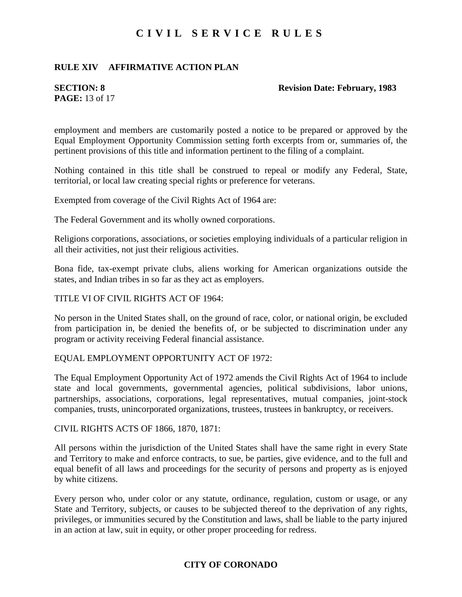### **RULE XIV AFFIRMATIVE ACTION PLAN**

# **PAGE:** 13 of 17

#### **SECTION: 8** Revision Date: February, 1983

employment and members are customarily posted a notice to be prepared or approved by the Equal Employment Opportunity Commission setting forth excerpts from or, summaries of, the pertinent provisions of this title and information pertinent to the filing of a complaint.

Nothing contained in this title shall be construed to repeal or modify any Federal, State, territorial, or local law creating special rights or preference for veterans.

Exempted from coverage of the Civil Rights Act of 1964 are:

The Federal Government and its wholly owned corporations.

Religions corporations, associations, or societies employing individuals of a particular religion in all their activities, not just their religious activities.

Bona fide, tax-exempt private clubs, aliens working for American organizations outside the states, and Indian tribes in so far as they act as employers.

#### TITLE VI OF CIVIL RIGHTS ACT OF 1964:

No person in the United States shall, on the ground of race, color, or national origin, be excluded from participation in, be denied the benefits of, or be subjected to discrimination under any program or activity receiving Federal financial assistance.

#### EQUAL EMPLOYMENT OPPORTUNITY ACT OF 1972:

The Equal Employment Opportunity Act of 1972 amends the Civil Rights Act of 1964 to include state and local governments, governmental agencies, political subdivisions, labor unions, partnerships, associations, corporations, legal representatives, mutual companies, joint-stock companies, trusts, unincorporated organizations, trustees, trustees in bankruptcy, or receivers.

#### CIVIL RIGHTS ACTS OF 1866, 1870, 1871:

All persons within the jurisdiction of the United States shall have the same right in every State and Territory to make and enforce contracts, to sue, be parties, give evidence, and to the full and equal benefit of all laws and proceedings for the security of persons and property as is enjoyed by white citizens.

Every person who, under color or any statute, ordinance, regulation, custom or usage, or any State and Territory, subjects, or causes to be subjected thereof to the deprivation of any rights, privileges, or immunities secured by the Constitution and laws, shall be liable to the party injured in an action at law, suit in equity, or other proper proceeding for redress.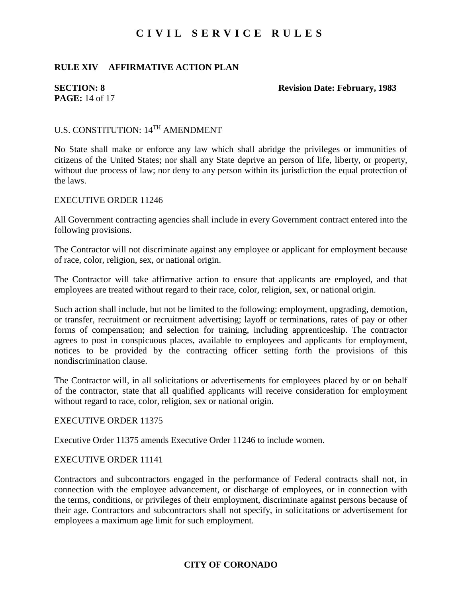## **RULE XIV AFFIRMATIVE ACTION PLAN**

# **PAGE:** 14 of 17

#### **SECTION: 8** Revision Date: February, 1983

## U.S. CONSTITUTION: 14TH AMENDMENT

No State shall make or enforce any law which shall abridge the privileges or immunities of citizens of the United States; nor shall any State deprive an person of life, liberty, or property, without due process of law; nor deny to any person within its jurisdiction the equal protection of the laws.

#### EXECUTIVE ORDER 11246

All Government contracting agencies shall include in every Government contract entered into the following provisions.

The Contractor will not discriminate against any employee or applicant for employment because of race, color, religion, sex, or national origin.

The Contractor will take affirmative action to ensure that applicants are employed, and that employees are treated without regard to their race, color, religion, sex, or national origin.

Such action shall include, but not be limited to the following: employment, upgrading, demotion, or transfer, recruitment or recruitment advertising; layoff or terminations, rates of pay or other forms of compensation; and selection for training, including apprenticeship. The contractor agrees to post in conspicuous places, available to employees and applicants for employment, notices to be provided by the contracting officer setting forth the provisions of this nondiscrimination clause.

The Contractor will, in all solicitations or advertisements for employees placed by or on behalf of the contractor, state that all qualified applicants will receive consideration for employment without regard to race, color, religion, sex or national origin.

#### EXECUTIVE ORDER 11375

Executive Order 11375 amends Executive Order 11246 to include women.

#### EXECUTIVE ORDER 11141

Contractors and subcontractors engaged in the performance of Federal contracts shall not, in connection with the employee advancement, or discharge of employees, or in connection with the terms, conditions, or privileges of their employment, discriminate against persons because of their age. Contractors and subcontractors shall not specify, in solicitations or advertisement for employees a maximum age limit for such employment.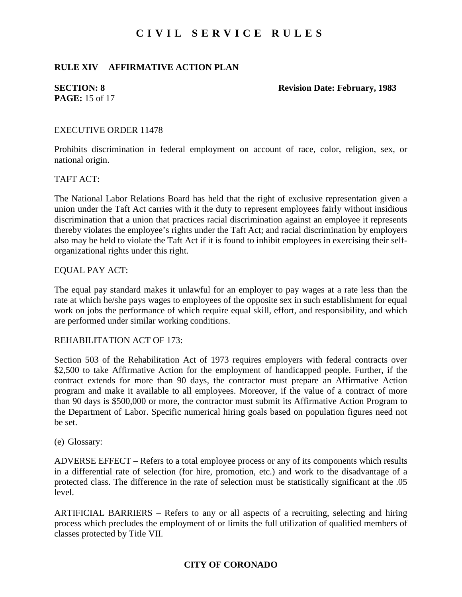## **RULE XIV AFFIRMATIVE ACTION PLAN**

# **PAGE:** 15 of 17

#### **SECTION: 8** Revision Date: February, 1983

#### EXECUTIVE ORDER 11478

Prohibits discrimination in federal employment on account of race, color, religion, sex, or national origin.

#### TAFT ACT:

The National Labor Relations Board has held that the right of exclusive representation given a union under the Taft Act carries with it the duty to represent employees fairly without insidious discrimination that a union that practices racial discrimination against an employee it represents thereby violates the employee's rights under the Taft Act; and racial discrimination by employers also may be held to violate the Taft Act if it is found to inhibit employees in exercising their selforganizational rights under this right.

#### EQUAL PAY ACT:

The equal pay standard makes it unlawful for an employer to pay wages at a rate less than the rate at which he/she pays wages to employees of the opposite sex in such establishment for equal work on jobs the performance of which require equal skill, effort, and responsibility, and which are performed under similar working conditions.

#### REHABILITATION ACT OF 173:

Section 503 of the Rehabilitation Act of 1973 requires employers with federal contracts over \$2,500 to take Affirmative Action for the employment of handicapped people. Further, if the contract extends for more than 90 days, the contractor must prepare an Affirmative Action program and make it available to all employees. Moreover, if the value of a contract of more than 90 days is \$500,000 or more, the contractor must submit its Affirmative Action Program to the Department of Labor. Specific numerical hiring goals based on population figures need not be set.

#### (e) Glossary:

ADVERSE EFFECT – Refers to a total employee process or any of its components which results in a differential rate of selection (for hire, promotion, etc.) and work to the disadvantage of a protected class. The difference in the rate of selection must be statistically significant at the .05 level.

ARTIFICIAL BARRIERS – Refers to any or all aspects of a recruiting, selecting and hiring process which precludes the employment of or limits the full utilization of qualified members of classes protected by Title VII.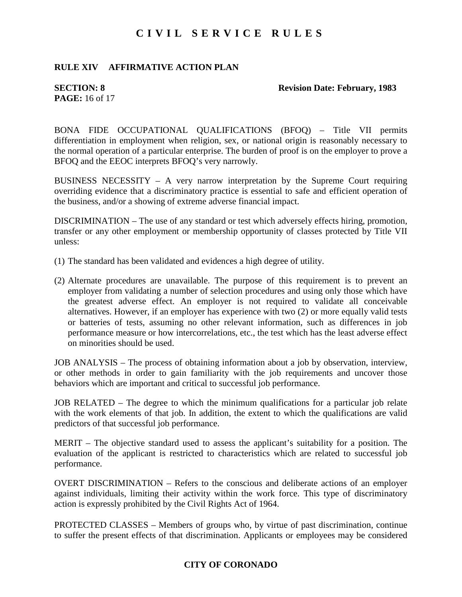## **RULE XIV AFFIRMATIVE ACTION PLAN**

**PAGE:** 16 of 17

#### **SECTION: 8** Revision Date: February, 1983

BONA FIDE OCCUPATIONAL QUALIFICATIONS (BFOQ) – Title VII permits differentiation in employment when religion, sex, or national origin is reasonably necessary to the normal operation of a particular enterprise. The burden of proof is on the employer to prove a BFOQ and the EEOC interprets BFOQ's very narrowly.

BUSINESS NECESSITY – A very narrow interpretation by the Supreme Court requiring overriding evidence that a discriminatory practice is essential to safe and efficient operation of the business, and/or a showing of extreme adverse financial impact.

DISCRIMINATION – The use of any standard or test which adversely effects hiring, promotion, transfer or any other employment or membership opportunity of classes protected by Title VII unless:

- (1) The standard has been validated and evidences a high degree of utility.
- (2) Alternate procedures are unavailable. The purpose of this requirement is to prevent an employer from validating a number of selection procedures and using only those which have the greatest adverse effect. An employer is not required to validate all conceivable alternatives. However, if an employer has experience with two (2) or more equally valid tests or batteries of tests, assuming no other relevant information, such as differences in job performance measure or how intercorrelations, etc., the test which has the least adverse effect on minorities should be used.

JOB ANALYSIS – The process of obtaining information about a job by observation, interview, or other methods in order to gain familiarity with the job requirements and uncover those behaviors which are important and critical to successful job performance.

JOB RELATED – The degree to which the minimum qualifications for a particular job relate with the work elements of that job. In addition, the extent to which the qualifications are valid predictors of that successful job performance.

MERIT – The objective standard used to assess the applicant's suitability for a position. The evaluation of the applicant is restricted to characteristics which are related to successful job performance.

OVERT DISCRIMINATION – Refers to the conscious and deliberate actions of an employer against individuals, limiting their activity within the work force. This type of discriminatory action is expressly prohibited by the Civil Rights Act of 1964.

PROTECTED CLASSES – Members of groups who, by virtue of past discrimination, continue to suffer the present effects of that discrimination. Applicants or employees may be considered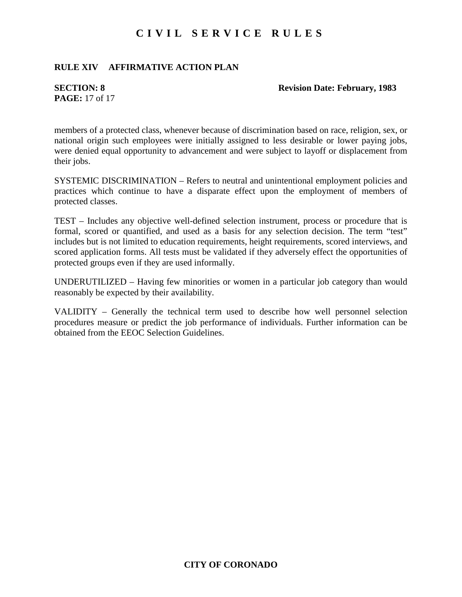### **RULE XIV AFFIRMATIVE ACTION PLAN**

# **PAGE:** 17 of 17

#### **SECTION: 8** Revision Date: February, 1983

members of a protected class, whenever because of discrimination based on race, religion, sex, or national origin such employees were initially assigned to less desirable or lower paying jobs, were denied equal opportunity to advancement and were subject to layoff or displacement from their jobs.

SYSTEMIC DISCRIMINATION – Refers to neutral and unintentional employment policies and practices which continue to have a disparate effect upon the employment of members of protected classes.

TEST – Includes any objective well-defined selection instrument, process or procedure that is formal, scored or quantified, and used as a basis for any selection decision. The term "test" includes but is not limited to education requirements, height requirements, scored interviews, and scored application forms. All tests must be validated if they adversely effect the opportunities of protected groups even if they are used informally.

UNDERUTILIZED – Having few minorities or women in a particular job category than would reasonably be expected by their availability.

VALIDITY – Generally the technical term used to describe how well personnel selection procedures measure or predict the job performance of individuals. Further information can be obtained from the EEOC Selection Guidelines.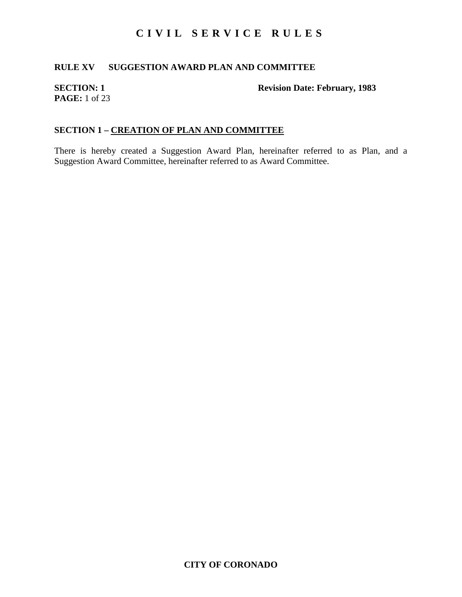## **RULE XV SUGGESTION AWARD PLAN AND COMMITTEE**

# **PAGE:** 1 of 23

**SECTION: 1** Revision Date: February, 1983

## **SECTION 1 – CREATION OF PLAN AND COMMITTEE**

There is hereby created a Suggestion Award Plan, hereinafter referred to as Plan, and a Suggestion Award Committee, hereinafter referred to as Award Committee.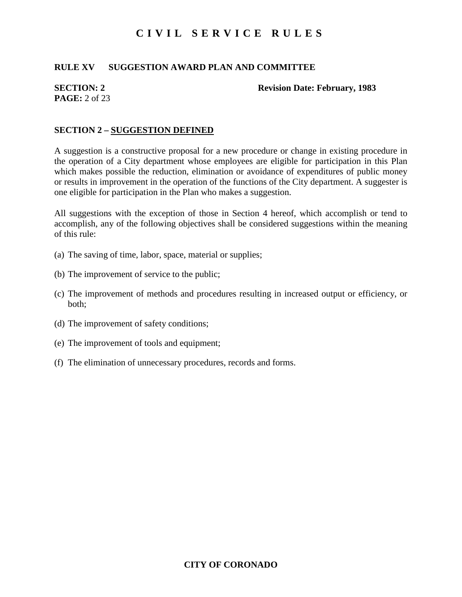### **RULE XV SUGGESTION AWARD PLAN AND COMMITTEE**

# **PAGE:** 2 of 23

**SECTION: 2** Revision Date: February, 1983

### **SECTION 2 – SUGGESTION DEFINED**

A suggestion is a constructive proposal for a new procedure or change in existing procedure in the operation of a City department whose employees are eligible for participation in this Plan which makes possible the reduction, elimination or avoidance of expenditures of public money or results in improvement in the operation of the functions of the City department. A suggester is one eligible for participation in the Plan who makes a suggestion.

All suggestions with the exception of those in Section 4 hereof, which accomplish or tend to accomplish, any of the following objectives shall be considered suggestions within the meaning of this rule:

- (a) The saving of time, labor, space, material or supplies;
- (b) The improvement of service to the public;
- (c) The improvement of methods and procedures resulting in increased output or efficiency, or both;
- (d) The improvement of safety conditions;
- (e) The improvement of tools and equipment;
- (f) The elimination of unnecessary procedures, records and forms.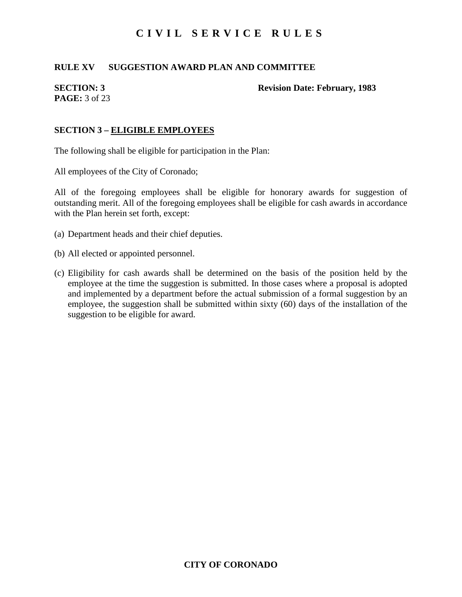## **RULE XV SUGGESTION AWARD PLAN AND COMMITTEE**

# **PAGE:** 3 of 23

#### **SECTION: 3** Revision Date: February, 1983

## **SECTION 3 – ELIGIBLE EMPLOYEES**

The following shall be eligible for participation in the Plan:

All employees of the City of Coronado;

All of the foregoing employees shall be eligible for honorary awards for suggestion of outstanding merit. All of the foregoing employees shall be eligible for cash awards in accordance with the Plan herein set forth, except:

- (a) Department heads and their chief deputies.
- (b) All elected or appointed personnel.
- (c) Eligibility for cash awards shall be determined on the basis of the position held by the employee at the time the suggestion is submitted. In those cases where a proposal is adopted and implemented by a department before the actual submission of a formal suggestion by an employee, the suggestion shall be submitted within sixty (60) days of the installation of the suggestion to be eligible for award.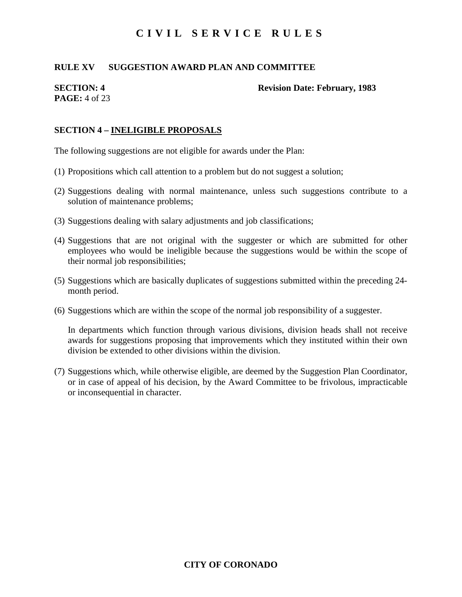### **RULE XV SUGGESTION AWARD PLAN AND COMMITTEE**

# **PAGE:** 4 of 23

**SECTION: 4** Revision Date: February, 1983

## **SECTION 4 – INELIGIBLE PROPOSALS**

The following suggestions are not eligible for awards under the Plan:

- (1) Propositions which call attention to a problem but do not suggest a solution;
- (2) Suggestions dealing with normal maintenance, unless such suggestions contribute to a solution of maintenance problems;
- (3) Suggestions dealing with salary adjustments and job classifications;
- (4) Suggestions that are not original with the suggester or which are submitted for other employees who would be ineligible because the suggestions would be within the scope of their normal job responsibilities;
- (5) Suggestions which are basically duplicates of suggestions submitted within the preceding 24 month period.
- (6) Suggestions which are within the scope of the normal job responsibility of a suggester.

In departments which function through various divisions, division heads shall not receive awards for suggestions proposing that improvements which they instituted within their own division be extended to other divisions within the division.

(7) Suggestions which, while otherwise eligible, are deemed by the Suggestion Plan Coordinator, or in case of appeal of his decision, by the Award Committee to be frivolous, impracticable or inconsequential in character.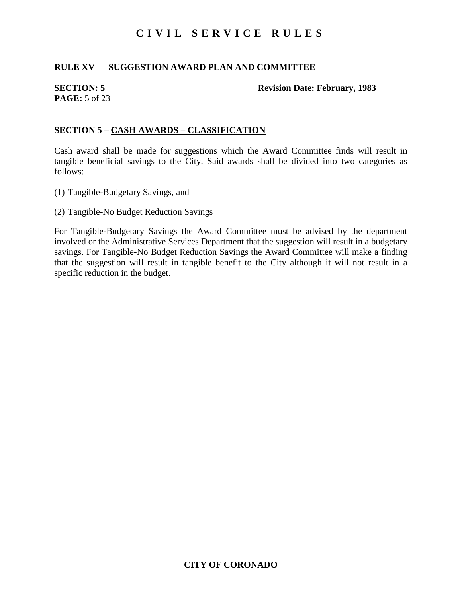## **RULE XV SUGGESTION AWARD PLAN AND COMMITTEE**

# **PAGE:** 5 of 23

#### **SECTION: 5** Revision Date: February, 1983

## **SECTION 5 – CASH AWARDS – CLASSIFICATION**

Cash award shall be made for suggestions which the Award Committee finds will result in tangible beneficial savings to the City. Said awards shall be divided into two categories as follows:

- (1) Tangible-Budgetary Savings, and
- (2) Tangible-No Budget Reduction Savings

For Tangible-Budgetary Savings the Award Committee must be advised by the department involved or the Administrative Services Department that the suggestion will result in a budgetary savings. For Tangible-No Budget Reduction Savings the Award Committee will make a finding that the suggestion will result in tangible benefit to the City although it will not result in a specific reduction in the budget.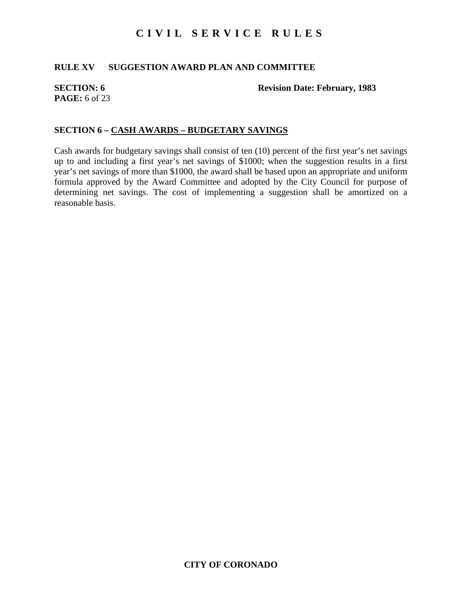## **RULE XV SUGGESTION AWARD PLAN AND COMMITTEE**

# **PAGE:** 6 of 23

**SECTION: 6** Revision Date: February, 1983

## **SECTION 6 – CASH AWARDS – BUDGETARY SAVINGS**

Cash awards for budgetary savings shall consist of ten (10) percent of the first year's net savings up to and including a first year's net savings of \$1000; when the suggestion results in a first year's net savings of more than \$1000, the award shall be based upon an appropriate and uniform formula approved by the Award Committee and adopted by the City Council for purpose of determining net savings. The cost of implementing a suggestion shall be amortized on a reasonable basis.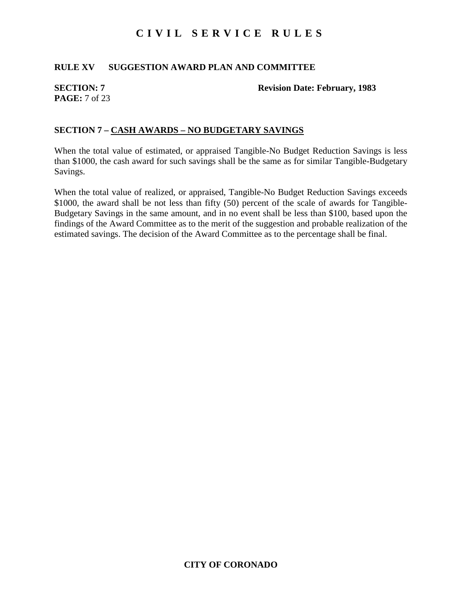## **RULE XV SUGGESTION AWARD PLAN AND COMMITTEE**

# **PAGE:** 7 of 23

#### **SECTION: 7** Revision Date: February, 1983

## **SECTION 7 – CASH AWARDS – NO BUDGETARY SAVINGS**

When the total value of estimated, or appraised Tangible-No Budget Reduction Savings is less than \$1000, the cash award for such savings shall be the same as for similar Tangible-Budgetary Savings.

When the total value of realized, or appraised, Tangible-No Budget Reduction Savings exceeds \$1000, the award shall be not less than fifty (50) percent of the scale of awards for Tangible-Budgetary Savings in the same amount, and in no event shall be less than \$100, based upon the findings of the Award Committee as to the merit of the suggestion and probable realization of the estimated savings. The decision of the Award Committee as to the percentage shall be final.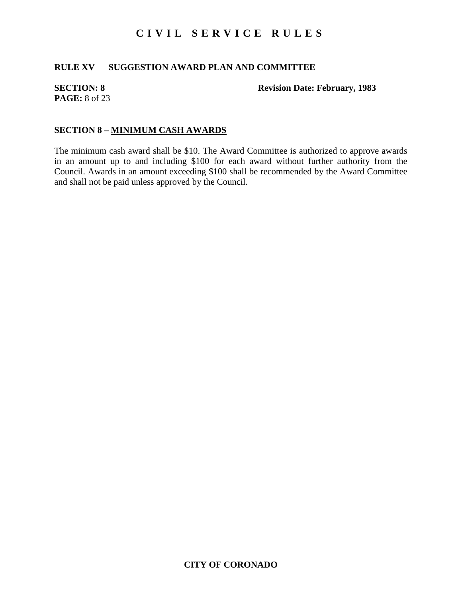## **RULE XV SUGGESTION AWARD PLAN AND COMMITTEE**

# **PAGE:** 8 of 23

**SECTION: 8** Revision Date: February, 1983

## **SECTION 8 – MINIMUM CASH AWARDS**

The minimum cash award shall be \$10. The Award Committee is authorized to approve awards in an amount up to and including \$100 for each award without further authority from the Council. Awards in an amount exceeding \$100 shall be recommended by the Award Committee and shall not be paid unless approved by the Council.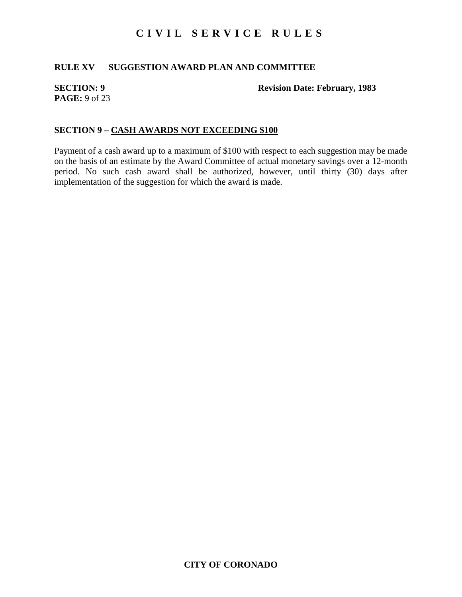## **RULE XV SUGGESTION AWARD PLAN AND COMMITTEE**

# **PAGE:** 9 of 23

**SECTION: 9** Revision Date: February, 1983

### **SECTION 9 – CASH AWARDS NOT EXCEEDING \$100**

Payment of a cash award up to a maximum of \$100 with respect to each suggestion may be made on the basis of an estimate by the Award Committee of actual monetary savings over a 12-month period. No such cash award shall be authorized, however, until thirty (30) days after implementation of the suggestion for which the award is made.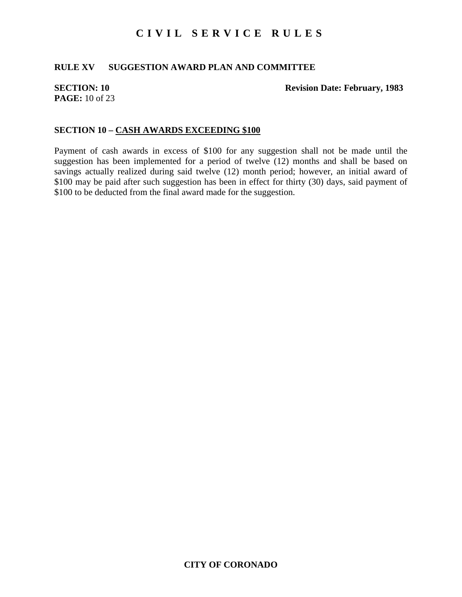## **RULE XV SUGGESTION AWARD PLAN AND COMMITTEE**

# **PAGE:** 10 of 23

#### **SECTION: 10** Revision Date: February, 1983

### **SECTION 10 – CASH AWARDS EXCEEDING \$100**

Payment of cash awards in excess of \$100 for any suggestion shall not be made until the suggestion has been implemented for a period of twelve (12) months and shall be based on savings actually realized during said twelve (12) month period; however, an initial award of \$100 may be paid after such suggestion has been in effect for thirty (30) days, said payment of \$100 to be deducted from the final award made for the suggestion.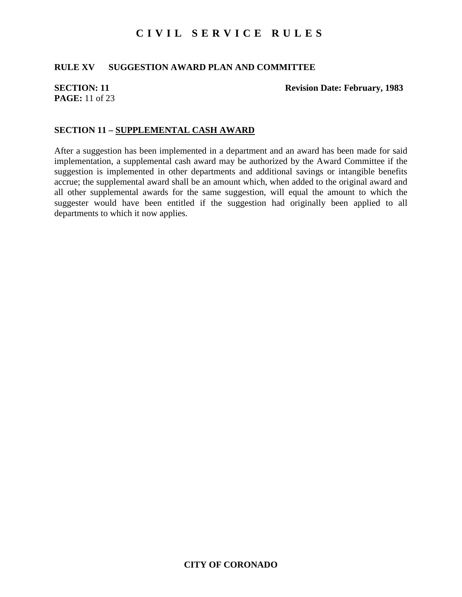## **RULE XV SUGGESTION AWARD PLAN AND COMMITTEE**

# **PAGE:** 11 of 23

#### **SECTION: 11** Revision Date: February, 1983

#### **SECTION 11 – SUPPLEMENTAL CASH AWARD**

After a suggestion has been implemented in a department and an award has been made for said implementation, a supplemental cash award may be authorized by the Award Committee if the suggestion is implemented in other departments and additional savings or intangible benefits accrue; the supplemental award shall be an amount which, when added to the original award and all other supplemental awards for the same suggestion, will equal the amount to which the suggester would have been entitled if the suggestion had originally been applied to all departments to which it now applies.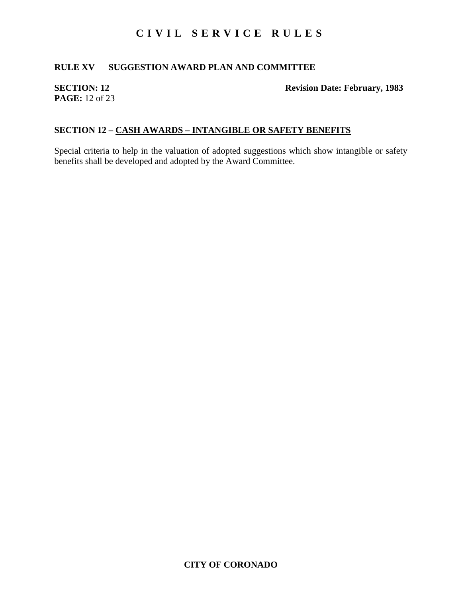## **RULE XV SUGGESTION AWARD PLAN AND COMMITTEE**

# **PAGE:** 12 of 23

**SECTION: 12** Revision Date: February, 1983

## **SECTION 12 – CASH AWARDS – INTANGIBLE OR SAFETY BENEFITS**

Special criteria to help in the valuation of adopted suggestions which show intangible or safety benefits shall be developed and adopted by the Award Committee.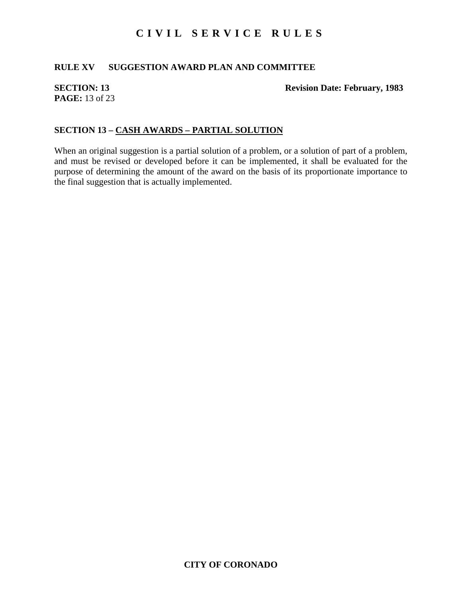## **RULE XV SUGGESTION AWARD PLAN AND COMMITTEE**

# **PAGE:** 13 of 23

#### **SECTION: 13** Revision Date: February, 1983

### **SECTION 13 – CASH AWARDS – PARTIAL SOLUTION**

When an original suggestion is a partial solution of a problem, or a solution of part of a problem, and must be revised or developed before it can be implemented, it shall be evaluated for the purpose of determining the amount of the award on the basis of its proportionate importance to the final suggestion that is actually implemented.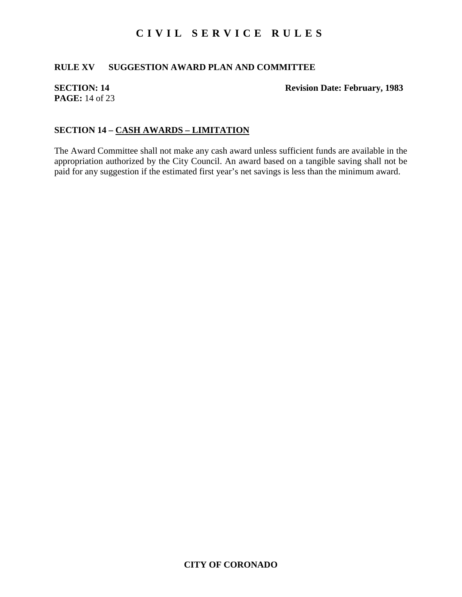## **RULE XV SUGGESTION AWARD PLAN AND COMMITTEE**

# **PAGE:** 14 of 23

#### **SECTION: 14** Revision Date: February, 1983

## **SECTION 14 – CASH AWARDS – LIMITATION**

The Award Committee shall not make any cash award unless sufficient funds are available in the appropriation authorized by the City Council. An award based on a tangible saving shall not be paid for any suggestion if the estimated first year's net savings is less than the minimum award.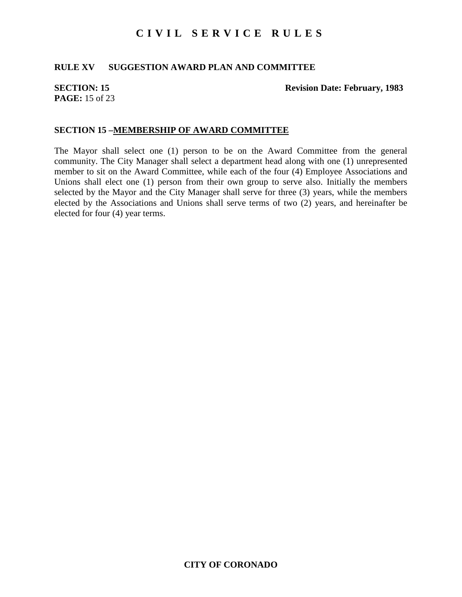## **RULE XV SUGGESTION AWARD PLAN AND COMMITTEE**

# **PAGE:** 15 of 23

#### **SECTION: 15** Revision Date: February, 1983

### **SECTION 15 –MEMBERSHIP OF AWARD COMMITTEE**

The Mayor shall select one (1) person to be on the Award Committee from the general community. The City Manager shall select a department head along with one (1) unrepresented member to sit on the Award Committee, while each of the four (4) Employee Associations and Unions shall elect one (1) person from their own group to serve also. Initially the members selected by the Mayor and the City Manager shall serve for three (3) years, while the members elected by the Associations and Unions shall serve terms of two (2) years, and hereinafter be elected for four (4) year terms.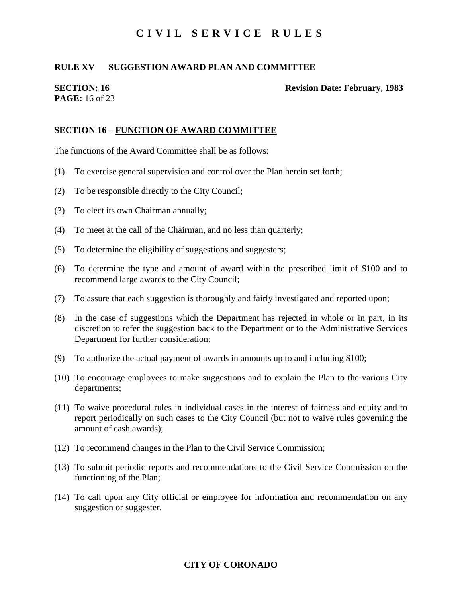#### **RULE XV SUGGESTION AWARD PLAN AND COMMITTEE**

# **PAGE:** 16 of 23

**SECTION: 16** Revision Date: February, 1983

### **SECTION 16 – FUNCTION OF AWARD COMMITTEE**

The functions of the Award Committee shall be as follows:

- (1) To exercise general supervision and control over the Plan herein set forth;
- (2) To be responsible directly to the City Council;
- (3) To elect its own Chairman annually;
- (4) To meet at the call of the Chairman, and no less than quarterly;
- (5) To determine the eligibility of suggestions and suggesters;
- (6) To determine the type and amount of award within the prescribed limit of \$100 and to recommend large awards to the City Council;
- (7) To assure that each suggestion is thoroughly and fairly investigated and reported upon;
- (8) In the case of suggestions which the Department has rejected in whole or in part, in its discretion to refer the suggestion back to the Department or to the Administrative Services Department for further consideration;
- (9) To authorize the actual payment of awards in amounts up to and including \$100;
- (10) To encourage employees to make suggestions and to explain the Plan to the various City departments;
- (11) To waive procedural rules in individual cases in the interest of fairness and equity and to report periodically on such cases to the City Council (but not to waive rules governing the amount of cash awards);
- (12) To recommend changes in the Plan to the Civil Service Commission;
- (13) To submit periodic reports and recommendations to the Civil Service Commission on the functioning of the Plan;
- (14) To call upon any City official or employee for information and recommendation on any suggestion or suggester.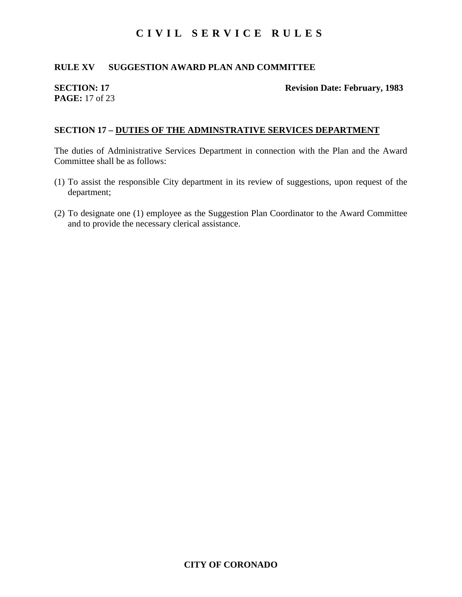## **RULE XV SUGGESTION AWARD PLAN AND COMMITTEE**

# **PAGE:** 17 of 23

**SECTION: 17** Revision Date: February, 1983

### **SECTION 17 – DUTIES OF THE ADMINSTRATIVE SERVICES DEPARTMENT**

The duties of Administrative Services Department in connection with the Plan and the Award Committee shall be as follows:

- (1) To assist the responsible City department in its review of suggestions, upon request of the department;
- (2) To designate one (1) employee as the Suggestion Plan Coordinator to the Award Committee and to provide the necessary clerical assistance.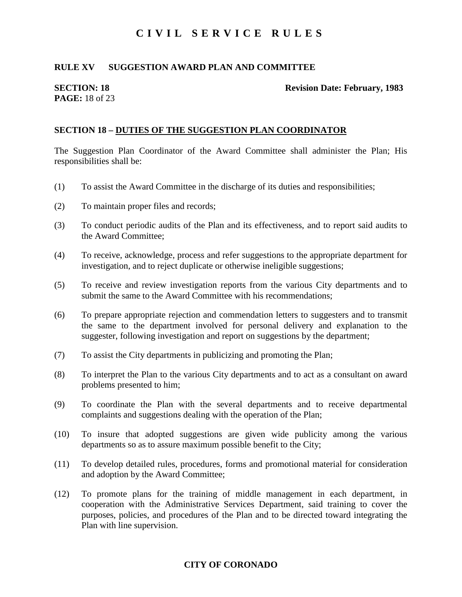### **RULE XV SUGGESTION AWARD PLAN AND COMMITTEE**

# **PAGE:** 18 of 23

#### **SECTION: 18** Revision Date: February, 1983

### **SECTION 18 – DUTIES OF THE SUGGESTION PLAN COORDINATOR**

The Suggestion Plan Coordinator of the Award Committee shall administer the Plan; His responsibilities shall be:

- (1) To assist the Award Committee in the discharge of its duties and responsibilities;
- (2) To maintain proper files and records;
- (3) To conduct periodic audits of the Plan and its effectiveness, and to report said audits to the Award Committee;
- (4) To receive, acknowledge, process and refer suggestions to the appropriate department for investigation, and to reject duplicate or otherwise ineligible suggestions;
- (5) To receive and review investigation reports from the various City departments and to submit the same to the Award Committee with his recommendations;
- (6) To prepare appropriate rejection and commendation letters to suggesters and to transmit the same to the department involved for personal delivery and explanation to the suggester, following investigation and report on suggestions by the department;
- (7) To assist the City departments in publicizing and promoting the Plan;
- (8) To interpret the Plan to the various City departments and to act as a consultant on award problems presented to him;
- (9) To coordinate the Plan with the several departments and to receive departmental complaints and suggestions dealing with the operation of the Plan;
- (10) To insure that adopted suggestions are given wide publicity among the various departments so as to assure maximum possible benefit to the City;
- (11) To develop detailed rules, procedures, forms and promotional material for consideration and adoption by the Award Committee;
- (12) To promote plans for the training of middle management in each department, in cooperation with the Administrative Services Department, said training to cover the purposes, policies, and procedures of the Plan and to be directed toward integrating the Plan with line supervision.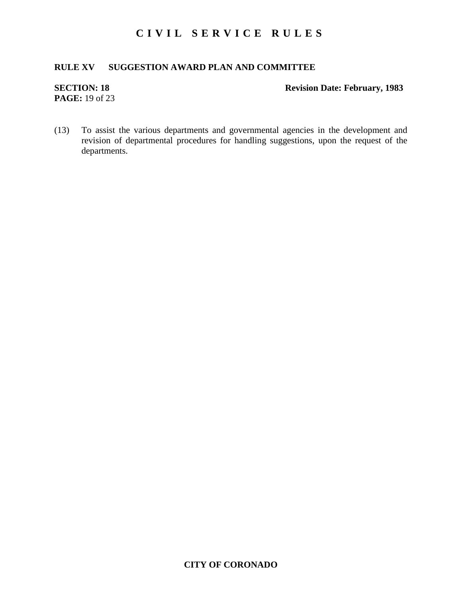## **RULE XV SUGGESTION AWARD PLAN AND COMMITTEE**

# **PAGE:** 19 of 23

## **SECTION: 18** Revision Date: February, 1983

(13) To assist the various departments and governmental agencies in the development and revision of departmental procedures for handling suggestions, upon the request of the departments.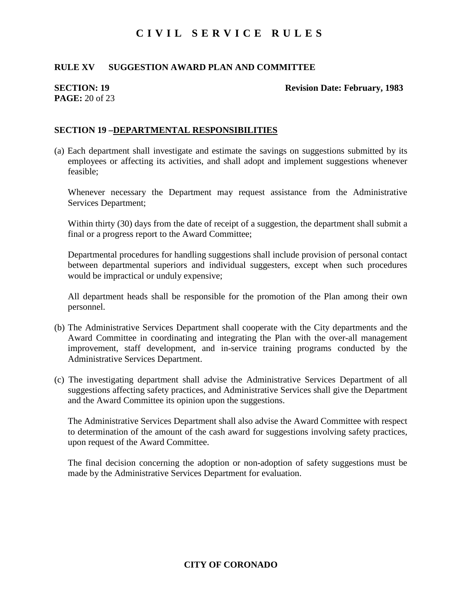### **RULE XV SUGGESTION AWARD PLAN AND COMMITTEE**

# **PAGE:** 20 of 23

#### **SECTION: 19** Revision Date: February, 1983

### **SECTION 19 –DEPARTMENTAL RESPONSIBILITIES**

(a) Each department shall investigate and estimate the savings on suggestions submitted by its employees or affecting its activities, and shall adopt and implement suggestions whenever feasible;

Whenever necessary the Department may request assistance from the Administrative Services Department;

Within thirty (30) days from the date of receipt of a suggestion, the department shall submit a final or a progress report to the Award Committee;

Departmental procedures for handling suggestions shall include provision of personal contact between departmental superiors and individual suggesters, except when such procedures would be impractical or unduly expensive;

All department heads shall be responsible for the promotion of the Plan among their own personnel.

- (b) The Administrative Services Department shall cooperate with the City departments and the Award Committee in coordinating and integrating the Plan with the over-all management improvement, staff development, and in-service training programs conducted by the Administrative Services Department.
- (c) The investigating department shall advise the Administrative Services Department of all suggestions affecting safety practices, and Administrative Services shall give the Department and the Award Committee its opinion upon the suggestions.

The Administrative Services Department shall also advise the Award Committee with respect to determination of the amount of the cash award for suggestions involving safety practices, upon request of the Award Committee.

The final decision concerning the adoption or non-adoption of safety suggestions must be made by the Administrative Services Department for evaluation.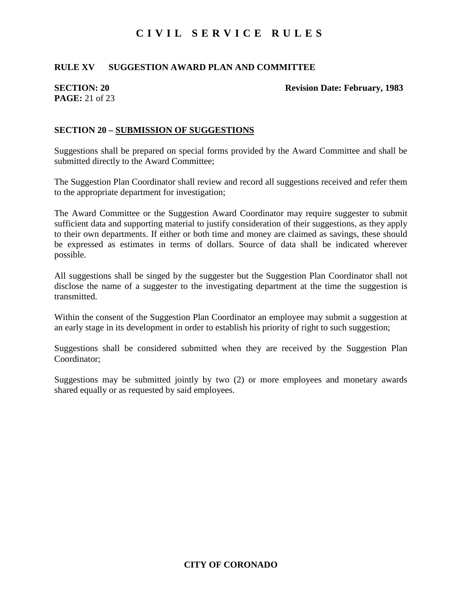## **RULE XV SUGGESTION AWARD PLAN AND COMMITTEE**

# **PAGE:** 21 of 23

#### **SECTION: 20** Revision Date: February, 1983

### **SECTION 20 – SUBMISSION OF SUGGESTIONS**

Suggestions shall be prepared on special forms provided by the Award Committee and shall be submitted directly to the Award Committee;

The Suggestion Plan Coordinator shall review and record all suggestions received and refer them to the appropriate department for investigation;

The Award Committee or the Suggestion Award Coordinator may require suggester to submit sufficient data and supporting material to justify consideration of their suggestions, as they apply to their own departments. If either or both time and money are claimed as savings, these should be expressed as estimates in terms of dollars. Source of data shall be indicated wherever possible.

All suggestions shall be singed by the suggester but the Suggestion Plan Coordinator shall not disclose the name of a suggester to the investigating department at the time the suggestion is transmitted.

Within the consent of the Suggestion Plan Coordinator an employee may submit a suggestion at an early stage in its development in order to establish his priority of right to such suggestion;

Suggestions shall be considered submitted when they are received by the Suggestion Plan Coordinator;

Suggestions may be submitted jointly by two (2) or more employees and monetary awards shared equally or as requested by said employees.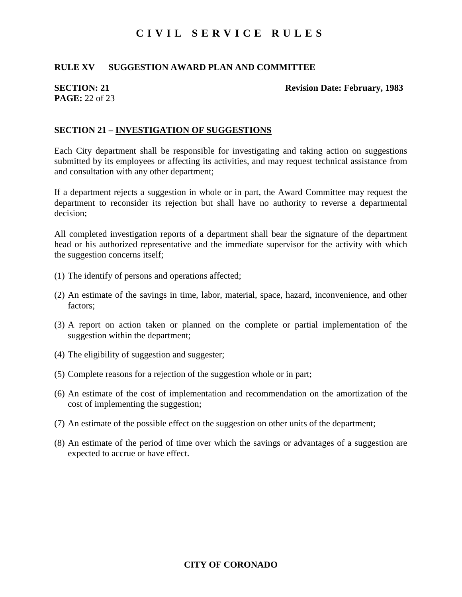### **RULE XV SUGGESTION AWARD PLAN AND COMMITTEE**

# **PAGE:** 22 of 23

#### **SECTION: 21** Revision Date: February, 1983

#### **SECTION 21 – INVESTIGATION OF SUGGESTIONS**

Each City department shall be responsible for investigating and taking action on suggestions submitted by its employees or affecting its activities, and may request technical assistance from and consultation with any other department;

If a department rejects a suggestion in whole or in part, the Award Committee may request the department to reconsider its rejection but shall have no authority to reverse a departmental decision;

All completed investigation reports of a department shall bear the signature of the department head or his authorized representative and the immediate supervisor for the activity with which the suggestion concerns itself;

- (1) The identify of persons and operations affected;
- (2) An estimate of the savings in time, labor, material, space, hazard, inconvenience, and other factors;
- (3) A report on action taken or planned on the complete or partial implementation of the suggestion within the department;
- (4) The eligibility of suggestion and suggester;
- (5) Complete reasons for a rejection of the suggestion whole or in part;
- (6) An estimate of the cost of implementation and recommendation on the amortization of the cost of implementing the suggestion;
- (7) An estimate of the possible effect on the suggestion on other units of the department;
- (8) An estimate of the period of time over which the savings or advantages of a suggestion are expected to accrue or have effect.